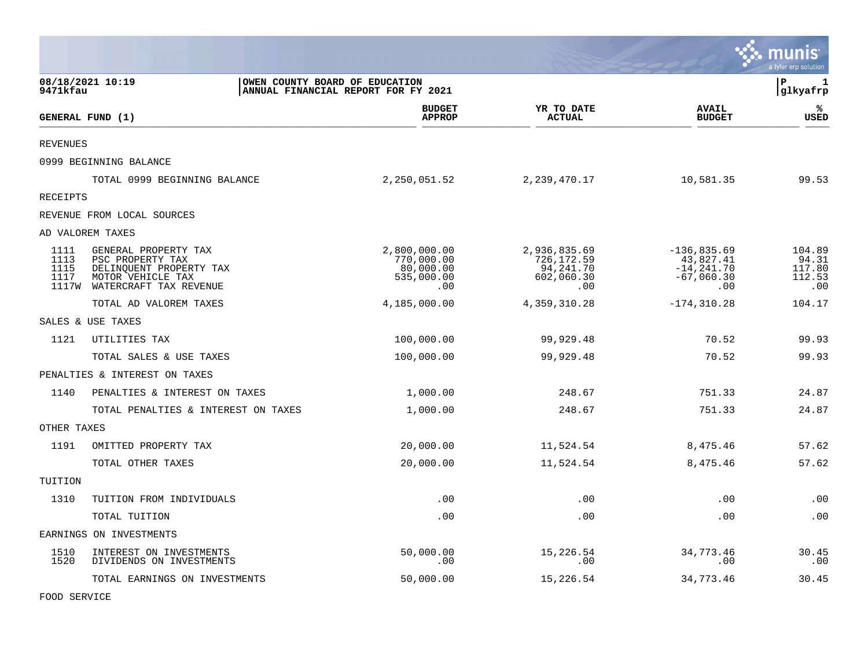|                              |                                                                                                                          |                                                                       |                                                              |                                                                    | munis<br>a tyler erp solution              |
|------------------------------|--------------------------------------------------------------------------------------------------------------------------|-----------------------------------------------------------------------|--------------------------------------------------------------|--------------------------------------------------------------------|--------------------------------------------|
| 9471kfau                     | 08/18/2021 10:19                                                                                                         | OWEN COUNTY BOARD OF EDUCATION<br>ANNUAL FINANCIAL REPORT FOR FY 2021 |                                                              |                                                                    | $\, {\bf P}$<br>1<br>glkyafrp              |
|                              | GENERAL FUND (1)                                                                                                         | <b>BUDGET</b><br><b>APPROP</b>                                        | YR TO DATE<br><b>ACTUAL</b>                                  | <b>AVAIL</b><br><b>BUDGET</b>                                      | ℁<br>USED                                  |
| <b>REVENUES</b>              |                                                                                                                          |                                                                       |                                                              |                                                                    |                                            |
|                              | 0999 BEGINNING BALANCE                                                                                                   |                                                                       |                                                              |                                                                    |                                            |
|                              | TOTAL 0999 BEGINNING BALANCE                                                                                             | 2,250,051.52                                                          | 2, 239, 470.17                                               | 10,581.35                                                          | 99.53                                      |
| RECEIPTS                     |                                                                                                                          |                                                                       |                                                              |                                                                    |                                            |
|                              | REVENUE FROM LOCAL SOURCES                                                                                               |                                                                       |                                                              |                                                                    |                                            |
|                              | AD VALOREM TAXES                                                                                                         |                                                                       |                                                              |                                                                    |                                            |
| 1111<br>1113<br>1115<br>1117 | GENERAL PROPERTY TAX<br>PSC PROPERTY TAX<br>DELINQUENT PROPERTY TAX<br>MOTOR VEHICLE TAX<br>1117W WATERCRAFT TAX REVENUE | 2,800,000.00<br>770,000.00<br>80,000.00<br>535,000.00<br>.00          | 2,936,835.69<br>726,172.59<br>94,241.70<br>602,060.30<br>.00 | $-136,835.69$<br>43,827.41<br>$-14, 241.70$<br>$-67,060.30$<br>.00 | 104.89<br>94.31<br>117.80<br>112.53<br>.00 |
|                              | TOTAL AD VALOREM TAXES                                                                                                   | 4,185,000.00                                                          | 4, 359, 310.28                                               | $-174, 310.28$                                                     | 104.17                                     |
|                              | SALES & USE TAXES                                                                                                        |                                                                       |                                                              |                                                                    |                                            |
| 1121                         | UTILITIES TAX                                                                                                            | 100,000.00                                                            | 99,929.48                                                    | 70.52                                                              | 99.93                                      |
|                              | TOTAL SALES & USE TAXES                                                                                                  | 100,000.00                                                            | 99,929.48                                                    | 70.52                                                              | 99.93                                      |
|                              | PENALTIES & INTEREST ON TAXES                                                                                            |                                                                       |                                                              |                                                                    |                                            |
| 1140                         | PENALTIES & INTEREST ON TAXES                                                                                            | 1,000.00                                                              | 248.67                                                       | 751.33                                                             | 24.87                                      |
|                              | TOTAL PENALTIES & INTEREST ON TAXES                                                                                      | 1,000.00                                                              | 248.67                                                       | 751.33                                                             | 24.87                                      |
| OTHER TAXES                  |                                                                                                                          |                                                                       |                                                              |                                                                    |                                            |
| 1191                         | OMITTED PROPERTY TAX                                                                                                     | 20,000.00                                                             | 11,524.54                                                    | 8,475.46                                                           | 57.62                                      |
|                              | TOTAL OTHER TAXES                                                                                                        | 20,000.00                                                             | 11,524.54                                                    | 8,475.46                                                           | 57.62                                      |
| TUITION                      |                                                                                                                          |                                                                       |                                                              |                                                                    |                                            |
| 1310                         | TUITION FROM INDIVIDUALS                                                                                                 | .00                                                                   | .00                                                          | .00                                                                | .00                                        |
|                              | TOTAL TUITION                                                                                                            | .00                                                                   | .00                                                          | .00                                                                | .00                                        |
|                              | EARNINGS ON INVESTMENTS                                                                                                  |                                                                       |                                                              |                                                                    |                                            |
| 1510<br>1520                 | INTEREST ON INVESTMENTS<br>DIVIDENDS ON INVESTMENTS                                                                      | 50,000.00<br>.00                                                      | 15,226.54<br>.00                                             | 34,773.46<br>.00                                                   | 30.45<br>.00                               |
|                              | TOTAL EARNINGS ON INVESTMENTS                                                                                            | 50,000.00                                                             | 15,226.54                                                    | 34,773.46                                                          | 30.45                                      |

**COL** 

FOOD SERVICE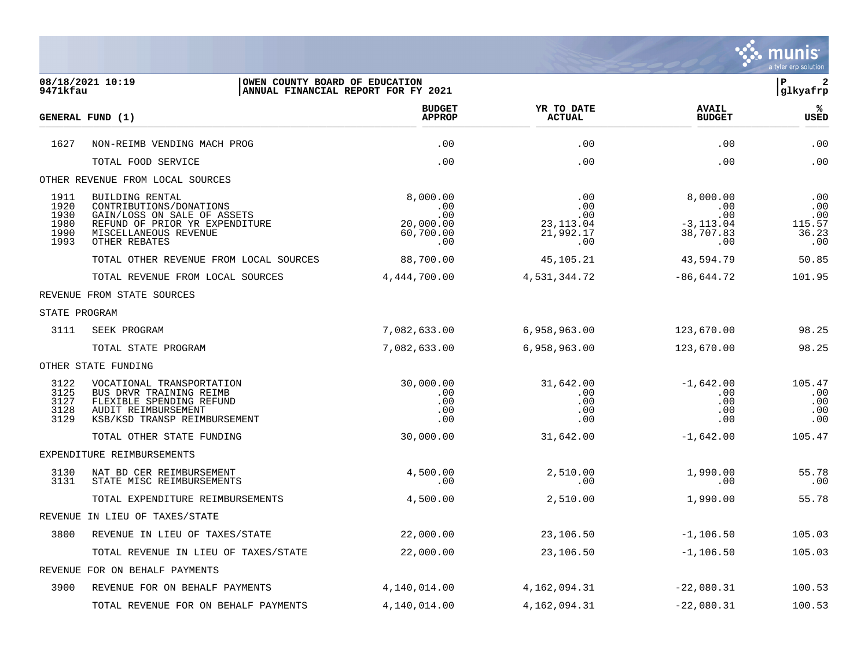

| 08/18/2021 10:19<br>OWEN COUNTY BOARD OF EDUCATION<br>ANNUAL FINANCIAL REPORT FOR FY 2021<br>9471kfau |                                                                                                                                                       |                                                         |                                                         |                                                                 | l P-<br>$\overline{\mathbf{2}}$<br>glkyafrp |
|-------------------------------------------------------------------------------------------------------|-------------------------------------------------------------------------------------------------------------------------------------------------------|---------------------------------------------------------|---------------------------------------------------------|-----------------------------------------------------------------|---------------------------------------------|
|                                                                                                       | GENERAL FUND (1)                                                                                                                                      | <b>BUDGET</b><br><b>APPROP</b>                          | YR TO DATE<br><b>ACTUAL</b>                             | <b>AVAIL</b><br><b>BUDGET</b>                                   | %ะ<br>USED                                  |
| 1627                                                                                                  | NON-REIMB VENDING MACH PROG                                                                                                                           | .00                                                     | .00                                                     | .00                                                             | .00                                         |
|                                                                                                       | TOTAL FOOD SERVICE                                                                                                                                    | .00                                                     | .00                                                     | .00                                                             | .00                                         |
|                                                                                                       | OTHER REVENUE FROM LOCAL SOURCES                                                                                                                      |                                                         |                                                         |                                                                 |                                             |
| 1911<br>1920<br>1930<br>1980<br>1990<br>1993                                                          | BUILDING RENTAL<br>CONTRIBUTIONS/DONATIONS<br>GAIN/LOSS ON SALE OF ASSETS<br>REFUND OF PRIOR YR EXPENDITURE<br>MISCELLANEOUS REVENUE<br>OTHER REBATES | 8,000.00<br>.00<br>.00<br>20,000.00<br>60,700.00<br>.00 | .00<br>.00<br>$.00 \,$<br>23,113.04<br>21,992.17<br>.00 | 8,000.00<br>.00<br>.00<br>$-3, 113.04$<br>38,707.83<br>$.00 \,$ | .00<br>.00<br>.00<br>115.57<br>36.23<br>.00 |
|                                                                                                       | TOTAL OTHER REVENUE FROM LOCAL SOURCES                                                                                                                | 88,700.00                                               | 45,105.21                                               | 43,594.79                                                       | 50.85                                       |
|                                                                                                       | TOTAL REVENUE FROM LOCAL SOURCES                                                                                                                      | 4,444,700.00                                            | 4,531,344.72                                            | $-86,644.72$                                                    | 101.95                                      |
|                                                                                                       | REVENUE FROM STATE SOURCES                                                                                                                            |                                                         |                                                         |                                                                 |                                             |
| STATE PROGRAM                                                                                         |                                                                                                                                                       |                                                         |                                                         |                                                                 |                                             |
| 3111                                                                                                  | SEEK PROGRAM                                                                                                                                          | 7,082,633.00                                            | 6,958,963.00                                            | 123,670.00                                                      | 98.25                                       |
|                                                                                                       | TOTAL STATE PROGRAM                                                                                                                                   | 7,082,633.00                                            | 6,958,963.00                                            | 123,670.00                                                      | 98.25                                       |
|                                                                                                       | OTHER STATE FUNDING                                                                                                                                   |                                                         |                                                         |                                                                 |                                             |
| 3122<br>3125<br>3127<br>3128<br>3129                                                                  | VOCATIONAL TRANSPORTATION<br>BUS DRVR TRAINING REIMB<br>FLEXIBLE SPENDING REFUND<br>AUDIT REIMBURSEMENT<br>KSB/KSD TRANSP REIMBURSEMENT               | 30,000.00<br>.00<br>.00<br>.00<br>.00                   | 31,642.00<br>$.00 \,$<br>.00<br>.00<br>.00              | $-1,642.00$<br>$.00 \,$<br>.00<br>.00<br>.00                    | 105.47<br>.00<br>.00<br>.00<br>.00          |
|                                                                                                       | TOTAL OTHER STATE FUNDING                                                                                                                             | 30,000.00                                               | 31,642.00                                               | $-1,642.00$                                                     | 105.47                                      |
|                                                                                                       | EXPENDITURE REIMBURSEMENTS                                                                                                                            |                                                         |                                                         |                                                                 |                                             |
| 3130<br>3131                                                                                          | NAT BD CER REIMBURSEMENT<br>STATE MISC REIMBURSEMENTS                                                                                                 | 4,500.00<br>.00                                         | 2,510.00<br>.00                                         | 1,990.00<br>.00                                                 | 55.78<br>.00                                |
|                                                                                                       | TOTAL EXPENDITURE REIMBURSEMENTS                                                                                                                      | 4,500.00                                                | 2,510.00                                                | 1,990.00                                                        | 55.78                                       |
|                                                                                                       | REVENUE IN LIEU OF TAXES/STATE                                                                                                                        |                                                         |                                                         |                                                                 |                                             |
| 3800                                                                                                  | REVENUE IN LIEU OF TAXES/STATE                                                                                                                        | 22,000.00                                               | 23,106.50                                               | $-1,106.50$                                                     | 105.03                                      |
|                                                                                                       | TOTAL REVENUE IN LIEU OF TAXES/STATE                                                                                                                  | 22,000.00                                               | 23,106.50                                               | $-1, 106.50$                                                    | 105.03                                      |
|                                                                                                       | REVENUE FOR ON BEHALF PAYMENTS                                                                                                                        |                                                         |                                                         |                                                                 |                                             |
| 3900                                                                                                  | REVENUE FOR ON BEHALF PAYMENTS                                                                                                                        | 4,140,014.00                                            | 4,162,094.31                                            | $-22,080.31$                                                    | 100.53                                      |
|                                                                                                       | TOTAL REVENUE FOR ON BEHALF PAYMENTS                                                                                                                  | 4,140,014.00                                            | 4,162,094.31                                            | $-22,080.31$                                                    | 100.53                                      |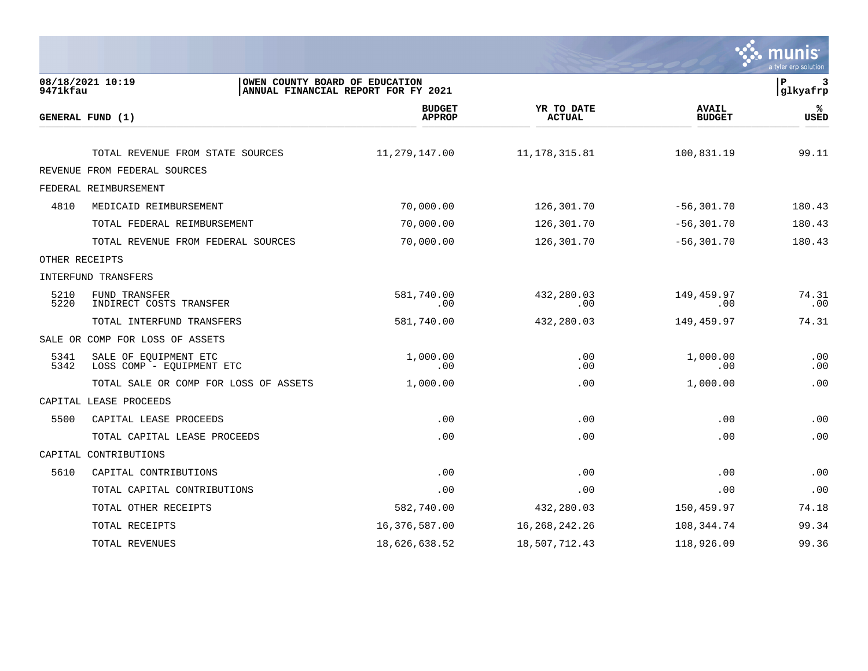

| 9471kfau     | 08/18/2021 10:19<br>OWEN COUNTY BOARD OF EDUCATION | ANNUAL FINANCIAL REPORT FOR FY 2021 |                             |                               | ∣P<br>3<br>glkyafrp |
|--------------|----------------------------------------------------|-------------------------------------|-----------------------------|-------------------------------|---------------------|
|              | GENERAL FUND (1)                                   | <b>BUDGET</b><br><b>APPROP</b>      | YR TO DATE<br><b>ACTUAL</b> | <b>AVAIL</b><br><b>BUDGET</b> | %<br><b>USED</b>    |
|              | TOTAL REVENUE FROM STATE SOURCES                   | 11,279,147.00                       | 11, 178, 315.81             | 100,831.19                    | 99.11               |
|              | REVENUE FROM FEDERAL SOURCES                       |                                     |                             |                               |                     |
|              | FEDERAL REIMBURSEMENT                              |                                     |                             |                               |                     |
| 4810         | MEDICAID REIMBURSEMENT                             | 70,000.00                           | 126,301.70                  | $-56, 301.70$                 | 180.43              |
|              | TOTAL FEDERAL REIMBURSEMENT                        | 70,000.00                           | 126,301.70                  | $-56, 301.70$                 | 180.43              |
|              | TOTAL REVENUE FROM FEDERAL SOURCES                 | 70,000.00                           | 126,301.70                  | $-56, 301.70$                 | 180.43              |
|              | OTHER RECEIPTS                                     |                                     |                             |                               |                     |
|              | INTERFUND TRANSFERS                                |                                     |                             |                               |                     |
| 5210<br>5220 | FUND TRANSFER<br>INDIRECT COSTS TRANSFER           | 581,740.00<br>.00                   | 432,280.03<br>.00           | 149,459.97<br>.00             | 74.31<br>.00        |
|              | TOTAL INTERFUND TRANSFERS                          | 581,740.00                          | 432,280.03                  | 149,459.97                    | 74.31               |
|              | SALE OR COMP FOR LOSS OF ASSETS                    |                                     |                             |                               |                     |
| 5341<br>5342 | SALE OF EQUIPMENT ETC<br>LOSS COMP - EQUIPMENT ETC | 1,000.00<br>.00                     | .00<br>.00                  | 1,000.00<br>.00               | .00<br>.00          |
|              | TOTAL SALE OR COMP FOR LOSS OF ASSETS              | 1,000.00                            | .00                         | 1,000.00                      | .00                 |
|              | CAPITAL LEASE PROCEEDS                             |                                     |                             |                               |                     |
| 5500         | CAPITAL LEASE PROCEEDS                             | .00                                 | .00                         | .00                           | .00                 |
|              | TOTAL CAPITAL LEASE PROCEEDS                       | .00                                 | .00                         | .00                           | .00                 |
|              | CAPITAL CONTRIBUTIONS                              |                                     |                             |                               |                     |
| 5610         | CAPITAL CONTRIBUTIONS                              | .00                                 | .00                         | .00                           | .00                 |
|              | TOTAL CAPITAL CONTRIBUTIONS                        | .00                                 | .00                         | .00                           | .00                 |
|              | TOTAL OTHER RECEIPTS                               | 582,740.00                          | 432,280.03                  | 150,459.97                    | 74.18               |
|              | TOTAL RECEIPTS                                     | 16,376,587.00                       | 16,268,242.26               | 108,344.74                    | 99.34               |
|              | TOTAL REVENUES                                     | 18,626,638.52                       | 18,507,712.43               | 118,926.09                    | 99.36               |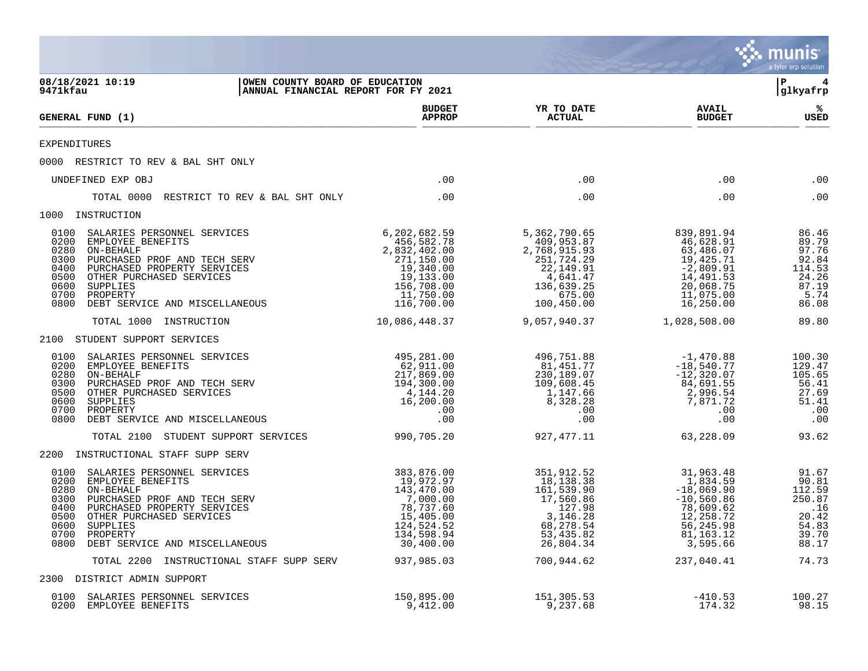|                                                                                                                                                                                                                                                                                                                                                                           |                                                                                                                                    |                                                                                                                                 |                                                                                                                                       | munis <sup>'</sup><br>a tyler erp solution                                             |
|---------------------------------------------------------------------------------------------------------------------------------------------------------------------------------------------------------------------------------------------------------------------------------------------------------------------------------------------------------------------------|------------------------------------------------------------------------------------------------------------------------------------|---------------------------------------------------------------------------------------------------------------------------------|---------------------------------------------------------------------------------------------------------------------------------------|----------------------------------------------------------------------------------------|
| 08/18/2021 10:19<br>OWEN COUNTY BOARD OF EDUCATION<br>9471kfau<br>ANNUAL FINANCIAL REPORT FOR FY 2021                                                                                                                                                                                                                                                                     |                                                                                                                                    |                                                                                                                                 |                                                                                                                                       | $\mathbf{P}$<br> glkyafrp                                                              |
| <b>GENERAL FUND (1)</b>                                                                                                                                                                                                                                                                                                                                                   | <b>BUDGET</b><br><b>APPROP</b>                                                                                                     | YR TO DATE<br><b>ACTUAL</b>                                                                                                     | <b>AVAIL</b><br><b>BUDGET</b>                                                                                                         | %ะ<br>USED                                                                             |
| EXPENDITURES                                                                                                                                                                                                                                                                                                                                                              |                                                                                                                                    |                                                                                                                                 |                                                                                                                                       |                                                                                        |
| 0000 RESTRICT TO REV & BAL SHT ONLY                                                                                                                                                                                                                                                                                                                                       |                                                                                                                                    |                                                                                                                                 |                                                                                                                                       |                                                                                        |
| UNDEFINED EXP OBJ                                                                                                                                                                                                                                                                                                                                                         | .00                                                                                                                                | .00                                                                                                                             | .00                                                                                                                                   | .00                                                                                    |
| RESTRICT TO REV & BAL SHT ONLY<br>TOTAL 0000                                                                                                                                                                                                                                                                                                                              | .00                                                                                                                                | .00                                                                                                                             | .00                                                                                                                                   | .00                                                                                    |
| 1000 INSTRUCTION                                                                                                                                                                                                                                                                                                                                                          |                                                                                                                                    |                                                                                                                                 |                                                                                                                                       |                                                                                        |
| 0100<br>SALARIES PERSONNEL SERVICES<br>0200<br>EMPLOYEE BENEFITS<br>0280<br>ON-BEHALF<br>0300<br>PURCHASED PROF AND TECH SERV<br>0400<br>PURCHASED PROPERTY SERVICES<br>0500<br>OTHER PURCHASED SERVICES<br>0600<br>SUPPLIES<br>0700<br>PROPERTY<br>0800<br>DEBT SERVICE AND MISCELLANEOUS                                                                                | 6,202,682.59<br>456,582.78<br>2,832,402.00<br>271,150.00<br>19,340.00<br>19,133.00<br>156,708.00<br>11,750.00<br>116,700.00        | 5,362,790.65<br>409,953.87<br>2,768,915.93<br>251,724.29<br>22, 149.91<br>4,641.47<br>136,639.25<br>675.00<br>100,450.00        | 839,891.94<br>46,628.91<br>63,486.07<br>19,425.71<br>$-2,809.91$<br>14,491.53<br>20,068.75<br>11,075.00<br>16,250.00                  | 86.46<br>89.79<br>97.76<br>92.84<br>114.53<br>24.26<br>87.19<br>5.74<br>86.08          |
| TOTAL 1000 INSTRUCTION                                                                                                                                                                                                                                                                                                                                                    | 10,086,448.37                                                                                                                      | 9,057,940.37                                                                                                                    | 1,028,508.00                                                                                                                          | 89.80                                                                                  |
| 2100 STUDENT SUPPORT SERVICES                                                                                                                                                                                                                                                                                                                                             |                                                                                                                                    |                                                                                                                                 |                                                                                                                                       |                                                                                        |
| 0100<br>SALARIES PERSONNEL SERVICES<br>0200<br>EMPLOYEE BENEFITS<br>0280<br>ON-BEHALF<br>0300<br>PURCHASED PROF AND TECH SERV<br>0500<br>OTHER PURCHASED SERVICES<br>0600<br>SUPPLIES<br>0700<br>PROPERTY<br>0800<br>DEBT SERVICE AND MISCELLANEOUS<br>TOTAL 2100 STUDENT SUPPORT SERVICES                                                                                | 495,281.00<br>62,911.00<br>217,869.00<br>194,300.00<br>4,144.20<br>16,200.00<br>.00<br>.00<br>990,705.20                           | 496,751.88<br>81,451.77<br>230,189.07<br>109,608.45<br>1,147.66<br>8,328.28<br>.00<br>.00<br>927,477.11                         | -1,470.88<br>$-18,540.77$<br>$-12,320.07$<br>84,691.55<br>2,996.54<br>7,871.72<br>.00<br>.00<br>63,228.09                             | 100.30<br>129.47<br>105.65<br>56.41<br>27.69<br>51.41<br>.00<br>.00<br>93.62           |
|                                                                                                                                                                                                                                                                                                                                                                           |                                                                                                                                    |                                                                                                                                 |                                                                                                                                       |                                                                                        |
| 2200<br>INSTRUCTIONAL STAFF SUPP SERV<br>0100<br>SALARIES PERSONNEL SERVICES<br>0200<br>EMPLOYEE BENEFITS<br>0280<br>ON-BEHALF<br>0300<br>PURCHASED PROF AND TECH SERV<br>0400<br>PURCHASED PROPERTY SERVICES<br>0500<br>OTHER PURCHASED SERVICES<br>SUPPLIES<br>0600<br>0700 PROPERTY<br>0800 DEBT SERVICE AND MISCELLANEOUS<br>TOTAL 2200 INSTRUCTIONAL STAFF SUPP SERV | 383,876.00<br>19,972.97<br>143,470.00<br>7,000.00<br>78,737.60<br>15,405.00<br>124,524.52<br>134,598.94<br>30,400.00<br>937,985.03 | 351,912.52<br>18,138.38<br>161,539.90<br>17,560.86<br>127.98<br>3, 146, 28<br>68,278.54<br>53,435.82<br>26,804.34<br>700,944.62 | 31,963.48<br>1,834.59<br>$-18,069.90$<br>$-10,560.86$<br>78,609.62<br>12,258.72<br>56,245.98<br>81, 163. 12<br>3,595.66<br>237,040.41 | 91.67<br>90.81<br>112.59<br>250.87<br>.16<br>20.42<br>54.83<br>39.70<br>88.17<br>74.73 |
| 2300 DISTRICT ADMIN SUPPORT                                                                                                                                                                                                                                                                                                                                               |                                                                                                                                    |                                                                                                                                 |                                                                                                                                       |                                                                                        |
| SALARIES PERSONNEL SERVICES<br>0100<br>0200<br>EMPLOYEE BENEFITS                                                                                                                                                                                                                                                                                                          | 150,895.00<br>9,412.00                                                                                                             | 151,305.53<br>9,237.68                                                                                                          | $-410.53$<br>174.32                                                                                                                   | 100.27<br>98.15                                                                        |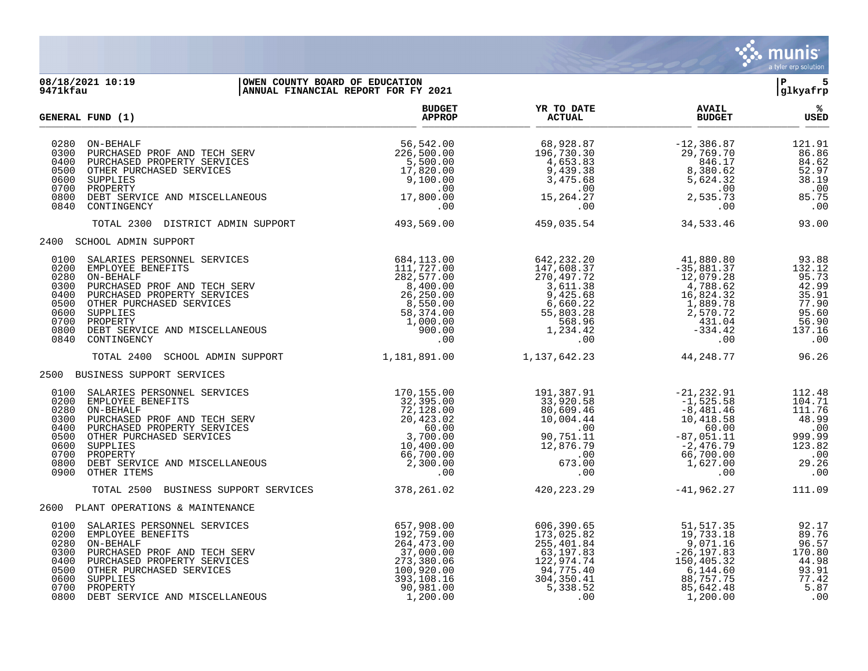

### **08/18/2021 10:19 |OWEN COUNTY BOARD OF EDUCATION |P 5 9471kfau |ANNUAL FINANCIAL REPORT FOR FY 2021 |glkyafrp**

|                                                                              | GENERAL FUND (1)                                                                                                                                                                                                                  | <b>BUDGET</b><br><b>APPROP</b>                                                                                                                                                                                                                                                                                                   | YR TO DATE<br><b>ACTUAL</b>                                                                                      | <b>AVAIL</b><br><b>BUDGET</b>                                                                                                                    | %<br><b>USED</b>                                                                            |
|------------------------------------------------------------------------------|-----------------------------------------------------------------------------------------------------------------------------------------------------------------------------------------------------------------------------------|----------------------------------------------------------------------------------------------------------------------------------------------------------------------------------------------------------------------------------------------------------------------------------------------------------------------------------|------------------------------------------------------------------------------------------------------------------|--------------------------------------------------------------------------------------------------------------------------------------------------|---------------------------------------------------------------------------------------------|
| 0280<br>0300<br>0400<br>0500<br>0600<br>0700<br>0800<br>0840                 | ON-BEHALF<br>ON-BEHALF<br>PURCHASED PROF AND TECH SERV<br>PURCHASED PROPERTY SERVICES<br>OTHER PURCHASED SERVICES<br>SUPPLIES<br>PROPERTY<br>DEBI SERVICE AND MISCELLANEOUS<br>ONTINGENCY<br>CONTINGENCY                          | 56,542.00<br>226,500.00<br>5,500.00<br>17,820.00<br>9,100.00<br>.00<br>17,800.00<br>.00                                                                                                                                                                                                                                          | 68,928.87<br>196,730.30<br>$\frac{1}{2}$<br>4,653.83<br>9,439.38<br>3,475.68<br>.00<br>15, 264. 27<br>.00        | $-12,386.87$<br>29,769.70<br>846.17<br>8,380.62<br>5,624.32<br>.00<br>2,535.73<br>.00                                                            | 121.91<br>86.86<br>84.62<br>52.97<br>38.19<br>.00<br>85.75<br>.00                           |
|                                                                              | TOTAL 2300<br>DISTRICT ADMIN SUPPORT                                                                                                                                                                                              | 493,569.00                                                                                                                                                                                                                                                                                                                       | 459,035.54                                                                                                       | 34,533.46                                                                                                                                        | 93.00                                                                                       |
|                                                                              | 2400 SCHOOL ADMIN SUPPORT                                                                                                                                                                                                         |                                                                                                                                                                                                                                                                                                                                  |                                                                                                                  |                                                                                                                                                  |                                                                                             |
| 0100<br>0200<br>0280<br>0300<br>0400<br>0500<br>0600<br>0700<br>0800<br>0840 | SALARIES PERSONNEL SERVICES<br>EMPLOYEE BENEFITS<br>ON-BEHALF<br>PURCHASED PROF AND TECH SERV<br>PURCHASED PROPERTY SERVICES<br>OTHER PURCHASED SERVICES<br>SUPPLIES<br>PROPERTY<br>DEBT SERVICE AND MISCELLANEOUS<br>CONTINGENCY | 8<br>84, 113.00<br>111, 727.00<br>282, 232.20<br>282, 577.00<br>8, 400.00<br>26, 250.00<br>26, 250.00<br>8, 550.00<br>58, 374.00<br>55, 803.28<br>8, 374.00<br>55, 803.28<br>8, 900.00<br>56, 660.22<br>558.34.42<br>900.00<br>1, 000.00<br>1, 234.42<br>1, 234.42<br>                                                           |                                                                                                                  | 41,880.80<br>$-35,881.37$<br>12,079.28<br>4,788.62<br>16,824.32<br>1,889.78<br>2,570.72<br>$431.04$<br>$-334.42$<br>.00                          | 93.88<br>132.12<br>95.73<br>42.99<br>35.91<br>77.90<br>95.60<br>56.90<br>137.16<br>.00      |
|                                                                              | TOTAL 2400<br>SCHOOL ADMIN SUPPORT                                                                                                                                                                                                | 1,181,891.00                                                                                                                                                                                                                                                                                                                     | 1, 137, 642. 23                                                                                                  | 44,248.77                                                                                                                                        | 96.26                                                                                       |
|                                                                              | 2500 BUSINESS SUPPORT SERVICES                                                                                                                                                                                                    |                                                                                                                                                                                                                                                                                                                                  |                                                                                                                  |                                                                                                                                                  |                                                                                             |
| 0100<br>0200<br>0280<br>0300<br>0400<br>0500<br>0600<br>0700<br>0800<br>0900 | SALARIES PERSONNEL SERVICES<br>EMPLOYEE BENEFITS<br>ON-BEHALF<br>PURCHASED PROF AND TECH SERV<br>PURCHASED PROPERTY SERVICES<br>OTHER PURCHASED SERVICES<br>SUPPLIES<br>PROPERTY<br>DEBT SERVICE AND MISCELLANEOUS<br>OTHER ITEMS | ES<br>ERV<br>ERV<br>ES<br>ES<br>ES<br>20,423.02<br>ES<br>60.00<br>3,700.00<br>10,400.00<br>66,700.00<br>2,3300.00<br>2,300.00<br>2,300.00<br>2,00.00<br>2,00.00<br>5,00.00<br>2,00.00<br>2,00.00<br>2,00.00<br>2,00.00<br>2,00.00<br>.00                                                                                         | 191,387.91<br>33,920.58<br>80,609.46<br>10,004.44<br>.00<br>90,751.11<br>$12,876.79\n00\n673.00\n00$<br>.00      | $-21, 232.91$<br>$-1, 525.58$<br>$-8, 481.46$<br>$10, 418.58$<br>$-60.00$<br>$-87, 051.11$<br>$-2, 476.79$<br>$66, 700.00$<br>$1, 627.00$<br>.00 | 112.48<br>104.71<br>111.76<br>48.99<br>.00<br>999.99<br>123.82<br>.00<br>29.26<br>$\,.\,00$ |
|                                                                              | BUSINESS SUPPORT SERVICES<br>TOTAL 2500                                                                                                                                                                                           | 378,261.02                                                                                                                                                                                                                                                                                                                       | 420, 223, 29                                                                                                     | $-41,962.27$                                                                                                                                     | 111.09                                                                                      |
|                                                                              | 2600 PLANT OPERATIONS & MAINTENANCE                                                                                                                                                                                               |                                                                                                                                                                                                                                                                                                                                  |                                                                                                                  |                                                                                                                                                  |                                                                                             |
| 0100<br>0200<br>0280<br>0300<br>0400<br>0500<br>0600<br>0700<br>0800         | SALARIES PERSONNEL SERVICES<br>EMPLOYEE BENEFITS<br>ON-BEHALF<br>PURCHASED PROF AND TECH SERV<br>PURCHASED PROPERTY SERVICES<br>OTHER PURCHASED SERVICES<br>SUPPLIES<br>PROPERTY<br>DEBT SERVICE AND MISCELLANEOUS                | $\begin{array}{ll} \text{MS} & 657,908.00 \\ \text{300} & 192,759.00 \\ \text{310} & 264,473.00 \\ \text{321} & 37,000.00 \\ \text{332} & 380.06 \\ \text{343} & 383.108.16 \\ \text{353} & 380.06 \\ \text{363} & 100,920.00 \\ \text{373} & 380.10 \\ \text{384} & 16 \\ \text{390} & 981.00 \\ \text{393} & 1.200.00 \\ \end$ | 606,390.65<br>173,025.82<br>255,401.84<br>63,197.83<br>122,974.74<br>94,775.40<br>304, 350.41<br>5,338.52<br>.00 | 51,517.35<br>19,733.18<br>$9,071.16$<br>-26,197.83<br>150,405.32<br>6,144.60<br>88,757.75<br>85,642.48<br>1,200.00                               | 92.17<br>89.76<br>96.57<br>170.80<br>44.98<br>93.91<br>77.42<br>5.87<br>.00                 |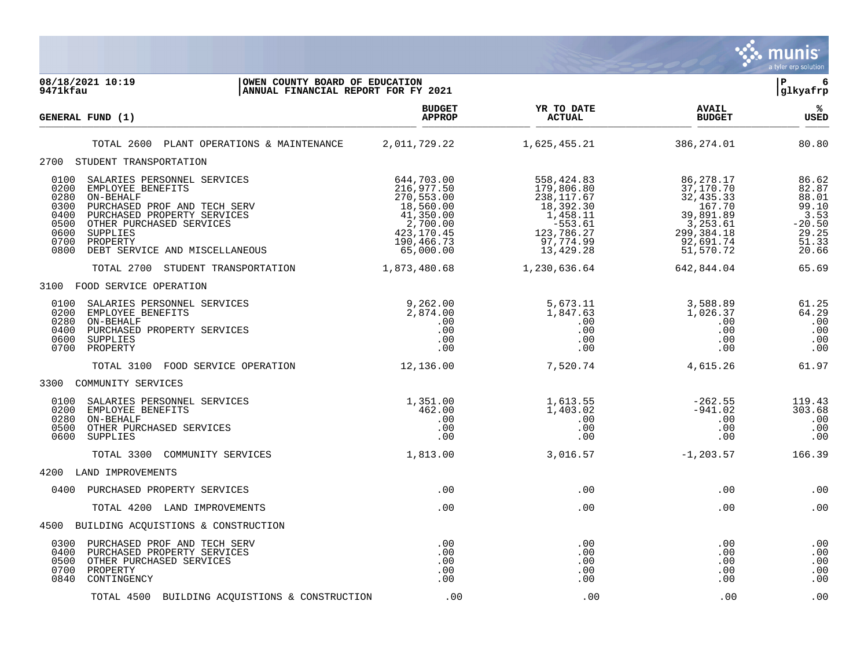

| 08/18/2021 10:19<br>OWEN COUNTY BOARD OF EDUCATION<br>9471kfau<br>ANNUAL FINANCIAL REPORT FOR FY 2021 |                                                                                                                                                                                                                    |                                                                                                                                   |                                                                                                                                    |                                                                                                                  | l P<br>6<br>glkyafrp                                                            |
|-------------------------------------------------------------------------------------------------------|--------------------------------------------------------------------------------------------------------------------------------------------------------------------------------------------------------------------|-----------------------------------------------------------------------------------------------------------------------------------|------------------------------------------------------------------------------------------------------------------------------------|------------------------------------------------------------------------------------------------------------------|---------------------------------------------------------------------------------|
|                                                                                                       | GENERAL FUND (1)                                                                                                                                                                                                   | <b>BUDGET</b><br><b>APPROP</b>                                                                                                    | YR TO DATE<br>ACTUAL                                                                                                               | <b>AVAIL</b><br><b>BUDGET</b>                                                                                    | %ะ<br><b>USED</b>                                                               |
|                                                                                                       | TOTAL 2600 PLANT OPERATIONS & MAINTENANCE 2,011,729.22                                                                                                                                                             |                                                                                                                                   | 1,625,455.21                                                                                                                       | 386,274.01                                                                                                       | 80.80                                                                           |
|                                                                                                       | 2700 STUDENT TRANSPORTATION                                                                                                                                                                                        |                                                                                                                                   |                                                                                                                                    |                                                                                                                  |                                                                                 |
| 0100<br>0200<br>0280<br>0300<br>0400<br>0500<br>0600<br>0700<br>0800                                  | SALARIES PERSONNEL SERVICES<br>EMPLOYEE BENEFITS<br>ON-BEHALF<br>PURCHASED PROF AND TECH SERV<br>PURCHASED PROPERTY SERVICES<br>OTHER PURCHASED SERVICES<br>SUPPLIES<br>PROPERTY<br>DEBT SERVICE AND MISCELLANEOUS | 644,703.00<br>216,977.50<br>270,553.00<br>$18,560.00$<br>$41,350.00$<br>$2,700.00$<br>$423,170.45$<br>$190,466.73$<br>$65,000.00$ | 558,424.83<br>179,806.80<br>238,117.67<br>18,392.30<br>1,458.11<br>-553.61<br>ـد. دوو-<br>123, 786. 27<br>97, 774. 99<br>13,429.28 | 86,278.17<br>37,170.70<br>32,435.33<br>167.70<br>39,891.89<br>3,253.61<br>299, 384. 18<br>92,691.74<br>51,570.72 | 86.62<br>82.87<br>88.01<br>99.10<br>3.53<br>$-20.50$<br>29.25<br>51.33<br>20.66 |
|                                                                                                       | TOTAL 2700 STUDENT TRANSPORTATION                                                                                                                                                                                  | 1,873,480.68                                                                                                                      | 1,230,636.64                                                                                                                       | 642,844.04                                                                                                       | 65.69                                                                           |
|                                                                                                       | 3100 FOOD SERVICE OPERATION                                                                                                                                                                                        |                                                                                                                                   |                                                                                                                                    |                                                                                                                  |                                                                                 |
| 0100<br>0200<br>0280<br>0400<br>0600<br>0700                                                          | $9,262.00$<br>2,874.00<br>.00<br>.00<br>.00<br>SALARIES PERSONNEL SERVICES<br>EMPLOYEE BENEFITS<br>ON-BEHALF<br>PURCHASED PROPERTY SERVICES<br>SUPPLIES<br>PROPERTY                                                | .00                                                                                                                               | 5,673.11<br>1,847.63<br>.00<br>.00<br>.00<br>.00                                                                                   | 3,588.89<br>1,026.37<br>.00<br>.00<br>.00<br>.00                                                                 | 61.25<br>64.29<br>.00<br>.00<br>.00<br>.00                                      |
|                                                                                                       | TOTAL 3100 FOOD SERVICE OPERATION                                                                                                                                                                                  | 12, 136.00                                                                                                                        | 7,520.74                                                                                                                           | 4,615.26                                                                                                         | 61.97                                                                           |
|                                                                                                       | 3300 COMMUNITY SERVICES                                                                                                                                                                                            |                                                                                                                                   |                                                                                                                                    |                                                                                                                  |                                                                                 |
| 0100<br>0280<br>0500<br>0600                                                                          | SALARIES PERSONNEL SERVICES<br>0200 EMPLOYEE BENEFITS<br>ON-BEHALF<br>OTHER PURCHASED SERVICES<br>SUPPLIES                                                                                                         | 1,351.00<br>462.00<br>.00<br>.00<br>.00                                                                                           | 1,613.55<br>1,403.02<br>.00<br>.00<br>.00                                                                                          | $-262.55$<br>$-941.02$<br>.00<br>.00<br>.00                                                                      | 119.43<br>303.68<br>.00<br>.00<br>.00                                           |
|                                                                                                       | TOTAL 3300 COMMUNITY SERVICES                                                                                                                                                                                      | 1,813.00                                                                                                                          | 3,016.57                                                                                                                           | $-1, 203.57$                                                                                                     | 166.39                                                                          |
|                                                                                                       | 4200 LAND IMPROVEMENTS                                                                                                                                                                                             |                                                                                                                                   |                                                                                                                                    |                                                                                                                  |                                                                                 |
|                                                                                                       | 0400 PURCHASED PROPERTY SERVICES                                                                                                                                                                                   | .00                                                                                                                               | .00                                                                                                                                | $.00 \,$                                                                                                         | .00                                                                             |
|                                                                                                       | TOTAL 4200 LAND IMPROVEMENTS                                                                                                                                                                                       | .00                                                                                                                               | .00                                                                                                                                | .00                                                                                                              | .00                                                                             |
|                                                                                                       | 4500 BUILDING ACQUISTIONS & CONSTRUCTION                                                                                                                                                                           |                                                                                                                                   |                                                                                                                                    |                                                                                                                  |                                                                                 |
| 0300<br>0500<br>0700<br>0840                                                                          | PURCHASED PROF AND TECH SERV<br>0400 PURCHASED PROPERTY SERVICES<br>OTHER PURCHASED SERVICES<br>PROPERTY<br>CONTINGENCY                                                                                            | .00<br>.00<br>.00<br>.00<br>.00                                                                                                   | .00<br>.00<br>.00<br>.00<br>.00                                                                                                    | .00<br>.00<br>.00<br>.00<br>.00                                                                                  | .00<br>.00<br>.00<br>.00<br>.00                                                 |
|                                                                                                       | TOTAL 4500 BUILDING ACQUISTIONS & CONSTRUCTION                                                                                                                                                                     | .00                                                                                                                               | .00                                                                                                                                | .00                                                                                                              | .00                                                                             |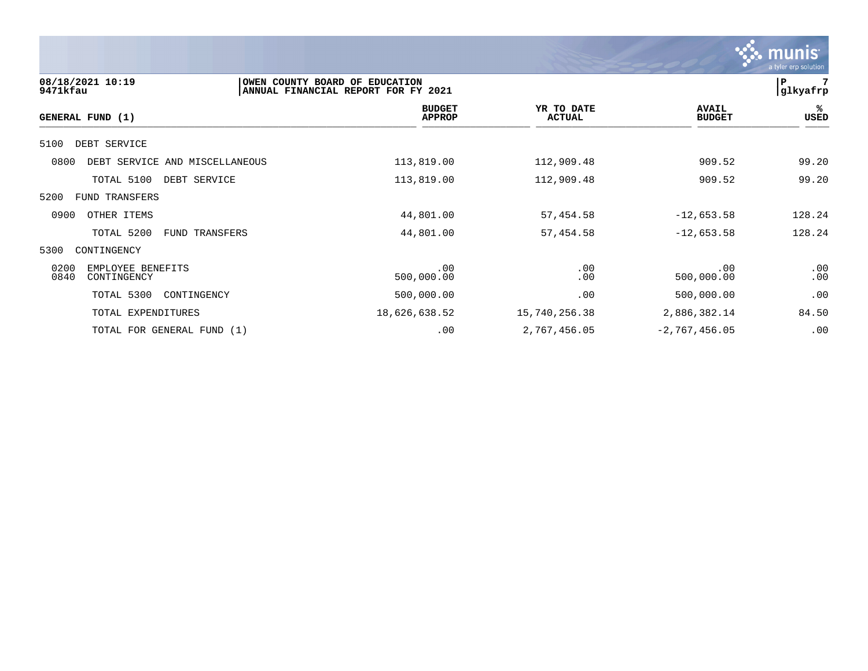

| 08/18/2021 10:19<br>9471kfau                     | OWEN COUNTY BOARD OF EDUCATION<br>ANNUAL FINANCIAL REPORT FOR FY 2021 |                                |                             |                               | 7<br>P<br>glkyafrp |
|--------------------------------------------------|-----------------------------------------------------------------------|--------------------------------|-----------------------------|-------------------------------|--------------------|
| GENERAL FUND (1)                                 |                                                                       | <b>BUDGET</b><br><b>APPROP</b> | YR TO DATE<br><b>ACTUAL</b> | <b>AVAIL</b><br><b>BUDGET</b> | %ะ<br>USED         |
| 5100<br>DEBT SERVICE                             |                                                                       |                                |                             |                               |                    |
| 0800<br>DEBT SERVICE AND MISCELLANEOUS           | 113,819.00                                                            |                                | 112,909.48                  | 909.52                        | 99.20              |
| TOTAL 5100<br>DEBT SERVICE                       | 113,819.00                                                            |                                | 112,909.48                  | 909.52                        | 99.20              |
| 5200<br>FUND TRANSFERS                           |                                                                       |                                |                             |                               |                    |
| 0900<br>OTHER ITEMS                              | 44,801.00                                                             |                                | 57,454.58                   | $-12,653.58$                  | 128.24             |
| TOTAL 5200<br>FUND TRANSFERS                     | 44,801.00                                                             |                                | 57,454.58                   | $-12,653.58$                  | 128.24             |
| 5300<br>CONTINGENCY                              |                                                                       |                                |                             |                               |                    |
| 0200<br>EMPLOYEE BENEFITS<br>0840<br>CONTINGENCY | 500,000.00                                                            | .00                            | .00<br>.00                  | .00<br>500,000.00             | .00<br>.00         |
| TOTAL 5300<br>CONTINGENCY                        | 500,000.00                                                            |                                | .00                         | 500,000.00                    | .00                |
| TOTAL EXPENDITURES                               | 18,626,638.52                                                         |                                | 15,740,256.38               | 2,886,382.14                  | 84.50              |
| TOTAL FOR GENERAL FUND (1)                       |                                                                       | .00                            | 2,767,456.05                | $-2, 767, 456.05$             | .00                |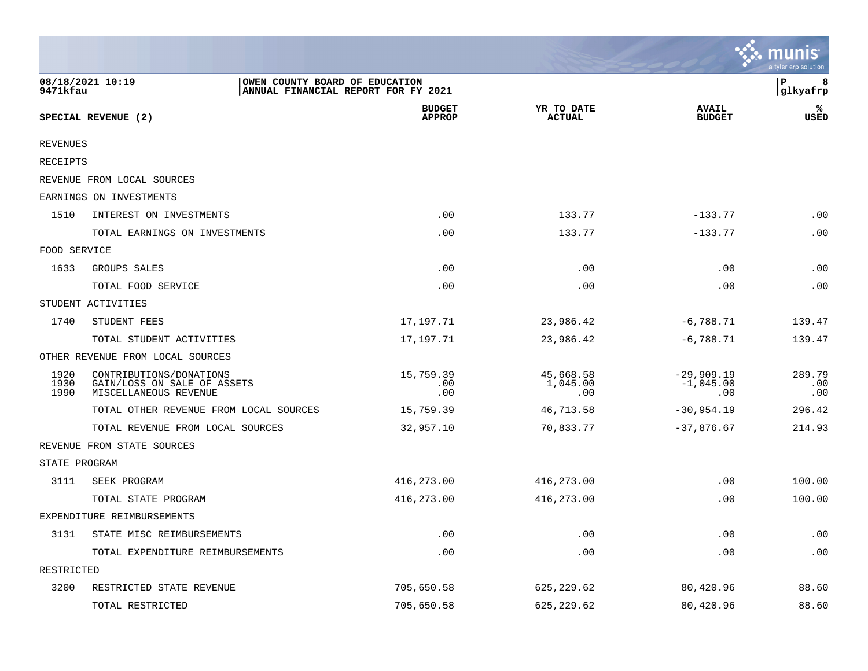|                      |                                                                                           |                                |                              |                                    | munis<br>a tyler erp solution |
|----------------------|-------------------------------------------------------------------------------------------|--------------------------------|------------------------------|------------------------------------|-------------------------------|
| 9471kfau             | 08/18/2021 10:19<br>OWEN COUNTY BOARD OF EDUCATION<br>ANNUAL FINANCIAL REPORT FOR FY 2021 |                                |                              |                                    | l P<br>8<br> glkyafrp         |
|                      | SPECIAL REVENUE (2)                                                                       | <b>BUDGET</b><br><b>APPROP</b> | YR TO DATE<br><b>ACTUAL</b>  | <b>AVAIL</b><br><b>BUDGET</b>      | ℁<br>USED                     |
| <b>REVENUES</b>      |                                                                                           |                                |                              |                                    |                               |
| RECEIPTS             |                                                                                           |                                |                              |                                    |                               |
|                      | REVENUE FROM LOCAL SOURCES                                                                |                                |                              |                                    |                               |
|                      | EARNINGS ON INVESTMENTS                                                                   |                                |                              |                                    |                               |
| 1510                 | INTEREST ON INVESTMENTS                                                                   | .00                            | 133.77                       | $-133.77$                          | .00                           |
|                      | TOTAL EARNINGS ON INVESTMENTS                                                             | .00                            | 133.77                       | $-133.77$                          | .00                           |
| FOOD SERVICE         |                                                                                           |                                |                              |                                    |                               |
| 1633                 | GROUPS SALES                                                                              | .00                            | .00                          | .00                                | .00                           |
|                      | TOTAL FOOD SERVICE                                                                        | .00                            | .00                          | .00                                | .00                           |
|                      | STUDENT ACTIVITIES                                                                        |                                |                              |                                    |                               |
| 1740                 | STUDENT FEES                                                                              | 17,197.71                      | 23,986.42                    | $-6,788.71$                        | 139.47                        |
|                      | TOTAL STUDENT ACTIVITIES                                                                  | 17,197.71                      | 23,986.42                    | $-6,788.71$                        | 139.47                        |
|                      | OTHER REVENUE FROM LOCAL SOURCES                                                          |                                |                              |                                    |                               |
| 1920<br>1930<br>1990 | CONTRIBUTIONS/DONATIONS<br>GAIN/LOSS ON SALE OF ASSETS<br>MISCELLANEOUS REVENUE           | 15,759.39<br>.00<br>.00        | 45,668.58<br>1,045.00<br>.00 | $-29,909.19$<br>$-1,045.00$<br>.00 | 289.79<br>.00<br>.00          |
|                      | TOTAL OTHER REVENUE FROM LOCAL SOURCES                                                    | 15,759.39                      | 46,713.58                    | $-30,954.19$                       | 296.42                        |
|                      | TOTAL REVENUE FROM LOCAL SOURCES                                                          | 32,957.10                      | 70,833.77                    | $-37,876.67$                       | 214.93                        |
|                      | REVENUE FROM STATE SOURCES                                                                |                                |                              |                                    |                               |
| STATE PROGRAM        |                                                                                           |                                |                              |                                    |                               |
| 3111                 | SEEK PROGRAM                                                                              | 416,273.00                     | 416,273.00                   | .00                                | 100.00                        |
|                      | TOTAL STATE PROGRAM                                                                       | 416,273.00                     | 416,273.00                   | .00                                | 100.00                        |
|                      | EXPENDITURE REIMBURSEMENTS                                                                |                                |                              |                                    |                               |
| 3131                 | STATE MISC REIMBURSEMENTS                                                                 | .00                            | .00                          | .00                                | .00                           |
|                      | TOTAL EXPENDITURE REIMBURSEMENTS                                                          | .00                            | .00                          | .00                                | .00                           |
| RESTRICTED           |                                                                                           |                                |                              |                                    |                               |
| 3200                 | RESTRICTED STATE REVENUE                                                                  | 705,650.58                     | 625, 229.62                  | 80,420.96                          | 88.60                         |
|                      | TOTAL RESTRICTED                                                                          | 705,650.58                     | 625, 229.62                  | 80,420.96                          | 88.60                         |

and the contract of the contract of the contract of the contract of the contract of the contract of the contract of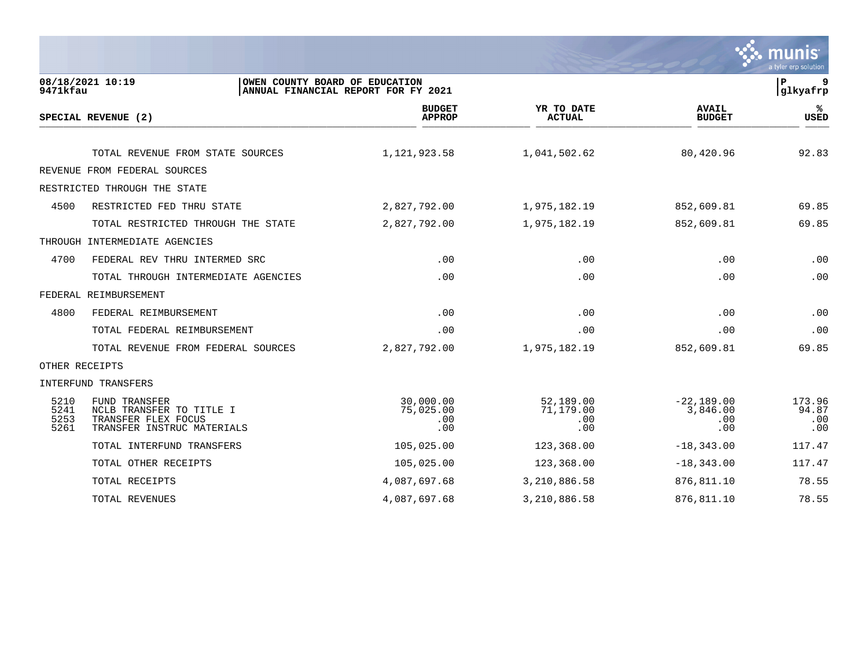

| 9471kfau                     | 08/18/2021 10:19<br>OWEN COUNTY BOARD OF EDUCATION                                                    | ANNUAL FINANCIAL REPORT FOR FY 2021  |                                      |                                        | 9<br>P<br>glkyafrp            |
|------------------------------|-------------------------------------------------------------------------------------------------------|--------------------------------------|--------------------------------------|----------------------------------------|-------------------------------|
|                              | SPECIAL REVENUE (2)                                                                                   | <b>BUDGET</b><br><b>APPROP</b>       | YR TO DATE<br><b>ACTUAL</b>          | <b>AVAIL</b><br><b>BUDGET</b>          | ℁<br><b>USED</b>              |
|                              |                                                                                                       |                                      |                                      |                                        |                               |
|                              | TOTAL REVENUE FROM STATE SOURCES                                                                      | 1,121,923.58                         | 1,041,502.62                         | 80,420.96                              | 92.83                         |
|                              | REVENUE FROM FEDERAL SOURCES                                                                          |                                      |                                      |                                        |                               |
|                              | RESTRICTED THROUGH THE STATE                                                                          |                                      |                                      |                                        |                               |
| 4500                         | RESTRICTED FED THRU STATE                                                                             | 2,827,792.00                         | 1,975,182.19                         | 852,609.81                             | 69.85                         |
|                              | TOTAL RESTRICTED THROUGH THE STATE                                                                    | 2,827,792.00                         | 1,975,182.19                         | 852,609.81                             | 69.85                         |
|                              | THROUGH INTERMEDIATE AGENCIES                                                                         |                                      |                                      |                                        |                               |
| 4700                         | FEDERAL REV THRU INTERMED SRC                                                                         | .00                                  | .00                                  | .00                                    | .00                           |
|                              | TOTAL THROUGH INTERMEDIATE AGENCIES                                                                   | .00                                  | .00                                  | .00                                    | .00                           |
|                              | FEDERAL REIMBURSEMENT                                                                                 |                                      |                                      |                                        |                               |
| 4800                         | FEDERAL REIMBURSEMENT                                                                                 | .00                                  | .00                                  | .00                                    | .00                           |
|                              | TOTAL FEDERAL REIMBURSEMENT                                                                           | .00                                  | .00                                  | .00                                    | .00                           |
|                              | TOTAL REVENUE FROM FEDERAL SOURCES                                                                    | 2,827,792.00                         | 1,975,182.19                         | 852,609.81                             | 69.85                         |
| OTHER RECEIPTS               |                                                                                                       |                                      |                                      |                                        |                               |
|                              | INTERFUND TRANSFERS                                                                                   |                                      |                                      |                                        |                               |
| 5210<br>5241<br>5253<br>5261 | <b>FUND TRANSFER</b><br>NCLB TRANSFER TO TITLE I<br>TRANSFER FLEX FOCUS<br>TRANSFER INSTRUC MATERIALS | 30,000.00<br>75,025.00<br>.00<br>.00 | 52,189.00<br>71,179.00<br>.00<br>.00 | $-22,189.00$<br>3,846.00<br>.00<br>.00 | 173.96<br>94.87<br>.00<br>.00 |
|                              | TOTAL INTERFUND TRANSFERS                                                                             | 105,025.00                           | 123,368.00                           | $-18,343.00$                           | 117.47                        |
|                              | TOTAL OTHER RECEIPTS                                                                                  | 105,025.00                           | 123,368.00                           | $-18, 343.00$                          | 117.47                        |
|                              | TOTAL RECEIPTS                                                                                        | 4,087,697.68                         | 3,210,886.58                         | 876, 811.10                            | 78.55                         |
|                              | <b>TOTAL REVENUES</b>                                                                                 | 4,087,697.68                         | 3,210,886.58                         | 876,811.10                             | 78.55                         |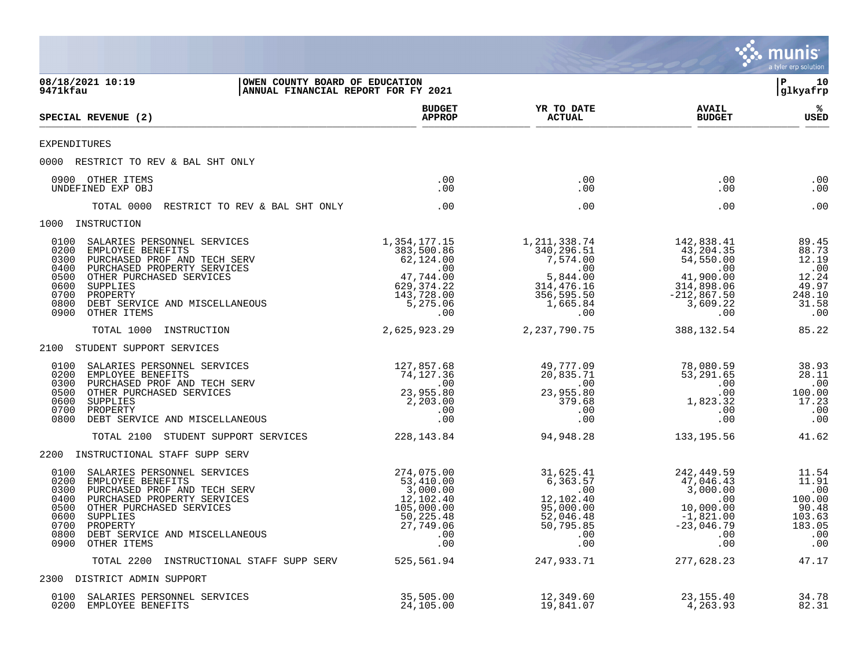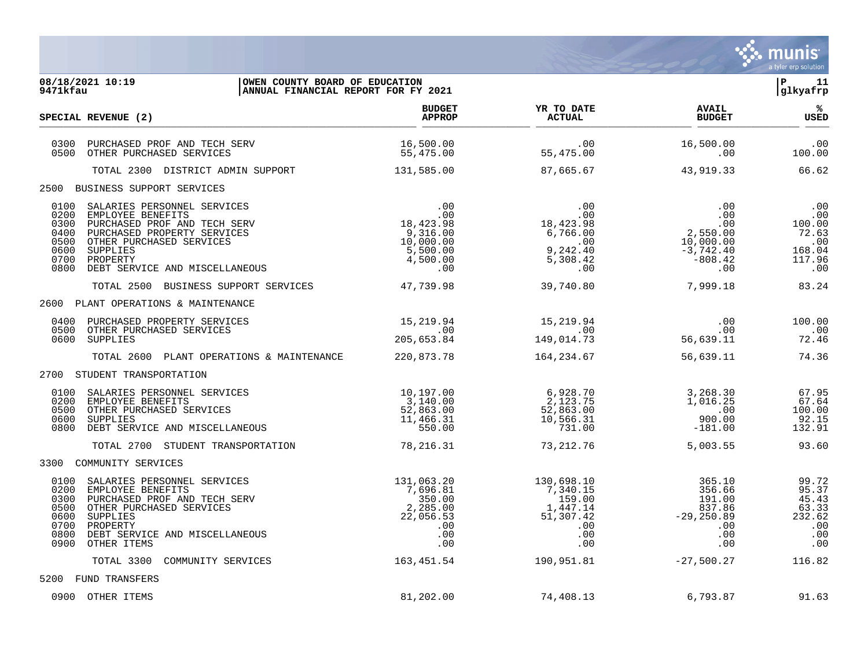

| 08/18/2021 10:19<br>OWEN COUNTY BOARD OF EDUCATION<br>ANNUAL FINANCIAL REPORT FOR FY 2021<br>9471kfau                                                                                                                                                                            |                                                                                                                                                                                                                               |                                                                                                                                                                                                          |                                                                                                                   | $ P $ 11<br>glkyafrp                                                                                            |
|----------------------------------------------------------------------------------------------------------------------------------------------------------------------------------------------------------------------------------------------------------------------------------|-------------------------------------------------------------------------------------------------------------------------------------------------------------------------------------------------------------------------------|----------------------------------------------------------------------------------------------------------------------------------------------------------------------------------------------------------|-------------------------------------------------------------------------------------------------------------------|-----------------------------------------------------------------------------------------------------------------|
| SPECIAL REVENUE (2)                                                                                                                                                                                                                                                              | <b>BUDGET</b><br><b>APPROP</b>                                                                                                                                                                                                | YR TO DATE<br><b>ACTUAL</b>                                                                                                                                                                              | <b>AVAIL</b><br><b>BUDGET</b>                                                                                     | ം ക<br>USED                                                                                                     |
| 0300<br>PURCHASED PROF AND TECH SERV<br>0500<br>OTHER PURCHASED SERVICES                                                                                                                                                                                                         | 16,500.00<br>55,475.00                                                                                                                                                                                                        | .00<br>55,475.00                                                                                                                                                                                         | 16,500.00<br>.00                                                                                                  | .00<br>100.00                                                                                                   |
| TOTAL 2300 DISTRICT ADMIN SUPPORT                                                                                                                                                                                                                                                | 131,585.00                                                                                                                                                                                                                    | 87,665.67                                                                                                                                                                                                | 43,919.33                                                                                                         | 66.62                                                                                                           |
| 2500 BUSINESS SUPPORT SERVICES                                                                                                                                                                                                                                                   |                                                                                                                                                                                                                               |                                                                                                                                                                                                          |                                                                                                                   |                                                                                                                 |
| 0100<br>SALARIES PERSONNEL SERVICES<br>0200<br>EMPLOYEE BENEFITS<br>0300<br>PURCHASED PROF AND TECH SERV<br>PURCHASED PROPERTY SERVICES<br>0400<br>0500<br>OTHER PURCHASED SERVICES<br>0600<br>SUPPLIES<br>0700<br>PROPERTY<br>0800<br>DEBT SERVICE AND MISCELLANEOUS            | $\begin{array}{c} 0.00 \\ -0.00 \end{array}$<br>18,423.98<br>$-0.7423.98$<br>9,316.00<br>10,000.00<br>5,500.00<br>$\frac{5}{4}$ , 500.00<br>4, 500.00<br>.00                                                                  | $18,423.98$<br>$6,766.00$ .00<br>$242.40$<br>00 .<br>10 . 9 . 24 , 9<br>5 , 30 . 5 . 5<br>00 .<br>.00                                                                                                    | .00<br>$\begin{array}{r} .00\ .00\ .00\ .00\ 2,550.00\ 10,000.00\ \end{array}$<br>$-3,742.40$<br>$-808.42$<br>.00 | $\begin{array}{c} 0.00 \\ -0.00 \end{array}$<br>$100.00$<br>100.00<br>$72.63$<br>.00<br>168.04<br>117.96<br>.00 |
| TOTAL 2500 BUSINESS SUPPORT SERVICES 47,739.98                                                                                                                                                                                                                                   |                                                                                                                                                                                                                               | 39,740.80                                                                                                                                                                                                | 7,999.18                                                                                                          | 83.24                                                                                                           |
| 2600 PLANT OPERATIONS & MAINTENANCE<br>0400 PURCHASED PROPERTY SERVICES<br>0500<br>OTHER PURCHASED SERVICES<br>0600 SUPPLIES<br>TOTAL 2600 PLANT OPERATIONS & MAINTENANCE                                                                                                        | 15,219.94<br>.00<br>205,653.84<br>220,873.78                                                                                                                                                                                  | 15,219.94<br>.00 .<br>149,014.73 .<br>164,234.67                                                                                                                                                         | 00 .<br>00 .<br>56 , 639 . 11<br>56,639.11                                                                        | 100.00<br>$\, .00$<br>72.46<br>74.36                                                                            |
| 2700 STUDENT TRANSPORTATION                                                                                                                                                                                                                                                      |                                                                                                                                                                                                                               |                                                                                                                                                                                                          |                                                                                                                   |                                                                                                                 |
| 0100<br>SALARIES PERSONNEL SERVICES<br>0200<br>EMPLOYEE BENEFITS<br>0500<br>OTHER PURCHASED SERVICES<br>0600<br>SUPPLIES<br>0800<br>DEBT SERVICE AND MISCELLANEOUS                                                                                                               |                                                                                                                                                                                                                               | $\begin{array}{cccc} 10\,, 197\, .00 & 6\,, 928\, .70 \\ 3\,, 140\, .00 & 2\,, 123\, .75 \\ 52\,, 863\, .00 & 52\,, 863\, .00 \\ 11\,, 466\, .31 & 10\,, 566\, .31 \\ 550\, .00 & 731\, .00 \end{array}$ | 3,268.30<br>1,016.25<br>900.00<br>$-181.00$                                                                       | 67.95<br>67.64<br>100.00<br>92.15<br>132.91                                                                     |
| TOTAL 2700 STUDENT TRANSPORTATION                                                                                                                                                                                                                                                | 78,216.31                                                                                                                                                                                                                     | 73, 212, 76                                                                                                                                                                                              | 5,003.55                                                                                                          | 93.60                                                                                                           |
| 3300 COMMUNITY SERVICES<br>0100<br>SALARIES PERSONNEL SERVICES<br>0200<br>EMPLOYEE BENEFITS<br>0300<br>PURCHASED PROF AND TECH SERV<br>0500<br>OTHER PURCHASED SERVICES<br>0600<br>SUPPLIES<br>0700<br>PROPERTY<br>0800<br>DEBT SERVICE AND MISCELLANEOUS<br>0900<br>OTHER ITEMS | $\begin{array}{cccc} 131,063.20 & & & & 130,698.10 \\ 7,696.81 & & & 7,340.15 \\ 350.00 & & & & 159.00 \\ 2,285.00 & & & & 1,447.14 \\ 22,056.53 & & & 51,307.42 \\ .00 & & & & .00 \\ .00 & & & & .00 \\ \end{array}$<br>.00 | .00                                                                                                                                                                                                      | $\begin{array}{r} 365.10 \\ 356.66 \\ 191.00 \\ 837.86 \\ -29,250.89 \\ .00 \\ .00 \end{array}$<br>.00<br>.00     | 99.72<br>95.37<br>45.43<br>63.33<br>232.62<br>$\,$ .00<br>.00<br>.00                                            |
| COMMUNITY SERVICES<br>TOTAL 3300                                                                                                                                                                                                                                                 | 163,451.54                                                                                                                                                                                                                    | 190,951.81                                                                                                                                                                                               | $-27,500.27$                                                                                                      | 116.82                                                                                                          |
| 5200 FUND TRANSFERS                                                                                                                                                                                                                                                              |                                                                                                                                                                                                                               |                                                                                                                                                                                                          |                                                                                                                   |                                                                                                                 |
| 0900 OTHER ITEMS                                                                                                                                                                                                                                                                 | 81,202.00                                                                                                                                                                                                                     | 74,408.13                                                                                                                                                                                                | 6,793.87                                                                                                          | 91.63                                                                                                           |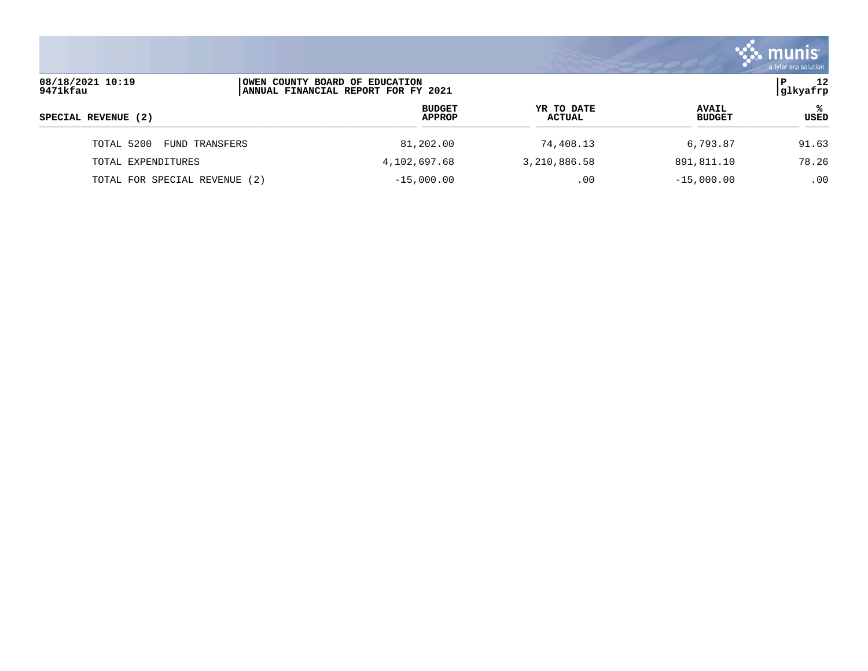|                               |                                                                        |                      |                               | a tyler erp solution |
|-------------------------------|------------------------------------------------------------------------|----------------------|-------------------------------|----------------------|
| 08/18/2021 10:19<br>9471kfau  | OWEN COUNTY BOARD OF EDUCATION<br> ANNUAL FINANCIAL REPORT FOR FY 2021 |                      |                               | 12<br>P<br> glkyafrp |
| SPECIAL REVENUE (2)           | <b>BUDGET</b><br><b>APPROP</b>                                         | YR TO DATE<br>ACTUAL | <b>AVAIL</b><br><b>BUDGET</b> | °≈<br>USED           |
| TOTAL 5200<br>FUND TRANSFERS  | 81,202.00                                                              | 74,408.13            | 6,793.87                      | 91.63                |
| TOTAL EXPENDITURES            | 4,102,697.68                                                           | 3,210,886.58         | 891,811.10                    | 78.26                |
| TOTAL FOR SPECIAL REVENUE (2) | $-15,000.00$                                                           | .00                  | $-15,000.00$                  | .00                  |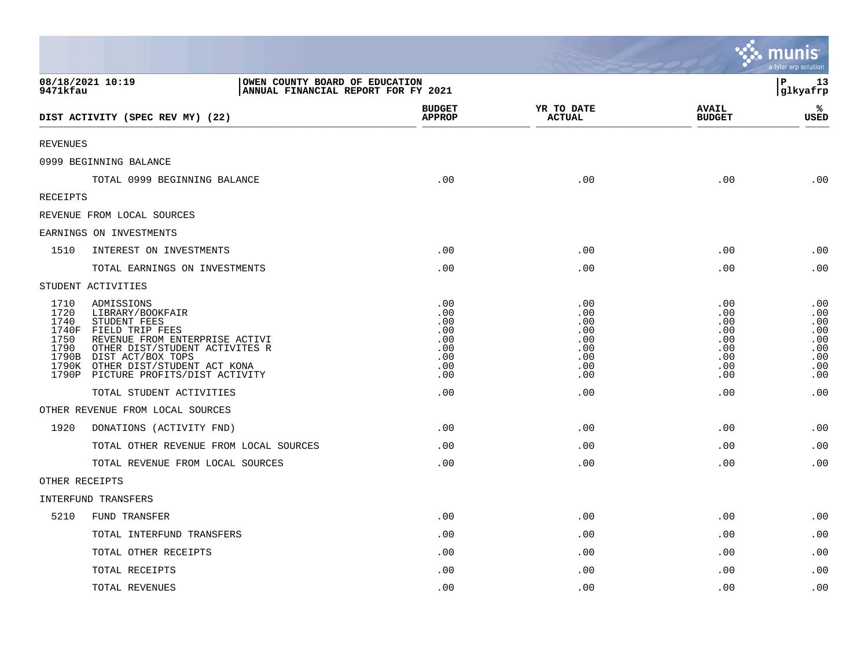|                                                        |                                                                                                                                                                                                                                        |                                                             |                                                             |                                                             | a tyler erp solution                                        |
|--------------------------------------------------------|----------------------------------------------------------------------------------------------------------------------------------------------------------------------------------------------------------------------------------------|-------------------------------------------------------------|-------------------------------------------------------------|-------------------------------------------------------------|-------------------------------------------------------------|
| 9471kfau                                               | 08/18/2021 10:19<br>OWEN COUNTY BOARD OF EDUCATION<br>ANNUAL FINANCIAL REPORT FOR FY 2021                                                                                                                                              |                                                             |                                                             |                                                             | l P<br>13<br>glkyafrp                                       |
|                                                        | DIST ACTIVITY (SPEC REV MY) (22)                                                                                                                                                                                                       | <b>BUDGET</b><br><b>APPROP</b>                              | YR TO DATE<br><b>ACTUAL</b>                                 | <b>AVAIL</b><br><b>BUDGET</b>                               | %<br><b>USED</b>                                            |
| <b>REVENUES</b>                                        |                                                                                                                                                                                                                                        |                                                             |                                                             |                                                             |                                                             |
|                                                        | 0999 BEGINNING BALANCE                                                                                                                                                                                                                 |                                                             |                                                             |                                                             |                                                             |
|                                                        | TOTAL 0999 BEGINNING BALANCE                                                                                                                                                                                                           | .00                                                         | .00                                                         | .00                                                         | .00                                                         |
| RECEIPTS                                               |                                                                                                                                                                                                                                        |                                                             |                                                             |                                                             |                                                             |
|                                                        | REVENUE FROM LOCAL SOURCES                                                                                                                                                                                                             |                                                             |                                                             |                                                             |                                                             |
|                                                        | EARNINGS ON INVESTMENTS                                                                                                                                                                                                                |                                                             |                                                             |                                                             |                                                             |
| 1510                                                   | INTEREST ON INVESTMENTS                                                                                                                                                                                                                | .00                                                         | .00                                                         | .00                                                         | .00                                                         |
|                                                        | TOTAL EARNINGS ON INVESTMENTS                                                                                                                                                                                                          | .00                                                         | .00                                                         | .00                                                         | .00                                                         |
|                                                        | STUDENT ACTIVITIES                                                                                                                                                                                                                     |                                                             |                                                             |                                                             |                                                             |
| 1710<br>1720<br>1740<br>1740F<br>1750<br>1790<br>1790K | ADMISSIONS<br>LIBRARY/BOOKFAIR<br>STUDENT FEES<br>FIELD TRIP FEES<br>REVENUE FROM ENTERPRISE ACTIVI<br>OTHER DIST/STUDENT ACTIVITES R<br>1790B DIST ACT/BOX TOPS<br>OTHER DIST/STUDENT ACT KONA<br>1790P PICTURE PROFITS/DIST ACTIVITY | .00<br>.00<br>.00<br>.00<br>.00<br>.00<br>.00<br>.00<br>.00 | .00<br>.00<br>.00<br>.00<br>.00<br>.00<br>.00<br>.00<br>.00 | .00<br>.00<br>.00<br>.00<br>.00<br>.00<br>.00<br>.00<br>.00 | .00<br>.00<br>.00<br>.00<br>.00<br>.00<br>.00<br>.00<br>.00 |
|                                                        | TOTAL STUDENT ACTIVITIES                                                                                                                                                                                                               | .00                                                         | .00                                                         | .00                                                         | .00                                                         |
|                                                        | OTHER REVENUE FROM LOCAL SOURCES                                                                                                                                                                                                       |                                                             |                                                             |                                                             |                                                             |
| 1920                                                   | DONATIONS (ACTIVITY FND)                                                                                                                                                                                                               | $.00 \,$                                                    | .00                                                         | .00                                                         | .00                                                         |
|                                                        | TOTAL OTHER REVENUE FROM LOCAL SOURCES                                                                                                                                                                                                 | .00                                                         | .00                                                         | .00                                                         | .00                                                         |
|                                                        | TOTAL REVENUE FROM LOCAL SOURCES                                                                                                                                                                                                       | .00                                                         | .00                                                         | .00                                                         | .00                                                         |
| OTHER RECEIPTS                                         |                                                                                                                                                                                                                                        |                                                             |                                                             |                                                             |                                                             |
|                                                        | INTERFUND TRANSFERS                                                                                                                                                                                                                    |                                                             |                                                             |                                                             |                                                             |
| 5210                                                   | FUND TRANSFER                                                                                                                                                                                                                          | .00                                                         | .00                                                         | .00                                                         | .00                                                         |
|                                                        | TOTAL INTERFUND TRANSFERS                                                                                                                                                                                                              | .00                                                         | .00                                                         | .00                                                         | .00                                                         |
|                                                        | TOTAL OTHER RECEIPTS                                                                                                                                                                                                                   | .00                                                         | .00                                                         | .00                                                         | .00                                                         |
|                                                        | TOTAL RECEIPTS                                                                                                                                                                                                                         | .00                                                         | .00                                                         | .00                                                         | .00                                                         |
|                                                        | TOTAL REVENUES                                                                                                                                                                                                                         | .00                                                         | .00                                                         | .00                                                         | .00                                                         |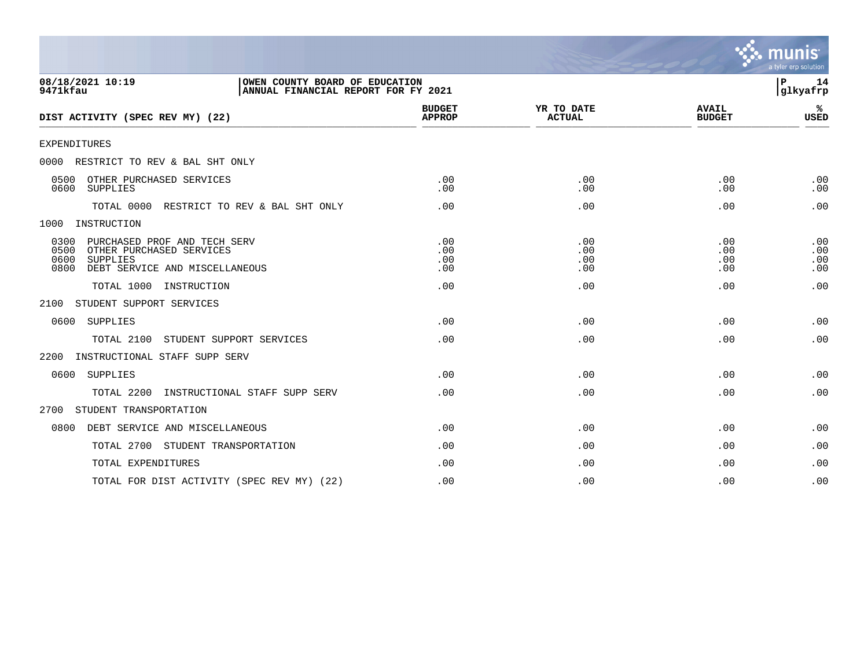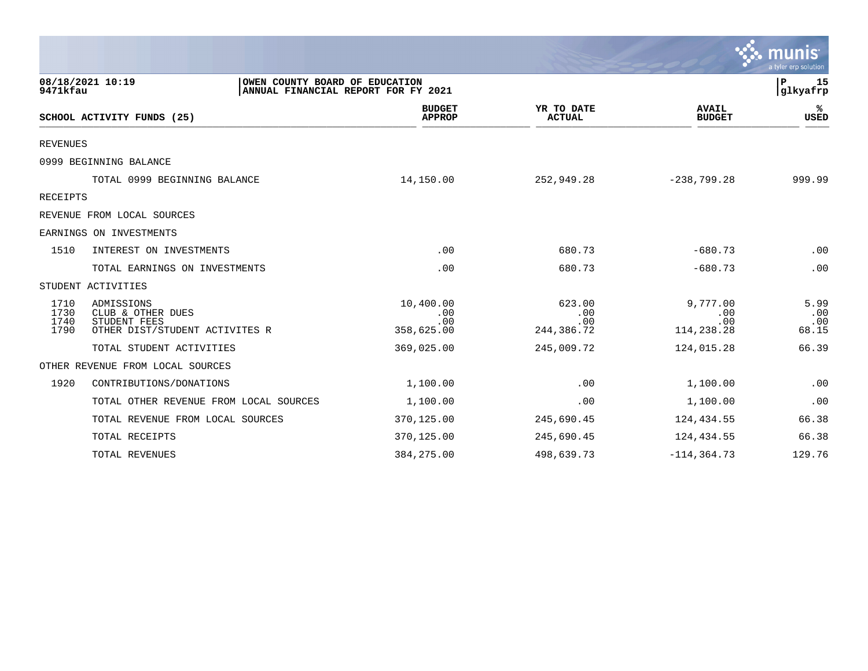|                              |                                                                                           |                                       |                                    |                                      | munis<br>a tyler erp solution |
|------------------------------|-------------------------------------------------------------------------------------------|---------------------------------------|------------------------------------|--------------------------------------|-------------------------------|
| 9471kfau                     | 08/18/2021 10:19<br>OWEN COUNTY BOARD OF EDUCATION<br>ANNUAL FINANCIAL REPORT FOR FY 2021 |                                       |                                    |                                      | P<br>15<br> glkyafrp          |
|                              | SCHOOL ACTIVITY FUNDS (25)                                                                | <b>BUDGET</b><br><b>APPROP</b>        | YR TO DATE<br><b>ACTUAL</b>        | <b>AVAIL</b><br><b>BUDGET</b>        | ℁<br>USED                     |
| <b>REVENUES</b>              |                                                                                           |                                       |                                    |                                      |                               |
|                              | 0999 BEGINNING BALANCE                                                                    |                                       |                                    |                                      |                               |
|                              | TOTAL 0999 BEGINNING BALANCE                                                              | 14,150.00                             | 252,949.28                         | $-238,799.28$                        | 999.99                        |
| <b>RECEIPTS</b>              |                                                                                           |                                       |                                    |                                      |                               |
|                              | REVENUE FROM LOCAL SOURCES                                                                |                                       |                                    |                                      |                               |
|                              | EARNINGS ON INVESTMENTS                                                                   |                                       |                                    |                                      |                               |
| 1510                         | INTEREST ON INVESTMENTS                                                                   | .00                                   | 680.73                             | $-680.73$                            | .00                           |
|                              | TOTAL EARNINGS ON INVESTMENTS                                                             | .00                                   | 680.73                             | $-680.73$                            | .00                           |
|                              | STUDENT ACTIVITIES                                                                        |                                       |                                    |                                      |                               |
| 1710<br>1730<br>1740<br>1790 | ADMISSIONS<br>CLUB & OTHER DUES<br>STUDENT FEES<br>OTHER DIST/STUDENT ACTIVITES R         | 10,400.00<br>.00<br>.00<br>358,625.00 | 623.00<br>.00<br>.00<br>244,386.72 | 9,777.00<br>.00<br>.00<br>114,238.28 | 5.99<br>.00<br>.00<br>68.15   |
|                              | TOTAL STUDENT ACTIVITIES                                                                  | 369,025.00                            | 245,009.72                         | 124,015.28                           | 66.39                         |
|                              | OTHER REVENUE FROM LOCAL SOURCES                                                          |                                       |                                    |                                      |                               |
| 1920                         | CONTRIBUTIONS/DONATIONS                                                                   | 1,100.00                              | .00                                | 1,100.00                             | .00                           |
|                              | TOTAL OTHER REVENUE FROM LOCAL SOURCES                                                    | 1,100.00                              | .00                                | 1,100.00                             | .00                           |
|                              | TOTAL REVENUE FROM LOCAL SOURCES                                                          | 370,125.00                            | 245,690.45                         | 124,434.55                           | 66.38                         |
|                              | TOTAL RECEIPTS                                                                            | 370,125.00                            | 245,690.45                         | 124,434.55                           | 66.38                         |
|                              | TOTAL REVENUES                                                                            | 384, 275.00                           | 498,639.73                         | $-114, 364.73$                       | 129.76                        |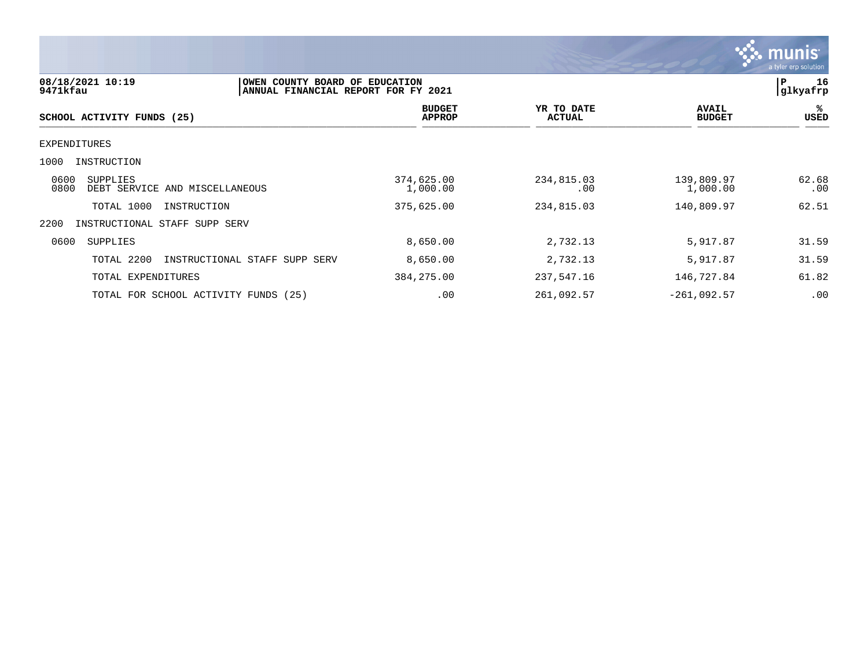

| 08/18/2021 10:19<br>9471kfau                               | OWEN COUNTY BOARD OF<br>ANNUAL FINANCIAL REPORT FOR FY 2021 | <b>EDUCATION</b>               |                             |                               | P<br>16<br> glkyafrp |
|------------------------------------------------------------|-------------------------------------------------------------|--------------------------------|-----------------------------|-------------------------------|----------------------|
| SCHOOL ACTIVITY FUNDS (25)                                 |                                                             | <b>BUDGET</b><br><b>APPROP</b> | YR TO DATE<br><b>ACTUAL</b> | <b>AVAIL</b><br><b>BUDGET</b> | %<br>USED            |
| EXPENDITURES                                               |                                                             |                                |                             |                               |                      |
| 1000<br>INSTRUCTION                                        |                                                             |                                |                             |                               |                      |
| 0600<br>SUPPLIES<br>0800<br>DEBT SERVICE AND MISCELLANEOUS |                                                             | 374,625.00<br>1,000.00         | 234,815.03<br>.00           | 139,809.97<br>1,000.00        | 62.68<br>.00         |
| TOTAL 1000<br>INSTRUCTION                                  |                                                             | 375,625.00                     | 234,815.03                  | 140,809.97                    | 62.51                |
| 2200<br>INSTRUCTIONAL STAFF SUPP SERV                      |                                                             |                                |                             |                               |                      |
| 0600<br>SUPPLIES                                           |                                                             | 8,650.00                       | 2,732.13                    | 5,917.87                      | 31.59                |
| TOTAL 2200                                                 | INSTRUCTIONAL STAFF SUPP SERV                               | 8,650.00                       | 2,732.13                    | 5,917.87                      | 31.59                |
| TOTAL EXPENDITURES                                         |                                                             | 384, 275.00                    | 237,547.16                  | 146,727.84                    | 61.82                |
| TOTAL FOR SCHOOL ACTIVITY FUNDS (25)                       |                                                             | .00                            | 261,092.57                  | $-261,092.57$                 | .00                  |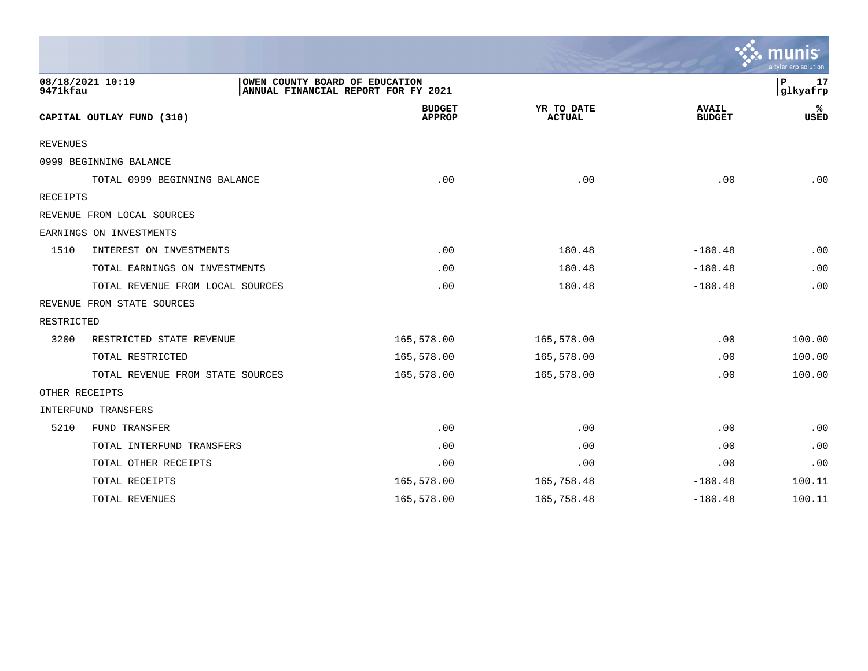|            |                                  |                                                                       |                             |                               | mun<br>a tyler erp solution   |
|------------|----------------------------------|-----------------------------------------------------------------------|-----------------------------|-------------------------------|-------------------------------|
| 9471kfau   | 08/18/2021 10:19                 | OWEN COUNTY BOARD OF EDUCATION<br>ANNUAL FINANCIAL REPORT FOR FY 2021 |                             |                               | $\mathbf P$<br>17<br>glkyafrp |
|            | CAPITAL OUTLAY FUND (310)        | <b>BUDGET</b><br><b>APPROP</b>                                        | YR TO DATE<br><b>ACTUAL</b> | <b>AVAIL</b><br><b>BUDGET</b> | ℁<br><b>USED</b>              |
| REVENUES   |                                  |                                                                       |                             |                               |                               |
|            | 0999 BEGINNING BALANCE           |                                                                       |                             |                               |                               |
|            | TOTAL 0999 BEGINNING BALANCE     | .00                                                                   | .00                         | .00                           | .00                           |
| RECEIPTS   |                                  |                                                                       |                             |                               |                               |
|            | REVENUE FROM LOCAL SOURCES       |                                                                       |                             |                               |                               |
|            | EARNINGS ON INVESTMENTS          |                                                                       |                             |                               |                               |
| 1510       | INTEREST ON INVESTMENTS          | .00                                                                   | 180.48                      | $-180.48$                     | .00                           |
|            | TOTAL EARNINGS ON INVESTMENTS    | .00                                                                   | 180.48                      | $-180.48$                     | .00                           |
|            | TOTAL REVENUE FROM LOCAL SOURCES | .00                                                                   | 180.48                      | $-180.48$                     | .00                           |
|            | REVENUE FROM STATE SOURCES       |                                                                       |                             |                               |                               |
| RESTRICTED |                                  |                                                                       |                             |                               |                               |
| 3200       | RESTRICTED STATE REVENUE         | 165,578.00                                                            | 165,578.00                  | .00                           | 100.00                        |
|            | TOTAL RESTRICTED                 | 165,578.00                                                            | 165,578.00                  | .00                           | 100.00                        |
|            | TOTAL REVENUE FROM STATE SOURCES | 165,578.00                                                            | 165,578.00                  | .00                           | 100.00                        |
|            | OTHER RECEIPTS                   |                                                                       |                             |                               |                               |
|            | INTERFUND TRANSFERS              |                                                                       |                             |                               |                               |
| 5210       | FUND TRANSFER                    | .00                                                                   | .00                         | .00                           | .00                           |
|            | TOTAL INTERFUND TRANSFERS        | .00                                                                   | .00                         | .00                           | .00                           |
|            | TOTAL OTHER RECEIPTS             | .00                                                                   | .00                         | .00                           | .00                           |
|            | TOTAL RECEIPTS                   | 165,578.00                                                            | 165,758.48                  | $-180.48$                     | 100.11                        |
|            | TOTAL REVENUES                   | 165,578.00                                                            | 165,758.48                  | $-180.48$                     | 100.11                        |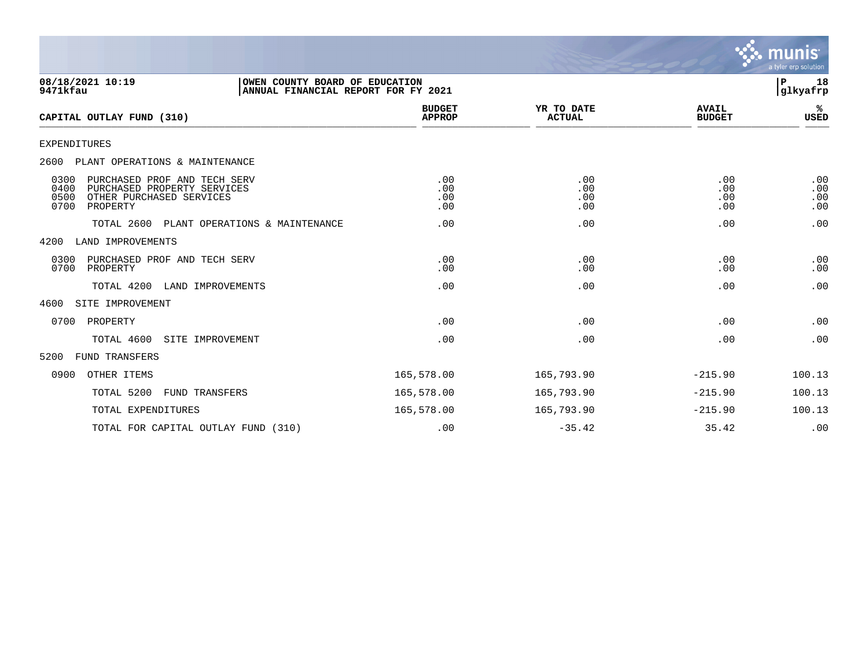

| 08/18/2021 10:19<br>9471kfau                                                                                                        | OWEN COUNTY BOARD OF EDUCATION<br>ANNUAL FINANCIAL REPORT FOR FY 2021 |                                |                             |                               | 18<br>P<br>glkyafrp      |
|-------------------------------------------------------------------------------------------------------------------------------------|-----------------------------------------------------------------------|--------------------------------|-----------------------------|-------------------------------|--------------------------|
| CAPITAL OUTLAY FUND (310)                                                                                                           |                                                                       | <b>BUDGET</b><br><b>APPROP</b> | YR TO DATE<br><b>ACTUAL</b> | <b>AVAIL</b><br><b>BUDGET</b> | %≽<br>USED               |
| <b>EXPENDITURES</b>                                                                                                                 |                                                                       |                                |                             |                               |                          |
| 2600 PLANT OPERATIONS & MAINTENANCE                                                                                                 |                                                                       |                                |                             |                               |                          |
| 0300<br>PURCHASED PROF AND TECH SERV<br>0400<br>PURCHASED PROPERTY SERVICES<br>0500<br>OTHER PURCHASED SERVICES<br>0700<br>PROPERTY |                                                                       | .00<br>.00<br>.00<br>.00       | .00<br>.00<br>.00<br>.00    | .00<br>.00<br>.00<br>.00      | .00<br>.00<br>.00<br>.00 |
| TOTAL 2600                                                                                                                          | PLANT OPERATIONS & MAINTENANCE                                        | .00                            | .00                         | .00                           | .00                      |
| LAND IMPROVEMENTS<br>4200                                                                                                           |                                                                       |                                |                             |                               |                          |
| 0300<br>PURCHASED PROF AND TECH SERV<br>0700<br>PROPERTY                                                                            |                                                                       | .00<br>.00                     | .00<br>.00                  | .00<br>.00                    | .00<br>.00               |
| TOTAL 4200                                                                                                                          | LAND IMPROVEMENTS                                                     | .00                            | .00                         | .00                           | .00                      |
| 4600<br>SITE IMPROVEMENT                                                                                                            |                                                                       |                                |                             |                               |                          |
| 0700<br>PROPERTY                                                                                                                    |                                                                       | .00                            | .00                         | .00                           | .00                      |
| TOTAL 4600                                                                                                                          | SITE IMPROVEMENT                                                      | .00                            | .00                         | .00                           | .00                      |
| 5200<br>FUND TRANSFERS                                                                                                              |                                                                       |                                |                             |                               |                          |
| OTHER ITEMS<br>0900                                                                                                                 |                                                                       | 165,578.00                     | 165,793.90                  | $-215.90$                     | 100.13                   |
| TOTAL 5200                                                                                                                          | FUND TRANSFERS                                                        | 165,578.00                     | 165,793.90                  | $-215.90$                     | 100.13                   |
| TOTAL EXPENDITURES                                                                                                                  |                                                                       | 165,578.00                     | 165,793.90                  | $-215.90$                     | 100.13                   |
| TOTAL FOR CAPITAL OUTLAY FUND (310)                                                                                                 |                                                                       | .00                            | $-35.42$                    | 35.42                         | .00                      |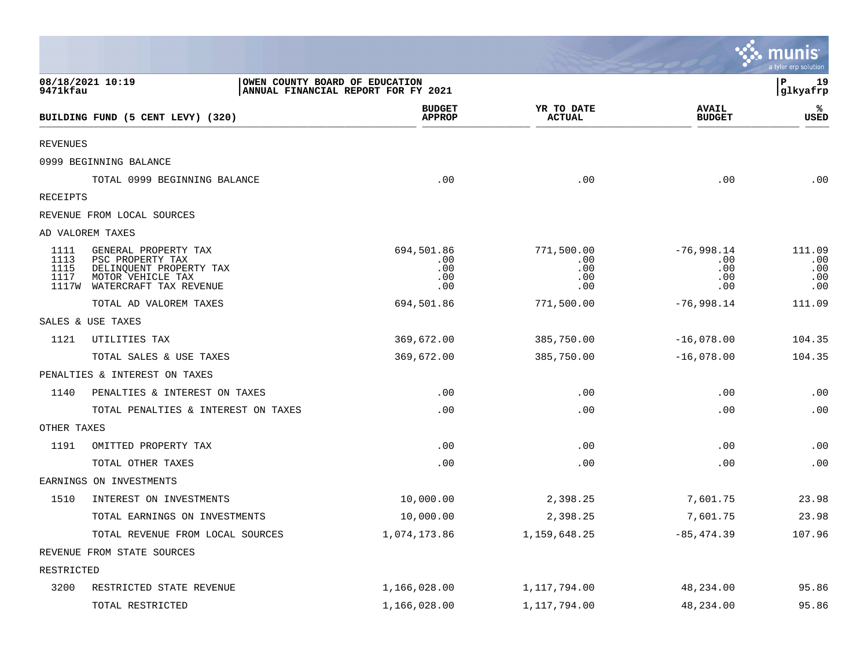|                              |                                                                                                                          |                                                                       |                                        |                                          | se munis<br>a tyler erp solution   |
|------------------------------|--------------------------------------------------------------------------------------------------------------------------|-----------------------------------------------------------------------|----------------------------------------|------------------------------------------|------------------------------------|
| 9471kfau                     | 08/18/2021 10:19                                                                                                         | OWEN COUNTY BOARD OF EDUCATION<br>ANNUAL FINANCIAL REPORT FOR FY 2021 |                                        |                                          | P<br>19<br>glkyafrp                |
|                              | BUILDING FUND (5 CENT LEVY) (320)                                                                                        | <b>BUDGET</b><br><b>APPROP</b>                                        | YR TO DATE<br>ACTUAL                   | <b>AVAIL</b><br><b>BUDGET</b>            | ℁<br><b>USED</b>                   |
| <b>REVENUES</b>              |                                                                                                                          |                                                                       |                                        |                                          |                                    |
|                              | 0999 BEGINNING BALANCE                                                                                                   |                                                                       |                                        |                                          |                                    |
|                              | TOTAL 0999 BEGINNING BALANCE                                                                                             | .00                                                                   | .00                                    | .00                                      | .00                                |
| RECEIPTS                     |                                                                                                                          |                                                                       |                                        |                                          |                                    |
|                              | REVENUE FROM LOCAL SOURCES                                                                                               |                                                                       |                                        |                                          |                                    |
|                              | AD VALOREM TAXES                                                                                                         |                                                                       |                                        |                                          |                                    |
| 1111<br>1113<br>1115<br>1117 | GENERAL PROPERTY TAX<br>PSC PROPERTY TAX<br>DELINQUENT PROPERTY TAX<br>MOTOR VEHICLE TAX<br>1117W WATERCRAFT TAX REVENUE | 694,501.86<br>.00<br>.00<br>.00<br>.00                                | 771,500.00<br>.00<br>.00<br>.00<br>.00 | $-76,998.14$<br>.00<br>.00<br>.00<br>.00 | 111.09<br>.00<br>.00<br>.00<br>.00 |
|                              | TOTAL AD VALOREM TAXES                                                                                                   | 694,501.86                                                            | 771,500.00                             | $-76,998.14$                             | 111.09                             |
|                              | SALES & USE TAXES                                                                                                        |                                                                       |                                        |                                          |                                    |
| 1121                         | UTILITIES TAX                                                                                                            | 369,672.00                                                            | 385,750.00                             | $-16,078.00$                             | 104.35                             |
|                              | TOTAL SALES & USE TAXES                                                                                                  | 369,672.00                                                            | 385,750.00                             | $-16,078.00$                             | 104.35                             |
|                              | PENALTIES & INTEREST ON TAXES                                                                                            |                                                                       |                                        |                                          |                                    |
| 1140                         | PENALTIES & INTEREST ON TAXES                                                                                            | .00                                                                   | .00                                    | .00                                      | .00                                |
|                              | TOTAL PENALTIES & INTEREST ON TAXES                                                                                      | .00                                                                   | .00                                    | .00                                      | .00                                |
| OTHER TAXES                  |                                                                                                                          |                                                                       |                                        |                                          |                                    |
| 1191                         | OMITTED PROPERTY TAX                                                                                                     | .00                                                                   | .00                                    | .00                                      | .00                                |
|                              | TOTAL OTHER TAXES                                                                                                        | .00                                                                   | .00                                    | .00                                      | .00                                |
|                              | EARNINGS ON INVESTMENTS                                                                                                  |                                                                       |                                        |                                          |                                    |
| 1510                         | INTEREST ON INVESTMENTS                                                                                                  | 10,000.00                                                             | 2,398.25                               | 7,601.75                                 | 23.98                              |
|                              | TOTAL EARNINGS ON INVESTMENTS                                                                                            | 10,000.00                                                             | 2,398.25                               | 7,601.75                                 | 23.98                              |
|                              | TOTAL REVENUE FROM LOCAL SOURCES                                                                                         | 1,074,173.86                                                          | 1,159,648.25                           | $-85, 474.39$                            | 107.96                             |
|                              | REVENUE FROM STATE SOURCES                                                                                               |                                                                       |                                        |                                          |                                    |
| RESTRICTED                   |                                                                                                                          |                                                                       |                                        |                                          |                                    |
| 3200                         | RESTRICTED STATE REVENUE                                                                                                 | 1,166,028.00                                                          | 1,117,794.00                           | 48,234.00                                | 95.86                              |
|                              | TOTAL RESTRICTED                                                                                                         | 1,166,028.00                                                          | 1,117,794.00                           | 48,234.00                                | 95.86                              |

the contract of the contract of the contract of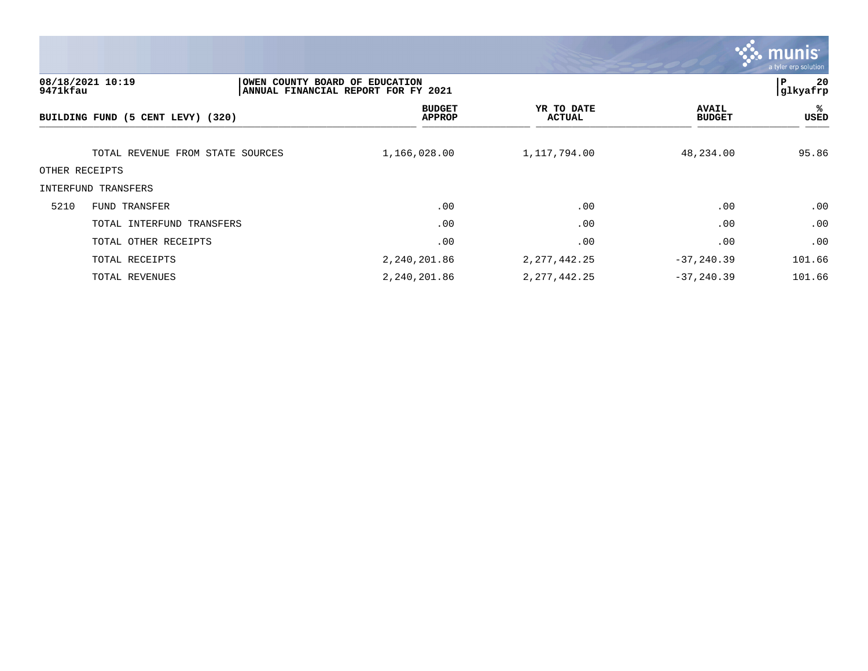

| 9471kfau       | 08/18/2021 10:19                  | OWEN COUNTY BOARD OF EDUCATION<br> ANNUAL FINANCIAL REPORT FOR FY 2021 |                      |                               | 20<br>ΙP<br> glkyafrp |
|----------------|-----------------------------------|------------------------------------------------------------------------|----------------------|-------------------------------|-----------------------|
|                | BUILDING FUND (5 CENT LEVY) (320) | <b>BUDGET</b><br><b>APPROP</b>                                         | YR TO DATE<br>ACTUAL | <b>AVAIL</b><br><b>BUDGET</b> | %ะ<br>USED            |
|                | TOTAL REVENUE FROM STATE SOURCES  | 1,166,028.00                                                           | 1,117,794.00         | 48,234.00                     | 95.86                 |
| OTHER RECEIPTS |                                   |                                                                        |                      |                               |                       |
|                | INTERFUND TRANSFERS               |                                                                        |                      |                               |                       |
| 5210           | FUND TRANSFER                     | .00                                                                    | .00                  | .00                           | .00                   |
|                | TOTAL INTERFUND TRANSFERS         | .00                                                                    | .00                  | .00                           | .00                   |
|                | TOTAL OTHER RECEIPTS              | .00                                                                    | .00                  | .00                           | .00                   |
|                | TOTAL RECEIPTS                    | 2,240,201.86                                                           | 2, 277, 442. 25      | $-37, 240.39$                 | 101.66                |
|                | TOTAL REVENUES                    | 2,240,201.86                                                           | 2, 277, 442. 25      | $-37, 240.39$                 | 101.66                |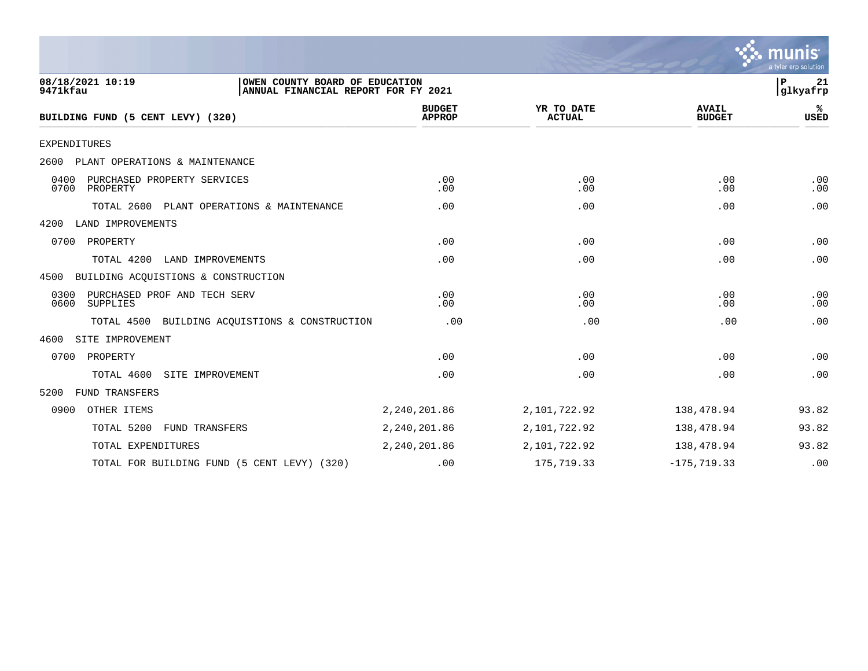

| 08/18/2021 10:19<br>OWEN COUNTY BOARD OF EDUCATION<br>9471kfau<br>ANNUAL FINANCIAL REPORT FOR FY 2021 |                                |                             |                               | P<br>21<br>glkyafrp |
|-------------------------------------------------------------------------------------------------------|--------------------------------|-----------------------------|-------------------------------|---------------------|
| BUILDING FUND (5 CENT LEVY) (320)                                                                     | <b>BUDGET</b><br><b>APPROP</b> | YR TO DATE<br><b>ACTUAL</b> | <b>AVAIL</b><br><b>BUDGET</b> | %ะ<br><b>USED</b>   |
| <b>EXPENDITURES</b>                                                                                   |                                |                             |                               |                     |
| PLANT OPERATIONS & MAINTENANCE<br>2600                                                                |                                |                             |                               |                     |
| 0400<br>PURCHASED PROPERTY SERVICES<br>0700<br>PROPERTY                                               | .00<br>.00                     | .00<br>.00                  | .00<br>.00                    | .00<br>.00          |
| TOTAL 2600<br>PLANT OPERATIONS & MAINTENANCE                                                          | .00                            | .00                         | .00                           | .00                 |
| LAND IMPROVEMENTS<br>4200                                                                             |                                |                             |                               |                     |
| PROPERTY<br>0700                                                                                      | .00                            | .00                         | .00                           | .00                 |
| TOTAL 4200<br>LAND IMPROVEMENTS                                                                       | .00                            | .00                         | .00                           | .00                 |
| BUILDING ACQUISTIONS & CONSTRUCTION<br>4500                                                           |                                |                             |                               |                     |
| PURCHASED PROF AND TECH SERV<br>0300<br>0600<br>SUPPLIES                                              | .00<br>.00                     | .00<br>.00                  | .00<br>.00                    | .00<br>.00          |
| TOTAL 4500 BUILDING ACQUISTIONS & CONSTRUCTION                                                        | .00                            | .00                         | .00                           | .00                 |
| SITE IMPROVEMENT<br>4600                                                                              |                                |                             |                               |                     |
| 0700<br>PROPERTY                                                                                      | .00                            | .00                         | .00                           | .00                 |
| TOTAL 4600<br>SITE IMPROVEMENT                                                                        | .00                            | .00                         | .00                           | .00                 |
| 5200<br><b>FUND TRANSFERS</b>                                                                         |                                |                             |                               |                     |
| OTHER ITEMS<br>0900                                                                                   | 2,240,201.86                   | 2,101,722.92                | 138,478.94                    | 93.82               |
| TOTAL 5200<br>FUND TRANSFERS                                                                          | 2,240,201.86                   | 2,101,722.92                | 138,478.94                    | 93.82               |
| TOTAL EXPENDITURES                                                                                    | 2,240,201.86                   | 2,101,722.92                | 138,478.94                    | 93.82               |
| TOTAL FOR BUILDING FUND (5 CENT LEVY) (320)                                                           | .00                            | 175,719.33                  | $-175, 719.33$                | .00                 |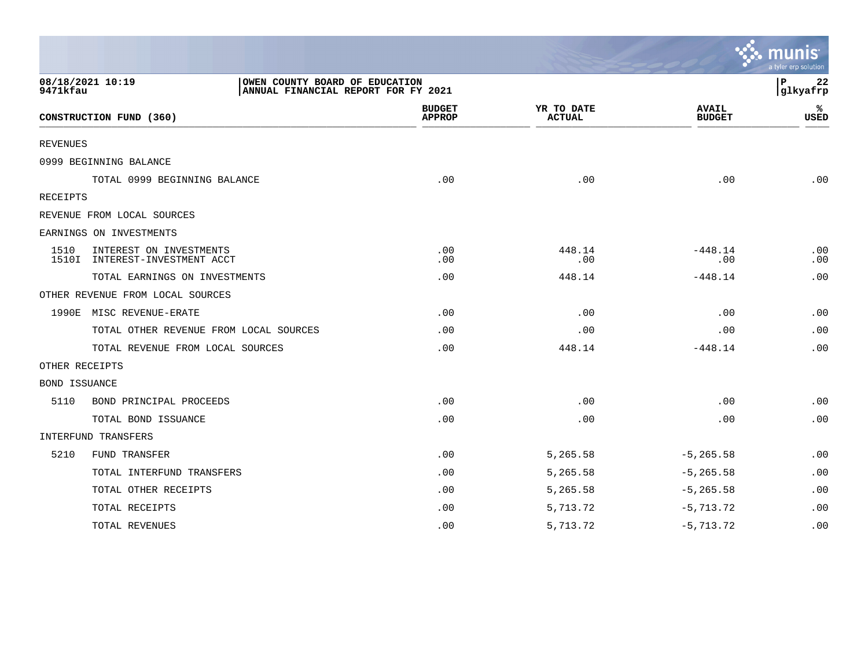|                      |                                                                                           |                                |                             |                               | a tyler erp solution          |
|----------------------|-------------------------------------------------------------------------------------------|--------------------------------|-----------------------------|-------------------------------|-------------------------------|
| 9471kfau             | 08/18/2021 10:19<br>OWEN COUNTY BOARD OF EDUCATION<br>ANNUAL FINANCIAL REPORT FOR FY 2021 |                                |                             |                               | $\mathbf P$<br>22<br>glkyafrp |
|                      | CONSTRUCTION FUND (360)                                                                   | <b>BUDGET</b><br><b>APPROP</b> | YR TO DATE<br><b>ACTUAL</b> | <b>AVAIL</b><br><b>BUDGET</b> | ℁<br>USED                     |
| REVENUES             |                                                                                           |                                |                             |                               |                               |
|                      | 0999 BEGINNING BALANCE                                                                    |                                |                             |                               |                               |
|                      | TOTAL 0999 BEGINNING BALANCE                                                              | .00                            | .00                         | $.00 \,$                      | .00                           |
| RECEIPTS             |                                                                                           |                                |                             |                               |                               |
|                      | REVENUE FROM LOCAL SOURCES                                                                |                                |                             |                               |                               |
|                      | EARNINGS ON INVESTMENTS                                                                   |                                |                             |                               |                               |
| 1510                 | INTEREST ON INVESTMENTS<br>1510I INTEREST-INVESTMENT ACCT                                 | .00<br>.00                     | 448.14<br>.00               | $-448.14$<br>.00              | .00<br>.00                    |
|                      | TOTAL EARNINGS ON INVESTMENTS                                                             | .00                            | 448.14                      | $-448.14$                     | .00                           |
|                      | OTHER REVENUE FROM LOCAL SOURCES                                                          |                                |                             |                               |                               |
|                      | 1990E MISC REVENUE-ERATE                                                                  | .00                            | .00                         | .00                           | .00                           |
|                      | TOTAL OTHER REVENUE FROM LOCAL SOURCES                                                    | .00                            | .00                         | .00                           | .00                           |
|                      | TOTAL REVENUE FROM LOCAL SOURCES                                                          | .00                            | 448.14                      | $-448.14$                     | .00                           |
| OTHER RECEIPTS       |                                                                                           |                                |                             |                               |                               |
| <b>BOND ISSUANCE</b> |                                                                                           |                                |                             |                               |                               |
| 5110                 | BOND PRINCIPAL PROCEEDS                                                                   | .00                            | .00                         | .00                           | .00                           |
|                      | TOTAL BOND ISSUANCE                                                                       | .00                            | .00                         | .00                           | .00                           |
|                      | INTERFUND TRANSFERS                                                                       |                                |                             |                               |                               |
| 5210                 | <b>FUND TRANSFER</b>                                                                      | .00                            | 5,265.58                    | $-5, 265.58$                  | .00                           |
|                      | TOTAL INTERFUND TRANSFERS                                                                 | .00                            | 5,265.58                    | $-5, 265.58$                  | .00                           |
|                      | TOTAL OTHER RECEIPTS                                                                      | .00                            | 5,265.58                    | $-5, 265.58$                  | .00                           |
|                      | TOTAL RECEIPTS                                                                            | .00                            | 5,713.72                    | $-5,713.72$                   | .00                           |
|                      | TOTAL REVENUES                                                                            | .00                            | 5,713.72                    | $-5,713.72$                   | .00                           |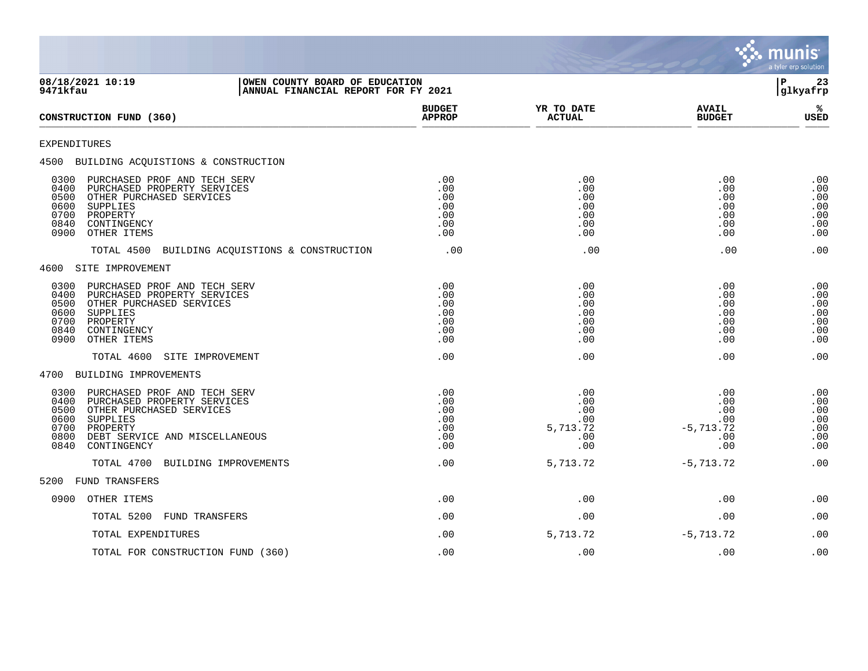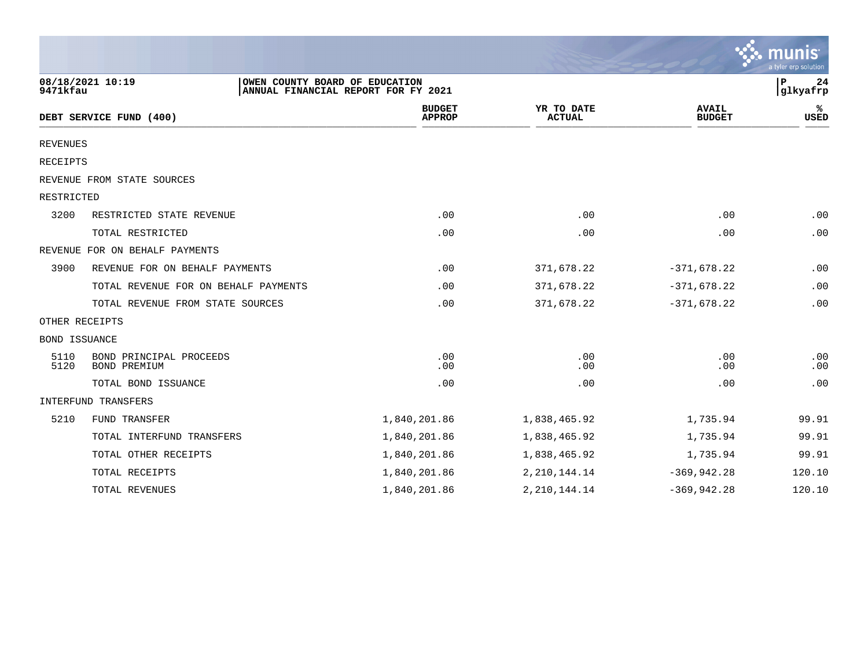|                      |                                                    |                                     |                             |                               | $\sim$ munis<br>a tyler erp solution |
|----------------------|----------------------------------------------------|-------------------------------------|-----------------------------|-------------------------------|--------------------------------------|
| 9471kfau             | 08/18/2021 10:19<br>OWEN COUNTY BOARD OF EDUCATION | ANNUAL FINANCIAL REPORT FOR FY 2021 |                             |                               | 24<br>P<br>glkyafrp                  |
|                      | DEBT SERVICE FUND (400)                            | <b>BUDGET</b><br><b>APPROP</b>      | YR TO DATE<br><b>ACTUAL</b> | <b>AVAIL</b><br><b>BUDGET</b> | %ะ<br><b>USED</b>                    |
| <b>REVENUES</b>      |                                                    |                                     |                             |                               |                                      |
| RECEIPTS             |                                                    |                                     |                             |                               |                                      |
|                      | REVENUE FROM STATE SOURCES                         |                                     |                             |                               |                                      |
| RESTRICTED           |                                                    |                                     |                             |                               |                                      |
| 3200                 | RESTRICTED STATE REVENUE                           | .00                                 | .00                         | .00                           | .00                                  |
|                      | TOTAL RESTRICTED                                   | .00                                 | .00                         | .00                           | .00                                  |
|                      | REVENUE FOR ON BEHALF PAYMENTS                     |                                     |                             |                               |                                      |
| 3900                 | REVENUE FOR ON BEHALF PAYMENTS                     | .00                                 | 371,678.22                  | $-371,678.22$                 | .00                                  |
|                      | TOTAL REVENUE FOR ON BEHALF PAYMENTS               | .00                                 | 371,678.22                  | $-371,678.22$                 | .00                                  |
|                      | TOTAL REVENUE FROM STATE SOURCES                   | .00                                 | 371,678.22                  | $-371,678.22$                 | .00                                  |
|                      | OTHER RECEIPTS                                     |                                     |                             |                               |                                      |
| <b>BOND ISSUANCE</b> |                                                    |                                     |                             |                               |                                      |
| 5110<br>5120         | BOND PRINCIPAL PROCEEDS<br>BOND PREMIUM            | .00<br>.00                          | .00<br>.00                  | .00<br>.00                    | .00<br>.00                           |
|                      | TOTAL BOND ISSUANCE                                | .00                                 | .00                         | .00                           | .00                                  |
|                      | INTERFUND TRANSFERS                                |                                     |                             |                               |                                      |
| 5210                 | FUND TRANSFER                                      | 1,840,201.86                        | 1,838,465.92                | 1,735.94                      | 99.91                                |
|                      | TOTAL INTERFUND TRANSFERS                          | 1,840,201.86                        | 1,838,465.92                | 1,735.94                      | 99.91                                |
|                      | TOTAL OTHER RECEIPTS                               | 1,840,201.86                        | 1,838,465.92                | 1,735.94                      | 99.91                                |
|                      | TOTAL RECEIPTS                                     | 1,840,201.86                        | 2, 210, 144. 14             | $-369, 942.28$                | 120.10                               |
|                      | TOTAL REVENUES                                     | 1,840,201.86                        | 2, 210, 144. 14             | $-369, 942.28$                | 120.10                               |

 $\sim$   $\sim$   $\sim$   $\sim$   $\sim$   $\sim$   $\sim$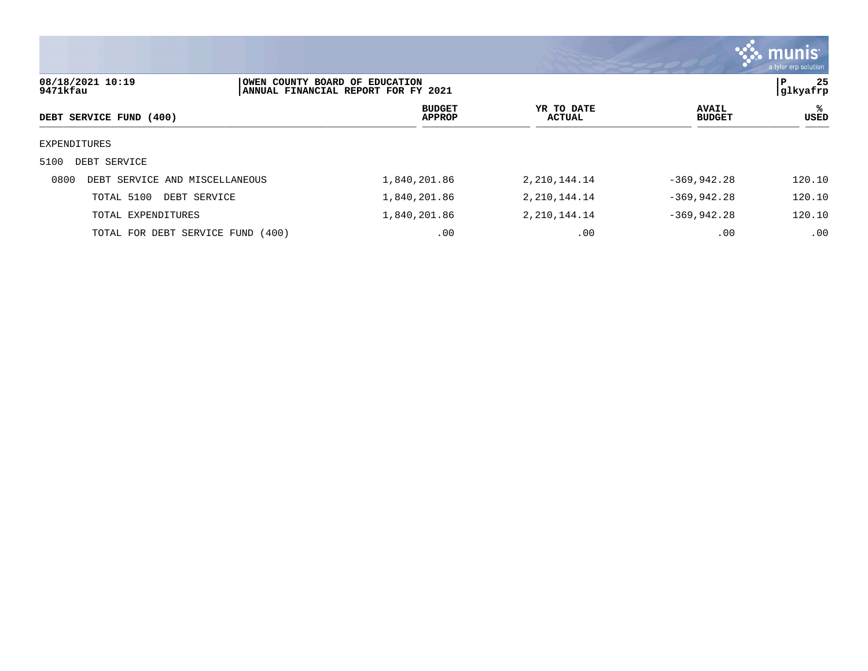|                                        |                                |                                     |                             |                               | <b>munis</b><br>a tyler erp solution |
|----------------------------------------|--------------------------------|-------------------------------------|-----------------------------|-------------------------------|--------------------------------------|
| 08/18/2021 10:19<br>9471kfau           | OWEN COUNTY BOARD OF EDUCATION | ANNUAL FINANCIAL REPORT FOR FY 2021 |                             |                               | 25<br>l P<br>glkyafrp                |
| DEBT SERVICE FUND (400)                |                                | <b>BUDGET</b><br><b>APPROP</b>      | YR TO DATE<br><b>ACTUAL</b> | <b>AVAIL</b><br><b>BUDGET</b> | %ะ<br>USED                           |
| EXPENDITURES                           |                                |                                     |                             |                               |                                      |
| DEBT SERVICE<br>5100                   |                                |                                     |                             |                               |                                      |
| 0800<br>DEBT SERVICE AND MISCELLANEOUS |                                | 1,840,201.86                        | 2, 210, 144. 14             | $-369, 942.28$                | 120.10                               |
| TOTAL 5100<br>DEBT SERVICE             |                                | 1,840,201.86                        | 2, 210, 144. 14             | $-369, 942.28$                | 120.10                               |
| TOTAL EXPENDITURES                     |                                | 1,840,201.86                        | 2, 210, 144. 14             | $-369, 942.28$                | 120.10                               |
| TOTAL FOR DEBT SERVICE FUND            | (400)                          | .00                                 | .00                         | .00                           | .00                                  |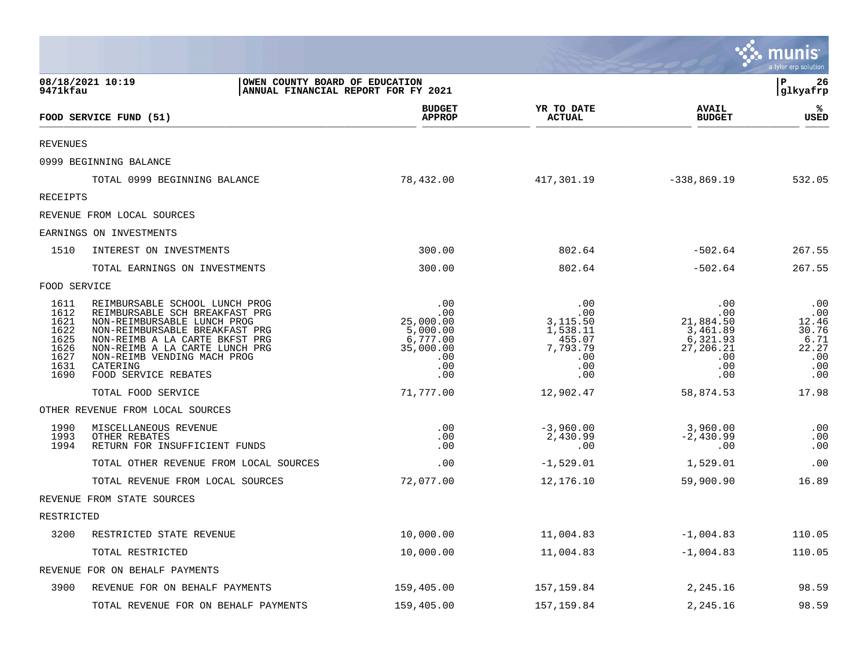|                                                                      |                                                                                                                                                                                                                                                                          |                                                                                   |                                                                                    |                                                                                                 | <u>munis</u><br>a tyler erp solution                               |
|----------------------------------------------------------------------|--------------------------------------------------------------------------------------------------------------------------------------------------------------------------------------------------------------------------------------------------------------------------|-----------------------------------------------------------------------------------|------------------------------------------------------------------------------------|-------------------------------------------------------------------------------------------------|--------------------------------------------------------------------|
| 9471kfau                                                             | 08/18/2021 10:19<br>OWEN COUNTY BOARD OF EDUCATION                                                                                                                                                                                                                       | ANNUAL FINANCIAL REPORT FOR FY 2021                                               |                                                                                    |                                                                                                 | ΙP<br>26<br> glkyafrp                                              |
|                                                                      | FOOD SERVICE FUND (51)                                                                                                                                                                                                                                                   | <b>BUDGET</b><br><b>APPROP</b>                                                    | YR TO DATE<br><b>ACTUAL</b>                                                        | <b>AVAIL</b><br><b>BUDGET</b>                                                                   | ℁<br>USED                                                          |
| <b>REVENUES</b>                                                      |                                                                                                                                                                                                                                                                          |                                                                                   |                                                                                    |                                                                                                 |                                                                    |
|                                                                      | 0999 BEGINNING BALANCE                                                                                                                                                                                                                                                   |                                                                                   |                                                                                    |                                                                                                 |                                                                    |
|                                                                      | TOTAL 0999 BEGINNING BALANCE                                                                                                                                                                                                                                             | 78,432.00                                                                         | 417,301.19                                                                         | $-338,869.19$                                                                                   | 532.05                                                             |
| <b>RECEIPTS</b>                                                      |                                                                                                                                                                                                                                                                          |                                                                                   |                                                                                    |                                                                                                 |                                                                    |
|                                                                      | REVENUE FROM LOCAL SOURCES                                                                                                                                                                                                                                               |                                                                                   |                                                                                    |                                                                                                 |                                                                    |
|                                                                      | EARNINGS ON INVESTMENTS                                                                                                                                                                                                                                                  |                                                                                   |                                                                                    |                                                                                                 |                                                                    |
| 1510                                                                 | INTEREST ON INVESTMENTS                                                                                                                                                                                                                                                  | 300.00                                                                            | 802.64                                                                             | $-502.64$                                                                                       | 267.55                                                             |
|                                                                      | TOTAL EARNINGS ON INVESTMENTS                                                                                                                                                                                                                                            | 300.00                                                                            | 802.64                                                                             | $-502.64$                                                                                       | 267.55                                                             |
| FOOD SERVICE                                                         |                                                                                                                                                                                                                                                                          |                                                                                   |                                                                                    |                                                                                                 |                                                                    |
| 1611<br>1612<br>1621<br>1622<br>1625<br>1626<br>1627<br>1631<br>1690 | REIMBURSABLE SCHOOL LUNCH PROG<br>REIMBURSABLE SCH BREAKFAST PRG<br>NON-REIMBURSABLE LUNCH PROG<br>NON-REIMBURSABLE BREAKFAST PRG<br>NON-REIMB A LA CARTE BKFST PRG<br>NON-REIMB A LA CARTE LUNCH PRG<br>NON-REIMB VENDING MACH PROG<br>CATERING<br>FOOD SERVICE REBATES | .00<br>.00<br>25,000.00<br>5,000.00<br>6,777.00<br>35,000.00<br>.00<br>.00<br>.00 | .00<br>$.00 \,$<br>3,115.50<br>1,538.11<br>455.07<br>7,793.79<br>.00<br>.00<br>.00 | .00<br>.00<br>21,884.50<br>$\frac{1}{3}$ , 461.89<br>6,321.93<br>27,206.21<br>.00<br>.00<br>.00 | .00<br>.00<br>12.46<br>30.76<br>6.71<br>22.27<br>.00<br>.00<br>.00 |
|                                                                      | TOTAL FOOD SERVICE                                                                                                                                                                                                                                                       | 71,777.00                                                                         | 12,902.47                                                                          | 58,874.53                                                                                       | 17.98                                                              |
|                                                                      | OTHER REVENUE FROM LOCAL SOURCES                                                                                                                                                                                                                                         |                                                                                   |                                                                                    |                                                                                                 |                                                                    |
| 1990<br>1993<br>1994                                                 | MISCELLANEOUS REVENUE<br>OTHER REBATES<br>RETURN FOR INSUFFICIENT FUNDS                                                                                                                                                                                                  | .00<br>.00<br>.00                                                                 | $-3,960.00$<br>2,430.99<br>.00                                                     | 3,960.00<br>$-2,430.99$<br>.00                                                                  | .00<br>.00<br>.00                                                  |
|                                                                      | TOTAL OTHER REVENUE FROM LOCAL SOURCES                                                                                                                                                                                                                                   | .00                                                                               | $-1,529.01$                                                                        | 1,529.01                                                                                        | .00                                                                |
|                                                                      | TOTAL REVENUE FROM LOCAL SOURCES                                                                                                                                                                                                                                         | 72,077.00                                                                         | 12,176.10                                                                          | 59,900.90                                                                                       | 16.89                                                              |
|                                                                      | REVENUE FROM STATE SOURCES                                                                                                                                                                                                                                               |                                                                                   |                                                                                    |                                                                                                 |                                                                    |
| RESTRICTED                                                           |                                                                                                                                                                                                                                                                          |                                                                                   |                                                                                    |                                                                                                 |                                                                    |
| 3200                                                                 | RESTRICTED STATE REVENUE                                                                                                                                                                                                                                                 | 10,000.00                                                                         | 11,004.83                                                                          | $-1,004.83$                                                                                     | 110.05                                                             |
|                                                                      | TOTAL RESTRICTED                                                                                                                                                                                                                                                         | 10,000.00                                                                         | 11,004.83                                                                          | $-1,004.83$                                                                                     | 110.05                                                             |
|                                                                      | REVENUE FOR ON BEHALF PAYMENTS                                                                                                                                                                                                                                           |                                                                                   |                                                                                    |                                                                                                 |                                                                    |
| 3900                                                                 | REVENUE FOR ON BEHALF PAYMENTS                                                                                                                                                                                                                                           | 159,405.00                                                                        | 157,159.84                                                                         | 2,245.16                                                                                        | 98.59                                                              |
|                                                                      | TOTAL REVENUE FOR ON BEHALF PAYMENTS                                                                                                                                                                                                                                     | 159,405.00                                                                        | 157,159.84                                                                         | 2,245.16                                                                                        | 98.59                                                              |

and the contract of the contract of the contract of the contract of the contract of the contract of the contract of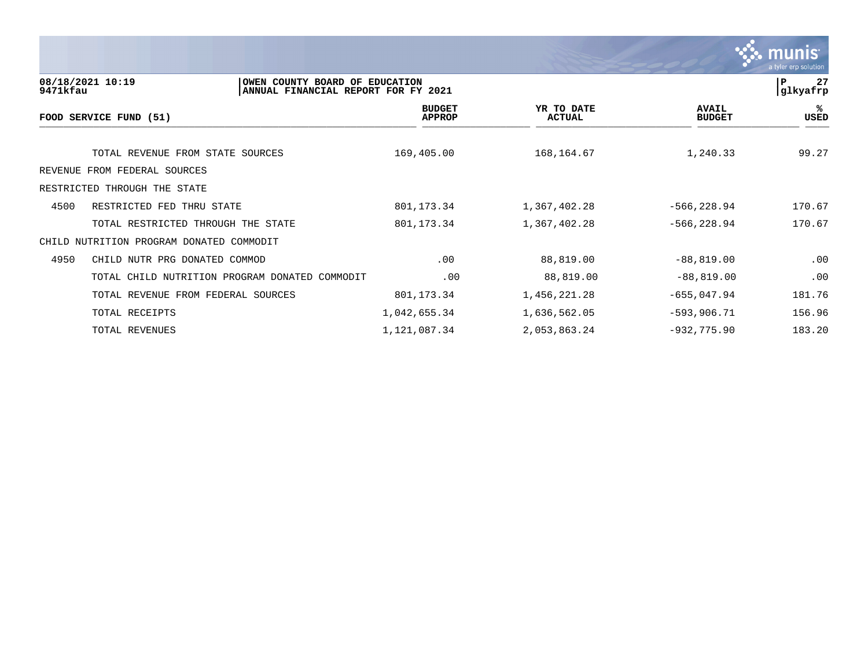

| 9471kfau | 08/18/2021 10:19                               | OWEN COUNTY BOARD OF EDUCATION<br>ANNUAL FINANCIAL REPORT FOR FY 2021 |                             |                               | 27<br>P<br> glkyafrp |
|----------|------------------------------------------------|-----------------------------------------------------------------------|-----------------------------|-------------------------------|----------------------|
|          | FOOD SERVICE FUND (51)                         | <b>BUDGET</b><br><b>APPROP</b>                                        | YR TO DATE<br><b>ACTUAL</b> | <b>AVAIL</b><br><b>BUDGET</b> | %ะ<br>USED           |
|          | TOTAL REVENUE FROM STATE SOURCES               | 169,405.00                                                            | 168, 164.67                 | 1,240.33                      | 99.27                |
|          | REVENUE FROM FEDERAL SOURCES                   |                                                                       |                             |                               |                      |
|          | RESTRICTED THROUGH THE STATE                   |                                                                       |                             |                               |                      |
| 4500     | RESTRICTED FED THRU STATE                      | 801,173.34                                                            | 1,367,402.28                | $-566, 228.94$                | 170.67               |
|          | TOTAL RESTRICTED THROUGH THE STATE             | 801, 173.34                                                           | 1,367,402.28                | $-566, 228.94$                | 170.67               |
|          | CHILD NUTRITION PROGRAM DONATED COMMODIT       |                                                                       |                             |                               |                      |
| 4950     | CHILD NUTR PRG DONATED COMMOD                  | .00                                                                   | 88,819.00                   | $-88,819.00$                  | .00                  |
|          | TOTAL CHILD NUTRITION PROGRAM DONATED COMMODIT | .00                                                                   | 88,819.00                   | $-88,819.00$                  | .00                  |
|          | TOTAL REVENUE FROM FEDERAL SOURCES             | 801,173.34                                                            | 1,456,221.28                | $-655,047.94$                 | 181.76               |
|          | TOTAL RECEIPTS                                 | 1,042,655.34                                                          | 1,636,562.05                | $-593,906.71$                 | 156.96               |
|          | TOTAL REVENUES                                 | 1,121,087.34                                                          | 2,053,863.24                | $-932, 775.90$                | 183.20               |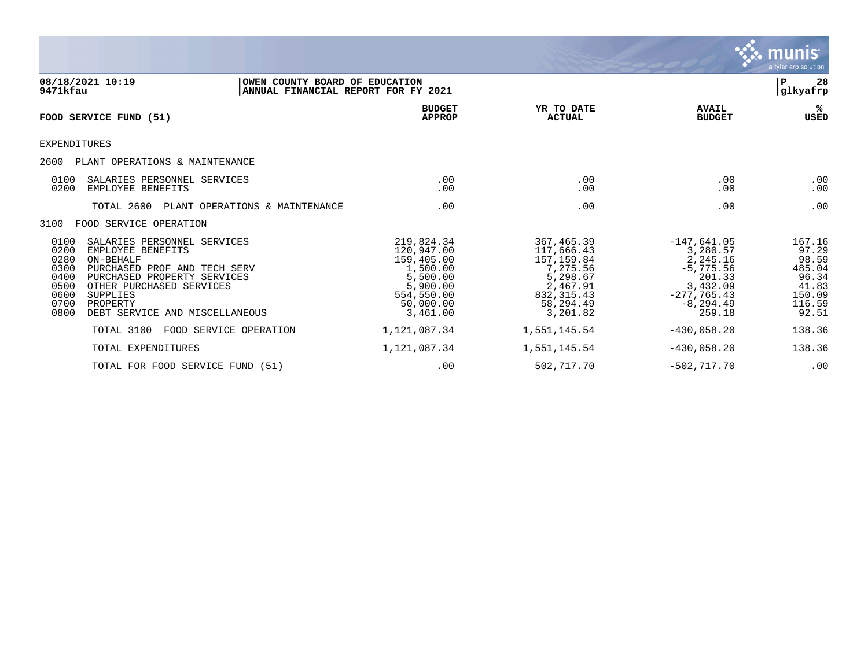

| 08/18/2021 10:19<br>9471kfau                                                                                                                                                                                                                                                                  | OWEN COUNTY BOARD OF EDUCATION<br>ANNUAL FINANCIAL REPORT FOR FY 2021                                             |                                                                                                                    |                                                                                                                       | 28<br>${\bf P}$<br>glkyafrp                                                       |
|-----------------------------------------------------------------------------------------------------------------------------------------------------------------------------------------------------------------------------------------------------------------------------------------------|-------------------------------------------------------------------------------------------------------------------|--------------------------------------------------------------------------------------------------------------------|-----------------------------------------------------------------------------------------------------------------------|-----------------------------------------------------------------------------------|
| <b>FOOD SERVICE FUND (51)</b>                                                                                                                                                                                                                                                                 | <b>BUDGET</b><br><b>APPROP</b>                                                                                    | YR TO DATE<br><b>ACTUAL</b>                                                                                        | <b>AVAIL</b><br><b>BUDGET</b>                                                                                         | ℁<br>USED                                                                         |
| EXPENDITURES                                                                                                                                                                                                                                                                                  |                                                                                                                   |                                                                                                                    |                                                                                                                       |                                                                                   |
| 2600<br>PLANT OPERATIONS & MAINTENANCE                                                                                                                                                                                                                                                        |                                                                                                                   |                                                                                                                    |                                                                                                                       |                                                                                   |
| SALARIES PERSONNEL SERVICES<br>0100<br>0200<br>EMPLOYEE BENEFITS                                                                                                                                                                                                                              | .00<br>.00                                                                                                        | .00<br>.00                                                                                                         | .00<br>.00                                                                                                            | .00<br>.00                                                                        |
| TOTAL 2600<br>PLANT OPERATIONS & MAINTENANCE                                                                                                                                                                                                                                                  | .00                                                                                                               | .00                                                                                                                | .00                                                                                                                   | .00                                                                               |
| 3100<br>FOOD SERVICE OPERATION                                                                                                                                                                                                                                                                |                                                                                                                   |                                                                                                                    |                                                                                                                       |                                                                                   |
| 0100<br>SALARIES PERSONNEL SERVICES<br>0200<br>EMPLOYEE BENEFITS<br>0280<br>ON-BEHALF<br>0300<br>PURCHASED PROF AND TECH SERV<br>0400<br>PURCHASED PROPERTY SERVICES<br>0500<br>OTHER PURCHASED SERVICES<br>0600<br>SUPPLIES<br>0700<br>PROPERTY<br>0800<br>DEBT SERVICE<br>AND MISCELLANEOUS | 219,824.34<br>120,947.00<br>159,405.00<br>1,500.00<br>5,500.00<br>5,900.00<br>554,550.00<br>50,000.00<br>3,461.00 | 367,465.39<br>117,666.43<br>157,159.84<br>7,275.56<br>5,298.67<br>2,467.91<br>832, 315.43<br>58,294.49<br>3,201.82 | $-147,641.05$<br>3,280.57<br>2,245.16<br>$-5,775.56$<br>201.33<br>3,432.09<br>$-277,765.43$<br>$-8, 294.49$<br>259.18 | 167.16<br>97.29<br>98.59<br>485.04<br>96.34<br>41.83<br>150.09<br>116.59<br>92.51 |
| TOTAL 3100<br>FOOD SERVICE OPERATION                                                                                                                                                                                                                                                          | 1,121,087.34                                                                                                      | 1,551,145.54                                                                                                       | $-430.058.20$                                                                                                         | 138.36                                                                            |
| TOTAL EXPENDITURES                                                                                                                                                                                                                                                                            | 1,121,087.34                                                                                                      | 1,551,145.54                                                                                                       | $-430,058.20$                                                                                                         | 138.36                                                                            |
| TOTAL FOR FOOD SERVICE FUND (51)                                                                                                                                                                                                                                                              | .00                                                                                                               | 502,717.70                                                                                                         | $-502, 717.70$                                                                                                        | .00                                                                               |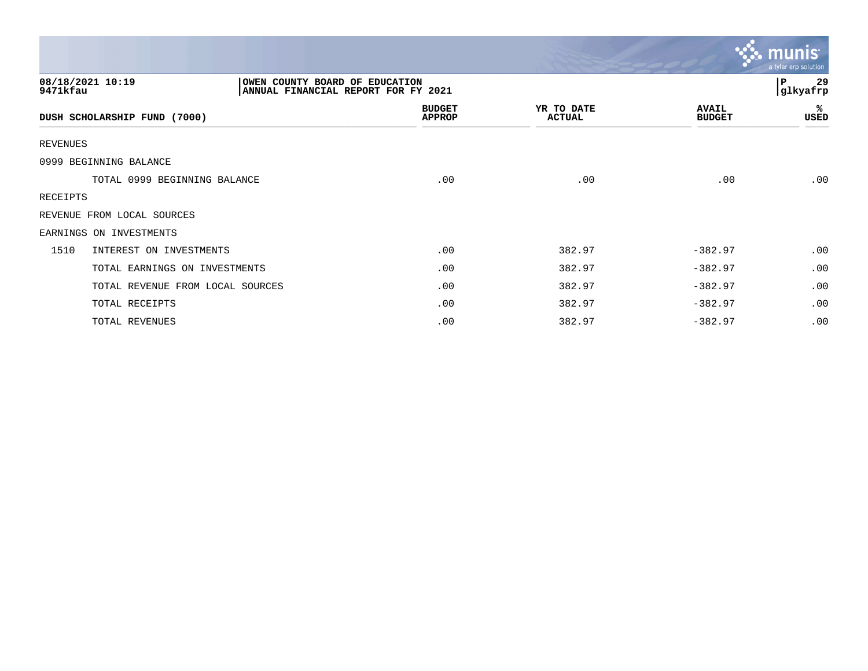|                                  |                                                                       |                             |                               | <b>munis</b><br>a tyler erp solution |
|----------------------------------|-----------------------------------------------------------------------|-----------------------------|-------------------------------|--------------------------------------|
| 08/18/2021 10:19<br>9471kfau     | OWEN COUNTY BOARD OF EDUCATION<br>ANNUAL FINANCIAL REPORT FOR FY 2021 |                             |                               | P<br>29<br>glkyafrp                  |
| DUSH SCHOLARSHIP FUND (7000)     | <b>BUDGET</b><br><b>APPROP</b>                                        | YR TO DATE<br><b>ACTUAL</b> | <b>AVAIL</b><br><b>BUDGET</b> | ℁<br>USED                            |
| <b>REVENUES</b>                  |                                                                       |                             |                               |                                      |
| 0999 BEGINNING BALANCE           |                                                                       |                             |                               |                                      |
| TOTAL 0999 BEGINNING BALANCE     | .00                                                                   | .00                         | .00                           | .00                                  |
| RECEIPTS                         |                                                                       |                             |                               |                                      |
| REVENUE FROM LOCAL SOURCES       |                                                                       |                             |                               |                                      |
| EARNINGS ON INVESTMENTS          |                                                                       |                             |                               |                                      |
| 1510<br>INTEREST ON INVESTMENTS  | .00                                                                   | 382.97                      | $-382.97$                     | .00                                  |
| TOTAL EARNINGS ON INVESTMENTS    | .00                                                                   | 382.97                      | $-382.97$                     | .00                                  |
| TOTAL REVENUE FROM LOCAL SOURCES | .00                                                                   | 382.97                      | $-382.97$                     | .00                                  |
| TOTAL RECEIPTS                   | .00                                                                   | 382.97                      | $-382.97$                     | .00                                  |
| TOTAL REVENUES                   | .00                                                                   | 382.97                      | $-382.97$                     | .00                                  |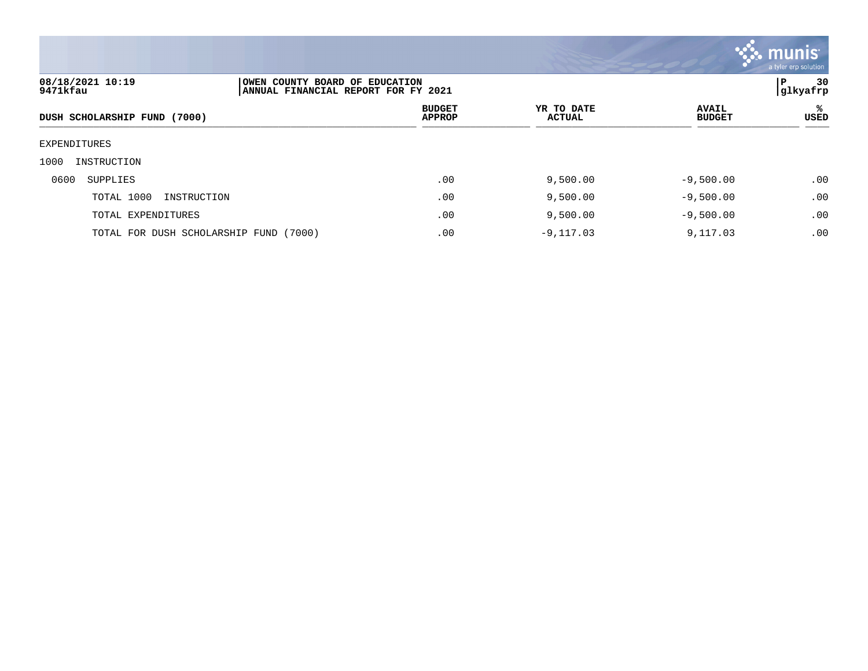

| 08/18/2021 10:19<br>9471kfau           | OWEN COUNTY BOARD OF EDUCATION<br>ANNUAL FINANCIAL REPORT FOR FY 2021 |                                |                             |                               | 30<br>l P<br> glkyafrp |  |
|----------------------------------------|-----------------------------------------------------------------------|--------------------------------|-----------------------------|-------------------------------|------------------------|--|
| DUSH SCHOLARSHIP FUND (7000)           |                                                                       | <b>BUDGET</b><br><b>APPROP</b> | YR TO DATE<br><b>ACTUAL</b> | <b>AVAIL</b><br><b>BUDGET</b> | ℁<br>USED              |  |
| EXPENDITURES                           |                                                                       |                                |                             |                               |                        |  |
| 1000<br>INSTRUCTION                    |                                                                       |                                |                             |                               |                        |  |
| 0600<br>SUPPLIES                       |                                                                       | .00                            | 9,500.00                    | $-9,500.00$                   | .00                    |  |
| TOTAL 1000<br>INSTRUCTION              |                                                                       | .00                            | 9,500.00                    | $-9,500.00$                   | .00                    |  |
| TOTAL EXPENDITURES                     |                                                                       | .00                            | 9,500.00                    | $-9,500.00$                   | .00                    |  |
| TOTAL FOR DUSH SCHOLARSHIP FUND (7000) |                                                                       | .00                            | $-9,117.03$                 | 9,117.03                      | .00                    |  |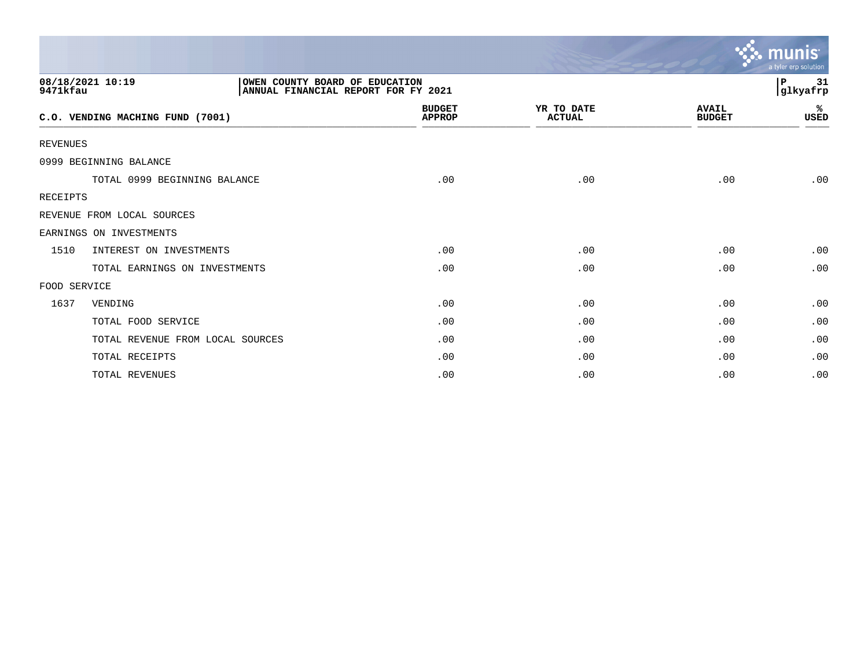|                 |                                  |                                                                       |                             |                               | munis<br>a tyler erp solution |
|-----------------|----------------------------------|-----------------------------------------------------------------------|-----------------------------|-------------------------------|-------------------------------|
| 9471kfau        | 08/18/2021 10:19                 | OWEN COUNTY BOARD OF EDUCATION<br>ANNUAL FINANCIAL REPORT FOR FY 2021 |                             |                               | P<br>31<br>glkyafrp           |
|                 | C.O. VENDING MACHING FUND (7001) | <b>BUDGET</b><br><b>APPROP</b>                                        | YR TO DATE<br><b>ACTUAL</b> | <b>AVAIL</b><br><b>BUDGET</b> | ℁<br>USED                     |
| <b>REVENUES</b> |                                  |                                                                       |                             |                               |                               |
|                 | 0999 BEGINNING BALANCE           |                                                                       |                             |                               |                               |
|                 | TOTAL 0999 BEGINNING BALANCE     | .00                                                                   | .00                         | .00                           | .00                           |
| <b>RECEIPTS</b> |                                  |                                                                       |                             |                               |                               |
|                 | REVENUE FROM LOCAL SOURCES       |                                                                       |                             |                               |                               |
|                 | EARNINGS ON INVESTMENTS          |                                                                       |                             |                               |                               |
| 1510            | INTEREST ON INVESTMENTS          | .00                                                                   | .00                         | .00                           | .00                           |
|                 | TOTAL EARNINGS ON INVESTMENTS    | .00                                                                   | .00                         | .00                           | .00                           |
| FOOD SERVICE    |                                  |                                                                       |                             |                               |                               |
| 1637            | VENDING                          | .00                                                                   | .00                         | .00                           | .00                           |
|                 | TOTAL FOOD SERVICE               | .00                                                                   | .00                         | .00                           | .00                           |
|                 | TOTAL REVENUE FROM LOCAL SOURCES | .00                                                                   | .00                         | .00                           | .00                           |
|                 | TOTAL RECEIPTS                   | .00                                                                   | .00                         | .00                           | .00                           |
|                 | TOTAL REVENUES                   | .00                                                                   | .00                         | .00                           | .00                           |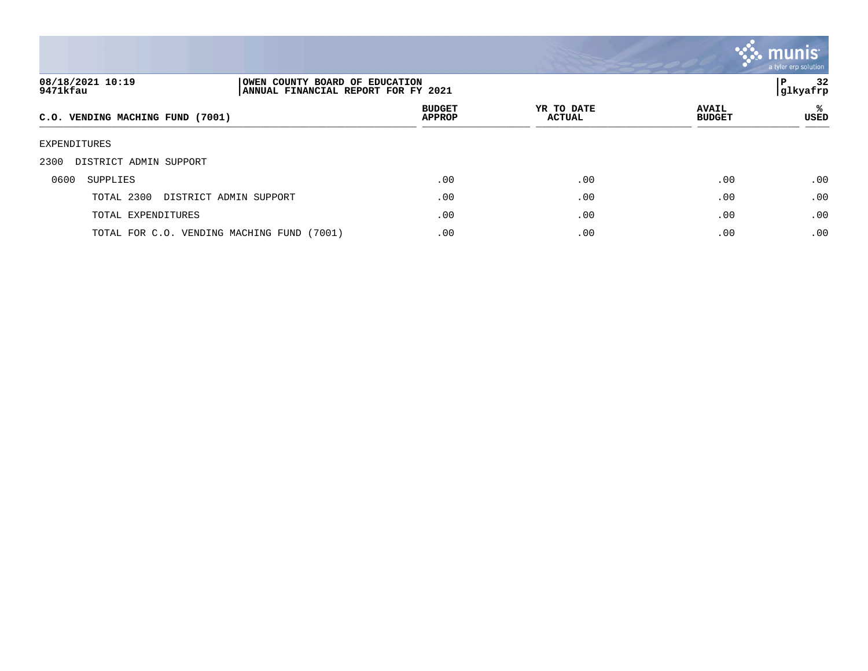

| 08/18/2021 10:19<br>OWEN COUNTY BOARD OF EDUCATION<br>9471kfau<br>ANNUAL FINANCIAL REPORT FOR FY 2021 |                                |                             |                               | 32<br>P<br> glkyafrp |
|-------------------------------------------------------------------------------------------------------|--------------------------------|-----------------------------|-------------------------------|----------------------|
| C.O. VENDING MACHING FUND (7001)                                                                      | <b>BUDGET</b><br><b>APPROP</b> | YR TO DATE<br><b>ACTUAL</b> | <b>AVAIL</b><br><b>BUDGET</b> | ℁<br>USED            |
| EXPENDITURES                                                                                          |                                |                             |                               |                      |
| DISTRICT ADMIN SUPPORT<br>2300                                                                        |                                |                             |                               |                      |
| 0600<br>SUPPLIES                                                                                      | .00                            | .00                         | .00                           | .00                  |
| TOTAL 2300<br>DISTRICT ADMIN SUPPORT                                                                  | .00                            | .00                         | .00                           | .00                  |
| TOTAL EXPENDITURES                                                                                    | .00                            | .00                         | .00                           | .00                  |
| TOTAL FOR C.O. VENDING MACHING FUND (7001)                                                            | .00                            | .00                         | .00                           | .00                  |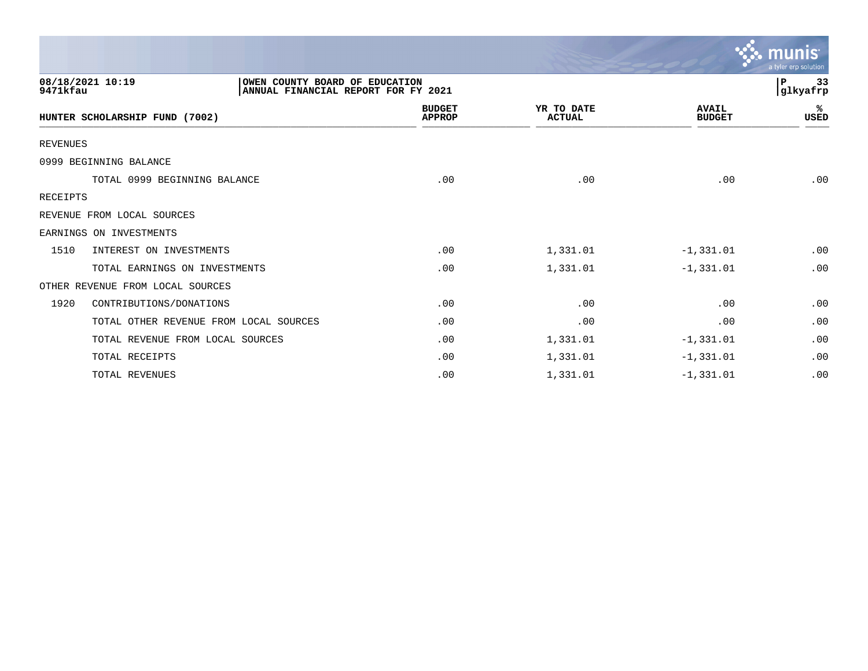|                                        |                                                                       |                             |                               | a tyler erp solution |
|----------------------------------------|-----------------------------------------------------------------------|-----------------------------|-------------------------------|----------------------|
| 08/18/2021 10:19<br>9471kfau           | OWEN COUNTY BOARD OF EDUCATION<br>ANNUAL FINANCIAL REPORT FOR FY 2021 |                             |                               | P<br>33<br>glkyafrp  |
| HUNTER SCHOLARSHIP FUND (7002)         | <b>BUDGET</b><br><b>APPROP</b>                                        | YR TO DATE<br><b>ACTUAL</b> | <b>AVAIL</b><br><b>BUDGET</b> | ℁<br>USED            |
| <b>REVENUES</b>                        |                                                                       |                             |                               |                      |
| 0999 BEGINNING BALANCE                 |                                                                       |                             |                               |                      |
| TOTAL 0999 BEGINNING BALANCE           | .00                                                                   | .00                         | .00                           | .00                  |
| <b>RECEIPTS</b>                        |                                                                       |                             |                               |                      |
| REVENUE FROM LOCAL SOURCES             |                                                                       |                             |                               |                      |
| EARNINGS ON INVESTMENTS                |                                                                       |                             |                               |                      |
| 1510<br>INTEREST ON INVESTMENTS        | .00                                                                   | 1,331.01                    | $-1, 331.01$                  | .00                  |
| TOTAL EARNINGS ON INVESTMENTS          | .00                                                                   | 1,331.01                    | $-1, 331.01$                  | .00                  |
| OTHER REVENUE FROM LOCAL SOURCES       |                                                                       |                             |                               |                      |
| 1920<br>CONTRIBUTIONS/DONATIONS        | .00                                                                   | .00                         | .00                           | .00                  |
| TOTAL OTHER REVENUE FROM LOCAL SOURCES | .00                                                                   | .00                         | .00                           | .00                  |
| TOTAL REVENUE FROM LOCAL SOURCES       | .00                                                                   | 1,331.01                    | $-1, 331.01$                  | .00                  |
| TOTAL RECEIPTS                         | .00                                                                   | 1,331.01                    | $-1, 331.01$                  | .00                  |
| TOTAL REVENUES                         | .00                                                                   | 1,331.01                    | $-1, 331.01$                  | .00                  |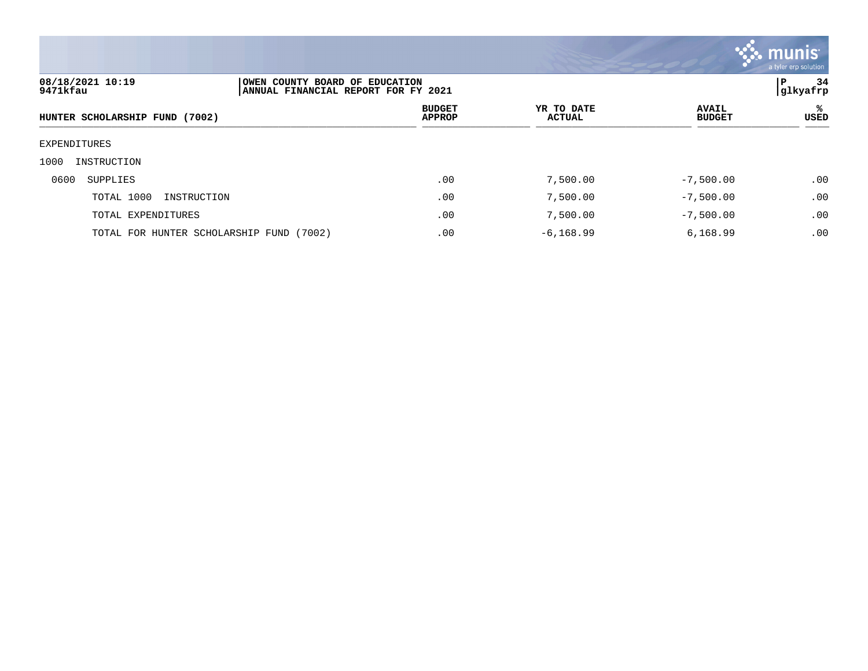

| 08/18/2021 10:19<br>9471kfau   |                                          | OWEN COUNTY BOARD OF EDUCATION<br>ANNUAL FINANCIAL REPORT FOR FY 2021 |                             |                               |           |
|--------------------------------|------------------------------------------|-----------------------------------------------------------------------|-----------------------------|-------------------------------|-----------|
| HUNTER SCHOLARSHIP FUND (7002) |                                          | <b>BUDGET</b><br><b>APPROP</b>                                        | YR TO DATE<br><b>ACTUAL</b> | <b>AVAIL</b><br><b>BUDGET</b> | ℁<br>USED |
| EXPENDITURES                   |                                          |                                                                       |                             |                               |           |
| 1000<br>INSTRUCTION            |                                          |                                                                       |                             |                               |           |
| 0600<br>SUPPLIES               |                                          | .00                                                                   | 7,500.00                    | $-7,500.00$                   | .00       |
| TOTAL 1000                     | INSTRUCTION                              | .00                                                                   | 7,500.00                    | $-7,500.00$                   | .00       |
|                                | TOTAL EXPENDITURES                       | .00                                                                   | 7,500.00                    | $-7,500.00$                   | .00       |
|                                | TOTAL FOR HUNTER SCHOLARSHIP FUND (7002) | .00                                                                   | $-6, 168.99$                | 6,168.99                      | .00       |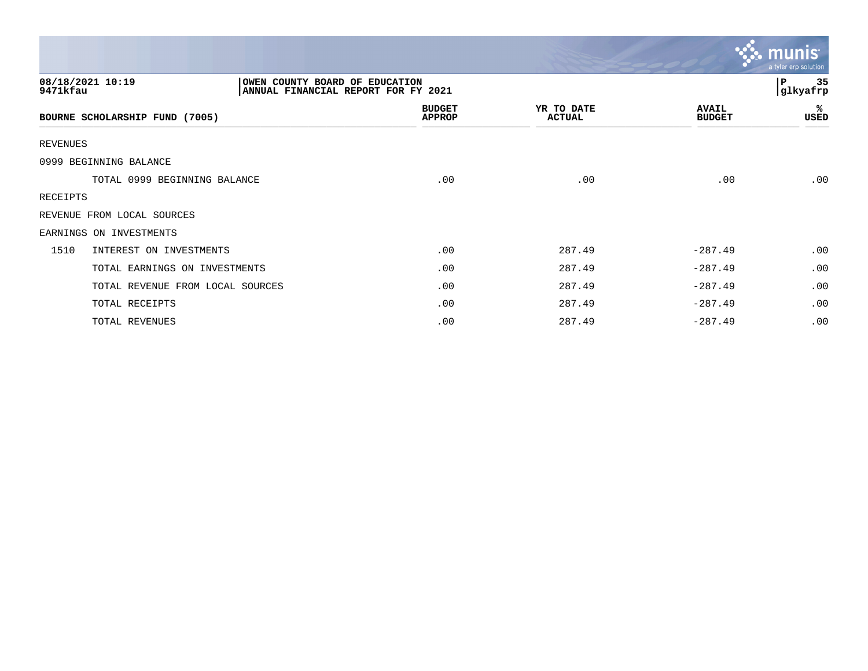|                                  |                                                                       |                             |                               | <b>munis</b><br>a tyler erp solution |
|----------------------------------|-----------------------------------------------------------------------|-----------------------------|-------------------------------|--------------------------------------|
| 08/18/2021 10:19<br>9471kfau     | OWEN COUNTY BOARD OF EDUCATION<br>ANNUAL FINANCIAL REPORT FOR FY 2021 |                             |                               | 35<br>l P<br>glkyafrp                |
| BOURNE SCHOLARSHIP FUND (7005)   | <b>BUDGET</b><br><b>APPROP</b>                                        | YR TO DATE<br><b>ACTUAL</b> | <b>AVAIL</b><br><b>BUDGET</b> | %<br>USED                            |
| <b>REVENUES</b>                  |                                                                       |                             |                               |                                      |
| 0999 BEGINNING BALANCE           |                                                                       |                             |                               |                                      |
| TOTAL 0999 BEGINNING BALANCE     | .00                                                                   | .00                         | .00                           | .00                                  |
| RECEIPTS                         |                                                                       |                             |                               |                                      |
| REVENUE FROM LOCAL SOURCES       |                                                                       |                             |                               |                                      |
| EARNINGS ON INVESTMENTS          |                                                                       |                             |                               |                                      |
| 1510<br>INTEREST ON INVESTMENTS  | .00                                                                   | 287.49                      | $-287.49$                     | .00                                  |
| TOTAL EARNINGS ON INVESTMENTS    | .00                                                                   | 287.49                      | $-287.49$                     | .00                                  |
| TOTAL REVENUE FROM LOCAL SOURCES | .00                                                                   | 287.49                      | $-287.49$                     | .00                                  |
| TOTAL RECEIPTS                   | .00                                                                   | 287.49                      | $-287.49$                     | .00                                  |
| TOTAL REVENUES                   | .00                                                                   | 287.49                      | $-287.49$                     | .00                                  |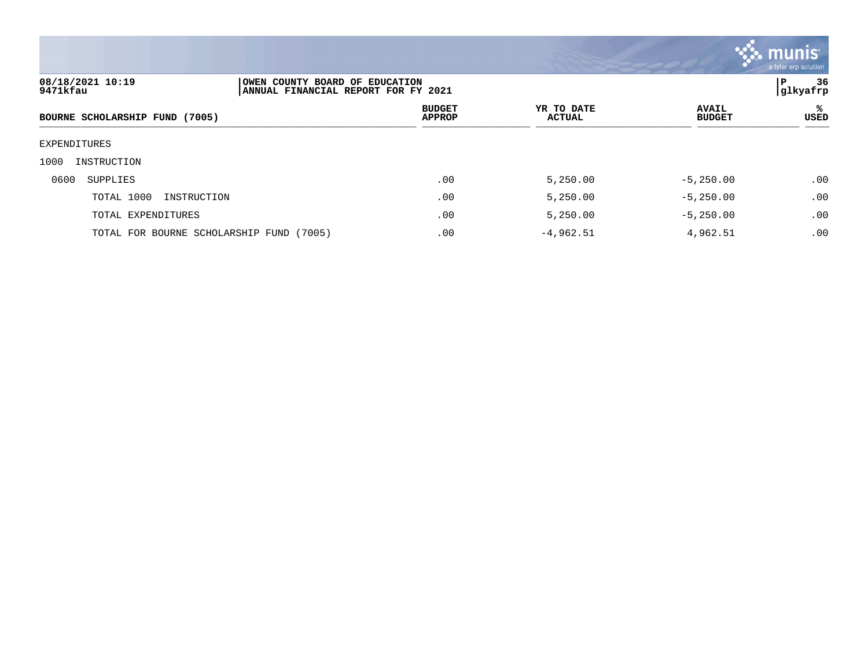

| 08/18/2021 10:19<br>OWEN COUNTY BOARD OF EDUCATION<br>9471kfau<br>ANNUAL FINANCIAL REPORT FOR FY 2021 |                                          |  |                                | 36<br>l P<br> glkyafrp      |                               |           |
|-------------------------------------------------------------------------------------------------------|------------------------------------------|--|--------------------------------|-----------------------------|-------------------------------|-----------|
|                                                                                                       | BOURNE SCHOLARSHIP FUND (7005)           |  | <b>BUDGET</b><br><b>APPROP</b> | YR TO DATE<br><b>ACTUAL</b> | <b>AVAIL</b><br><b>BUDGET</b> | ℁<br>USED |
| EXPENDITURES                                                                                          |                                          |  |                                |                             |                               |           |
| 1000                                                                                                  | INSTRUCTION                              |  |                                |                             |                               |           |
| 0600                                                                                                  | SUPPLIES                                 |  | .00                            | 5,250.00                    | $-5, 250.00$                  | .00       |
|                                                                                                       | TOTAL 1000<br>INSTRUCTION                |  | .00                            | 5,250.00                    | $-5, 250.00$                  | .00       |
|                                                                                                       | TOTAL EXPENDITURES                       |  | .00                            | 5,250.00                    | $-5, 250.00$                  | .00       |
|                                                                                                       | TOTAL FOR BOURNE SCHOLARSHIP FUND (7005) |  | .00                            | $-4,962.51$                 | 4,962.51                      | .00       |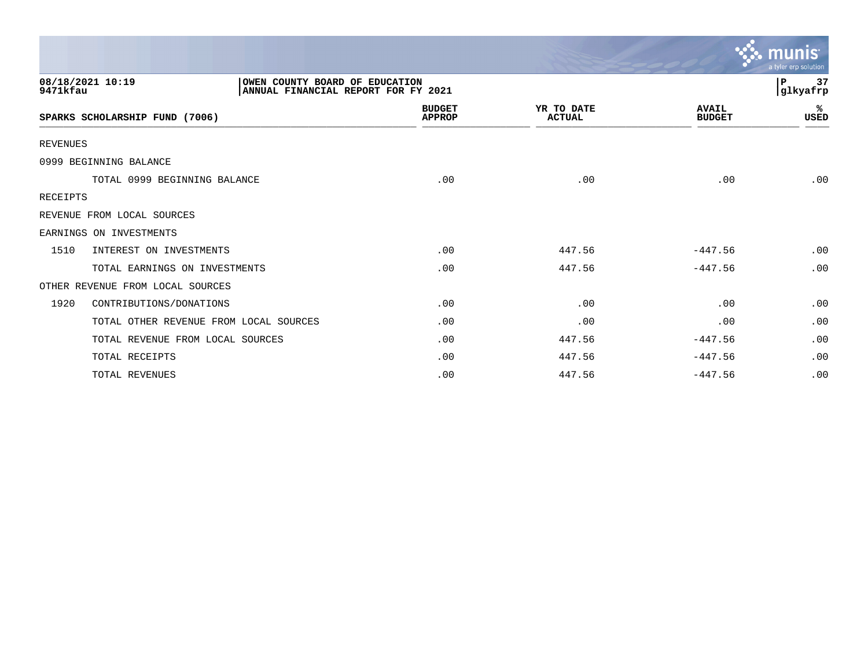|                 |                                                                                           |                                |                             |                               | a tyler erp solution           |
|-----------------|-------------------------------------------------------------------------------------------|--------------------------------|-----------------------------|-------------------------------|--------------------------------|
| 9471kfau        | 08/18/2021 10:19<br>OWEN COUNTY BOARD OF EDUCATION<br>ANNUAL FINANCIAL REPORT FOR FY 2021 |                                |                             |                               | $\, {\bf P}$<br>37<br>glkyafrp |
|                 | SPARKS SCHOLARSHIP FUND (7006)                                                            | <b>BUDGET</b><br><b>APPROP</b> | YR TO DATE<br><b>ACTUAL</b> | <b>AVAIL</b><br><b>BUDGET</b> | %<br><b>USED</b>               |
| <b>REVENUES</b> |                                                                                           |                                |                             |                               |                                |
|                 | 0999 BEGINNING BALANCE                                                                    |                                |                             |                               |                                |
|                 | TOTAL 0999 BEGINNING BALANCE                                                              | .00                            | .00                         | .00                           | .00                            |
| RECEIPTS        |                                                                                           |                                |                             |                               |                                |
|                 | REVENUE FROM LOCAL SOURCES                                                                |                                |                             |                               |                                |
|                 | EARNINGS ON INVESTMENTS                                                                   |                                |                             |                               |                                |
| 1510            | INTEREST ON INVESTMENTS                                                                   | .00                            | 447.56                      | $-447.56$                     | .00                            |
|                 | TOTAL EARNINGS ON INVESTMENTS                                                             | .00                            | 447.56                      | $-447.56$                     | .00                            |
|                 | OTHER REVENUE FROM LOCAL SOURCES                                                          |                                |                             |                               |                                |
| 1920            | CONTRIBUTIONS/DONATIONS                                                                   | .00                            | .00                         | .00                           | .00                            |
|                 | TOTAL OTHER REVENUE FROM LOCAL SOURCES                                                    | .00                            | .00                         | .00                           | .00                            |
|                 | TOTAL REVENUE FROM LOCAL SOURCES                                                          | .00                            | 447.56                      | $-447.56$                     | .00                            |
|                 | TOTAL RECEIPTS                                                                            | .00                            | 447.56                      | $-447.56$                     | .00                            |
|                 | TOTAL REVENUES                                                                            | .00                            | 447.56                      | $-447.56$                     | .00                            |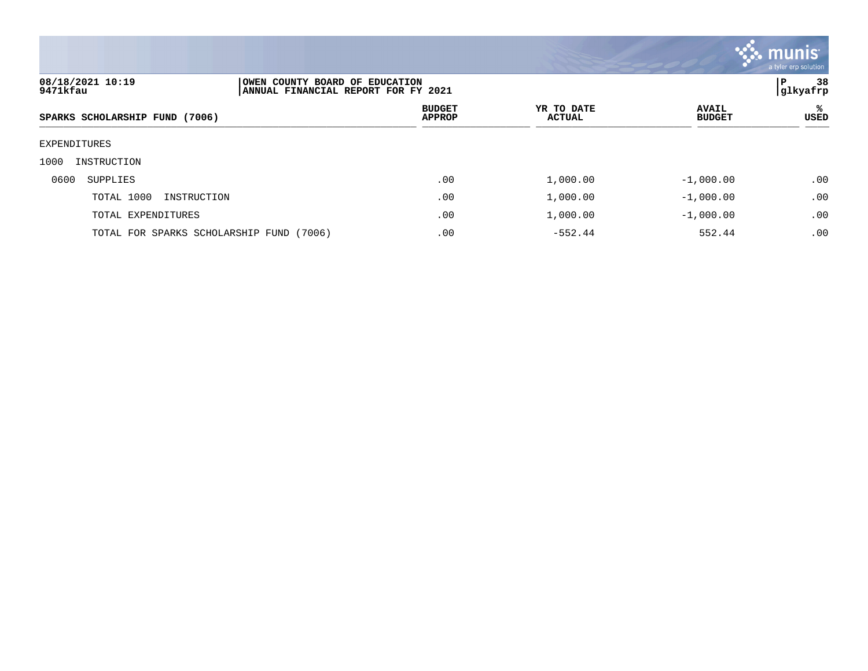

| 08/18/2021 10:19<br>9471kfau             | OWEN COUNTY BOARD OF EDUCATION<br> ANNUAL FINANCIAL REPORT FOR FY 2021 |                             |                               |           |
|------------------------------------------|------------------------------------------------------------------------|-----------------------------|-------------------------------|-----------|
| SPARKS SCHOLARSHIP FUND (7006)           | <b>BUDGET</b><br><b>APPROP</b>                                         | YR TO DATE<br><b>ACTUAL</b> | <b>AVAIL</b><br><b>BUDGET</b> | ℁<br>USED |
| EXPENDITURES                             |                                                                        |                             |                               |           |
| 1000<br>INSTRUCTION                      |                                                                        |                             |                               |           |
| 0600<br>SUPPLIES                         | .00                                                                    | 1,000.00                    | $-1,000.00$                   | .00       |
| TOTAL 1000<br>INSTRUCTION                | .00                                                                    | 1,000.00                    | $-1,000.00$                   | .00       |
| TOTAL EXPENDITURES                       | .00                                                                    | 1,000.00                    | $-1,000.00$                   | .00       |
| TOTAL FOR SPARKS SCHOLARSHIP FUND (7006) | .00                                                                    | $-552.44$                   | 552.44                        | .00       |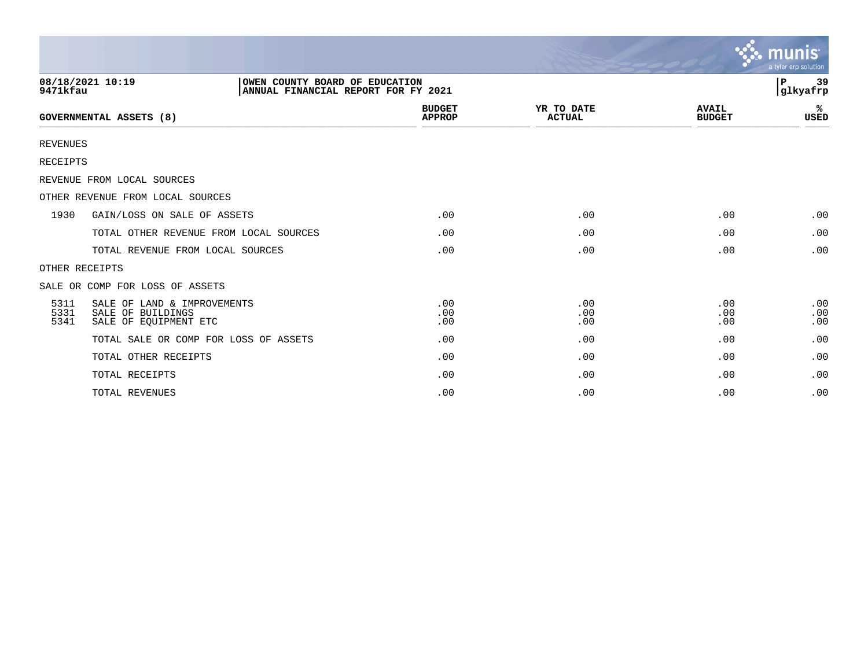|                                |                                                                                           |                                |                             |                               | $\sim$ munis<br>a tyler erp solution |
|--------------------------------|-------------------------------------------------------------------------------------------|--------------------------------|-----------------------------|-------------------------------|--------------------------------------|
| 9471kfau                       | 08/18/2021 10:19<br>OWEN COUNTY BOARD OF EDUCATION<br>ANNUAL FINANCIAL REPORT FOR FY 2021 |                                |                             |                               | 39<br>l P<br>glkyafrp                |
| <b>GOVERNMENTAL ASSETS (8)</b> |                                                                                           | <b>BUDGET</b><br><b>APPROP</b> | YR TO DATE<br><b>ACTUAL</b> | <b>AVAIL</b><br><b>BUDGET</b> | ℁<br><b>USED</b>                     |
| <b>REVENUES</b>                |                                                                                           |                                |                             |                               |                                      |
| <b>RECEIPTS</b>                |                                                                                           |                                |                             |                               |                                      |
|                                | REVENUE FROM LOCAL SOURCES                                                                |                                |                             |                               |                                      |
|                                | OTHER REVENUE FROM LOCAL SOURCES                                                          |                                |                             |                               |                                      |
| 1930                           | GAIN/LOSS ON SALE OF ASSETS                                                               | .00                            | .00                         | .00                           | .00                                  |
|                                | TOTAL OTHER REVENUE FROM LOCAL SOURCES                                                    | .00                            | .00                         | .00                           | .00                                  |
|                                | TOTAL REVENUE FROM LOCAL SOURCES                                                          | .00                            | .00                         | .00                           | .00                                  |
|                                | OTHER RECEIPTS                                                                            |                                |                             |                               |                                      |
|                                | SALE OR COMP FOR LOSS OF ASSETS                                                           |                                |                             |                               |                                      |
| 5311<br>5331<br>5341           | SALE OF LAND & IMPROVEMENTS<br>SALE OF BUILDINGS<br>SALE OF EOUIPMENT ETC                 | .00<br>.00<br>.00              | .00<br>.00<br>.00           | .00<br>.00<br>.00             | .00<br>.00<br>.00                    |
|                                | TOTAL SALE OR COMP FOR LOSS OF ASSETS                                                     | .00                            | .00                         | .00                           | .00                                  |
|                                | TOTAL OTHER RECEIPTS                                                                      | .00                            | .00                         | .00                           | .00                                  |
|                                | TOTAL RECEIPTS                                                                            | .00                            | .00                         | .00                           | .00                                  |
|                                | TOTAL REVENUES                                                                            | .00                            | .00                         | .00                           | .00                                  |

 $\sim$   $\sim$   $\sim$   $\sim$   $\sim$   $\sim$   $\sim$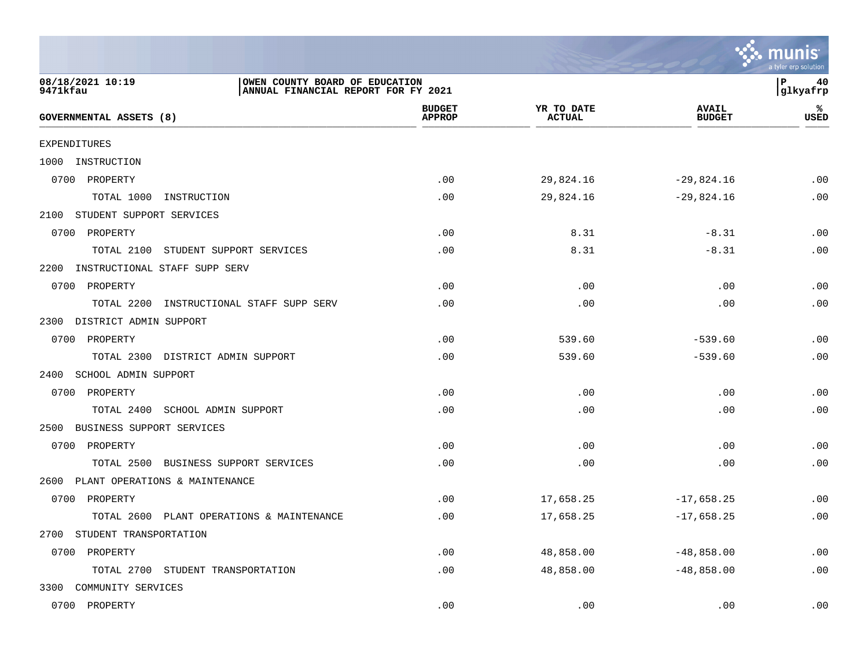|                                                                                                       |                                |                             |                               | <b>munis</b><br>a tyler erp solution |
|-------------------------------------------------------------------------------------------------------|--------------------------------|-----------------------------|-------------------------------|--------------------------------------|
| 08/18/2021 10:19<br>OWEN COUNTY BOARD OF EDUCATION<br>ANNUAL FINANCIAL REPORT FOR FY 2021<br>9471kfau |                                |                             |                               | P<br>40<br> glkyafrp                 |
| GOVERNMENTAL ASSETS (8)                                                                               | <b>BUDGET</b><br><b>APPROP</b> | YR TO DATE<br><b>ACTUAL</b> | <b>AVAIL</b><br><b>BUDGET</b> | %<br>USED                            |
| EXPENDITURES                                                                                          |                                |                             |                               |                                      |
| 1000 INSTRUCTION                                                                                      |                                |                             |                               |                                      |
| 0700<br>PROPERTY                                                                                      | .00                            | 29,824.16                   | $-29,824.16$                  | .00                                  |
| TOTAL 1000<br>INSTRUCTION                                                                             | .00                            | 29,824.16                   | $-29,824.16$                  | .00                                  |
| 2100<br>STUDENT SUPPORT SERVICES                                                                      |                                |                             |                               |                                      |
| 0700<br>PROPERTY                                                                                      | .00                            | 8.31                        | $-8.31$                       | .00                                  |
| TOTAL 2100 STUDENT SUPPORT SERVICES                                                                   | .00                            | 8.31                        | $-8.31$                       | .00                                  |
| 2200<br>INSTRUCTIONAL STAFF SUPP SERV                                                                 |                                |                             |                               |                                      |
| 0700<br>PROPERTY                                                                                      | .00                            | .00                         | .00                           | .00                                  |
| TOTAL 2200<br>INSTRUCTIONAL STAFF SUPP SERV                                                           | .00                            | .00                         | .00                           | .00                                  |

| <b>GOVERNMENTAL ASSETS (8)</b>            | -----<br><b>APPROP</b> | <br><b>ACTUAL</b> | . <i>.</i><br><b>BUDGET</b> | <b>USED</b> |
|-------------------------------------------|------------------------|-------------------|-----------------------------|-------------|
| EXPENDITURES                              |                        |                   |                             |             |
| 1000 INSTRUCTION                          |                        |                   |                             |             |
| 0700 PROPERTY                             | .00                    | 29,824.16         | $-29,824.16$                | .00         |
| TOTAL 1000<br>INSTRUCTION                 | .00                    | 29,824.16         | $-29,824.16$                | .00         |
| 2100 STUDENT SUPPORT SERVICES             |                        |                   |                             |             |
| 0700 PROPERTY                             | .00                    | 8.31              | $-8.31$                     | .00         |
| TOTAL 2100 STUDENT SUPPORT SERVICES       | .00                    | 8.31              | $-8.31$                     | .00         |
| INSTRUCTIONAL STAFF SUPP SERV<br>2200     |                        |                   |                             |             |
| 0700 PROPERTY                             | .00                    | .00               | .00                         | .00         |
| TOTAL 2200 INSTRUCTIONAL STAFF SUPP SERV  | .00                    | .00               | .00                         | .00         |
| DISTRICT ADMIN SUPPORT<br>2300            |                        |                   |                             |             |
| 0700 PROPERTY                             | .00                    | 539.60            | $-539.60$                   | .00         |
| TOTAL 2300 DISTRICT ADMIN SUPPORT         | .00                    | 539.60            | $-539.60$                   | .00         |
| 2400<br>SCHOOL ADMIN SUPPORT              |                        |                   |                             |             |
| 0700 PROPERTY                             | .00                    | .00               | .00                         | .00         |
| TOTAL 2400<br>SCHOOL ADMIN SUPPORT        | .00                    | .00               | .00                         | .00         |
| BUSINESS SUPPORT SERVICES<br>2500         |                        |                   |                             |             |
| 0700 PROPERTY                             | .00                    | .00               | .00                         | .00         |
| TOTAL 2500<br>BUSINESS SUPPORT SERVICES   | .00                    | .00               | .00                         | .00         |
| 2600 PLANT OPERATIONS & MAINTENANCE       |                        |                   |                             |             |
| 0700 PROPERTY                             | .00                    | 17,658.25         | $-17,658.25$                | .00         |
| TOTAL 2600 PLANT OPERATIONS & MAINTENANCE | .00                    | 17,658.25         | $-17,658.25$                | .00         |
| 2700 STUDENT TRANSPORTATION               |                        |                   |                             |             |
| 0700 PROPERTY                             | .00                    | 48,858.00         | $-48,858.00$                | .00         |
| TOTAL 2700 STUDENT TRANSPORTATION         | .00                    | 48,858.00         | $-48,858.00$                | .00         |
| 3300 COMMUNITY SERVICES                   |                        |                   |                             |             |

0700 PROPERTY .00 .00 .00 .00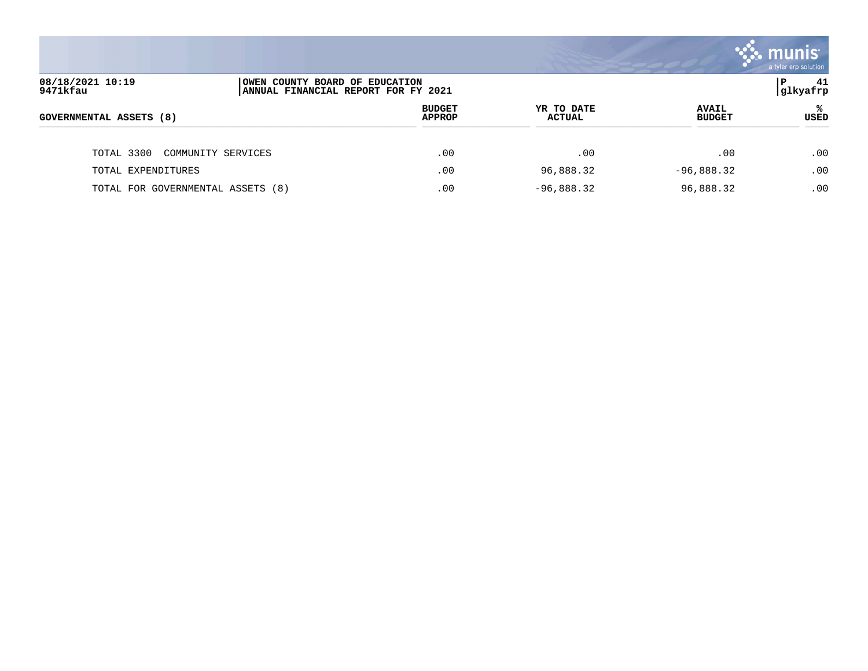

| 08/18/2021 10:19<br>9471kfau      |                    | OWEN COUNTY BOARD OF EDUCATION<br>ANNUAL FINANCIAL REPORT FOR FY 2021 |                      |                               |             |
|-----------------------------------|--------------------|-----------------------------------------------------------------------|----------------------|-------------------------------|-------------|
| <b>GOVERNMENTAL ASSETS (8)</b>    |                    | <b>BUDGET</b><br><b>APPROP</b>                                        | YR TO DATE<br>ACTUAL | <b>AVAIL</b><br><b>BUDGET</b> | <b>USED</b> |
| TOTAL 3300                        | COMMUNITY SERVICES | .00                                                                   | .00                  | .00                           | .00         |
| TOTAL EXPENDITURES                |                    | .00                                                                   | 96,888.32            | $-96,888.32$                  | .00         |
| TOTAL FOR GOVERNMENTAL ASSETS (8) |                    | .00                                                                   | $-96,888.32$         | 96,888.32                     | .00         |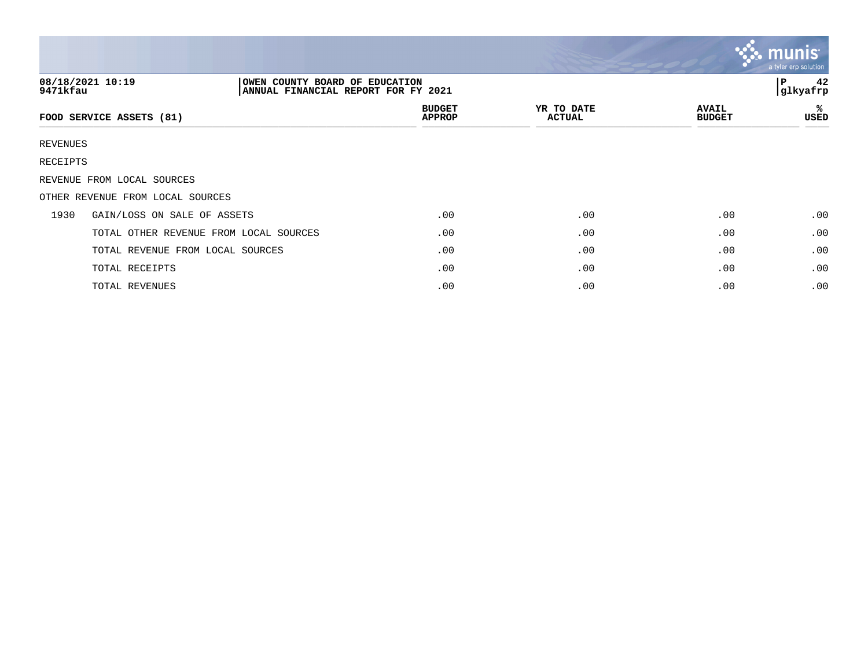|          |                                                                                           |                                |                             |                               | $\mathcal{C}$ . munist<br>a tyler erp solution |
|----------|-------------------------------------------------------------------------------------------|--------------------------------|-----------------------------|-------------------------------|------------------------------------------------|
| 9471kfau | 08/18/2021 10:19<br>OWEN COUNTY BOARD OF EDUCATION<br>ANNUAL FINANCIAL REPORT FOR FY 2021 |                                |                             |                               | 42<br>P<br>glkyafrp                            |
|          | FOOD SERVICE ASSETS (81)                                                                  | <b>BUDGET</b><br><b>APPROP</b> | YR TO DATE<br><b>ACTUAL</b> | <b>AVAIL</b><br><b>BUDGET</b> | ℁<br>USED                                      |
| REVENUES |                                                                                           |                                |                             |                               |                                                |
| RECEIPTS |                                                                                           |                                |                             |                               |                                                |
|          | REVENUE FROM LOCAL SOURCES                                                                |                                |                             |                               |                                                |
|          | OTHER REVENUE FROM LOCAL SOURCES                                                          |                                |                             |                               |                                                |
| 1930     | GAIN/LOSS ON SALE OF ASSETS                                                               | .00                            | .00                         | .00                           | .00                                            |
|          | TOTAL OTHER REVENUE FROM LOCAL SOURCES                                                    | .00                            | .00                         | .00                           | .00                                            |
|          | TOTAL REVENUE FROM LOCAL SOURCES                                                          | .00                            | .00                         | .00                           | .00                                            |
|          | TOTAL RECEIPTS                                                                            | .00                            | .00                         | .00                           | .00                                            |
|          | TOTAL REVENUES                                                                            | .00                            | .00                         | .00                           | .00                                            |

the contract of the contract of the contract of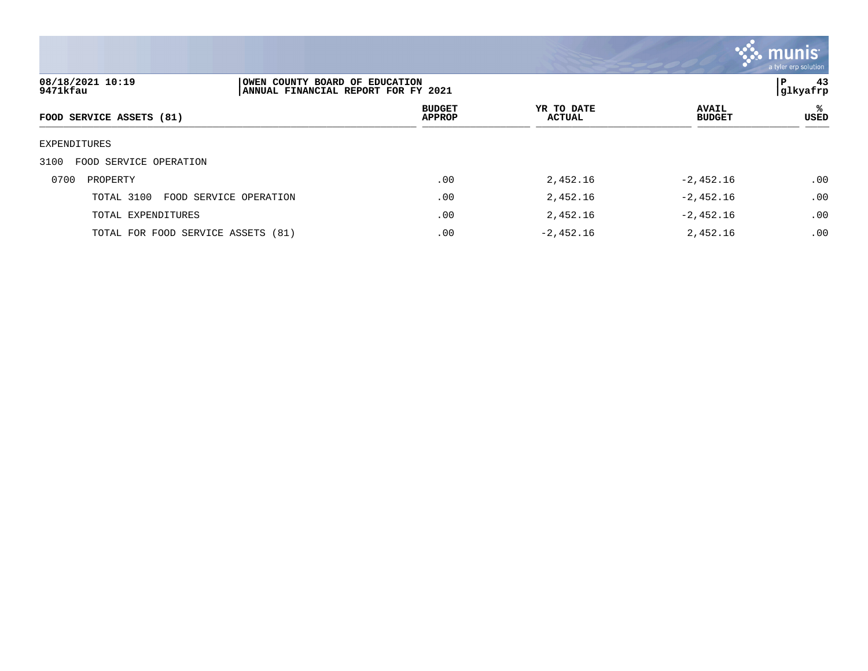

| 08/18/2021 10:19<br>9471kfau         | OWEN COUNTY BOARD OF EDUCATION<br> ANNUAL FINANCIAL REPORT FOR FY 2021 |                                |                             |                               | 43<br>P<br> glkyafrp |  |
|--------------------------------------|------------------------------------------------------------------------|--------------------------------|-----------------------------|-------------------------------|----------------------|--|
| FOOD SERVICE ASSETS (81)             |                                                                        | <b>BUDGET</b><br><b>APPROP</b> | YR TO DATE<br><b>ACTUAL</b> | <b>AVAIL</b><br><b>BUDGET</b> | ℁<br>USED            |  |
| EXPENDITURES                         |                                                                        |                                |                             |                               |                      |  |
| 3100<br>FOOD SERVICE OPERATION       |                                                                        |                                |                             |                               |                      |  |
| 0700<br>PROPERTY                     |                                                                        | .00                            | 2,452.16                    | $-2,452.16$                   | .00                  |  |
| TOTAL 3100<br>FOOD SERVICE OPERATION |                                                                        | .00                            | 2,452.16                    | $-2,452.16$                   | .00                  |  |
| TOTAL EXPENDITURES                   |                                                                        | .00                            | 2,452.16                    | $-2,452.16$                   | .00                  |  |
| TOTAL FOR FOOD SERVICE ASSETS (81)   |                                                                        | .00                            | $-2,452.16$                 | 2,452.16                      | .00                  |  |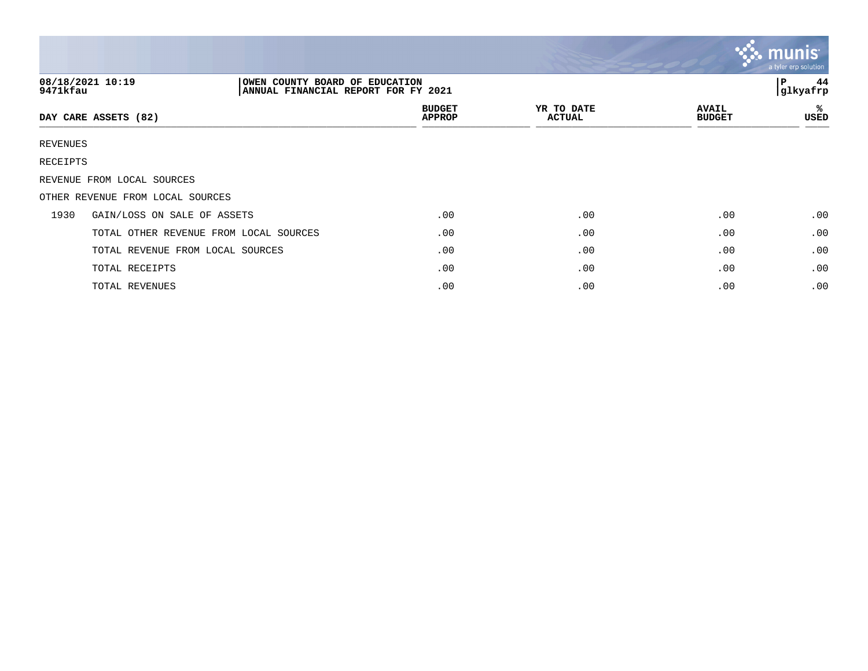|          |                                                                                           |                                |                             |                               | $\mathbf{\mathcal{C}}$ munis<br>a tyler erp solution |
|----------|-------------------------------------------------------------------------------------------|--------------------------------|-----------------------------|-------------------------------|------------------------------------------------------|
| 9471kfau | 08/18/2021 10:19<br>OWEN COUNTY BOARD OF EDUCATION<br>ANNUAL FINANCIAL REPORT FOR FY 2021 |                                |                             |                               | 44<br>l P<br>glkyafrp                                |
|          | DAY CARE ASSETS (82)                                                                      | <b>BUDGET</b><br><b>APPROP</b> | YR TO DATE<br><b>ACTUAL</b> | <b>AVAIL</b><br><b>BUDGET</b> | ℁<br>USED                                            |
| REVENUES |                                                                                           |                                |                             |                               |                                                      |
| RECEIPTS |                                                                                           |                                |                             |                               |                                                      |
|          | REVENUE FROM LOCAL SOURCES                                                                |                                |                             |                               |                                                      |
|          | OTHER REVENUE FROM LOCAL SOURCES                                                          |                                |                             |                               |                                                      |
| 1930     | GAIN/LOSS ON SALE OF ASSETS                                                               | .00                            | .00                         | .00                           | .00                                                  |
|          | TOTAL OTHER REVENUE FROM LOCAL SOURCES                                                    | .00                            | .00                         | .00                           | .00                                                  |
|          | TOTAL REVENUE FROM LOCAL SOURCES                                                          | .00                            | .00                         | .00                           | .00                                                  |
|          | TOTAL RECEIPTS                                                                            | .00                            | .00                         | .00                           | .00                                                  |
|          | TOTAL REVENUES                                                                            | .00                            | .00                         | .00                           | .00                                                  |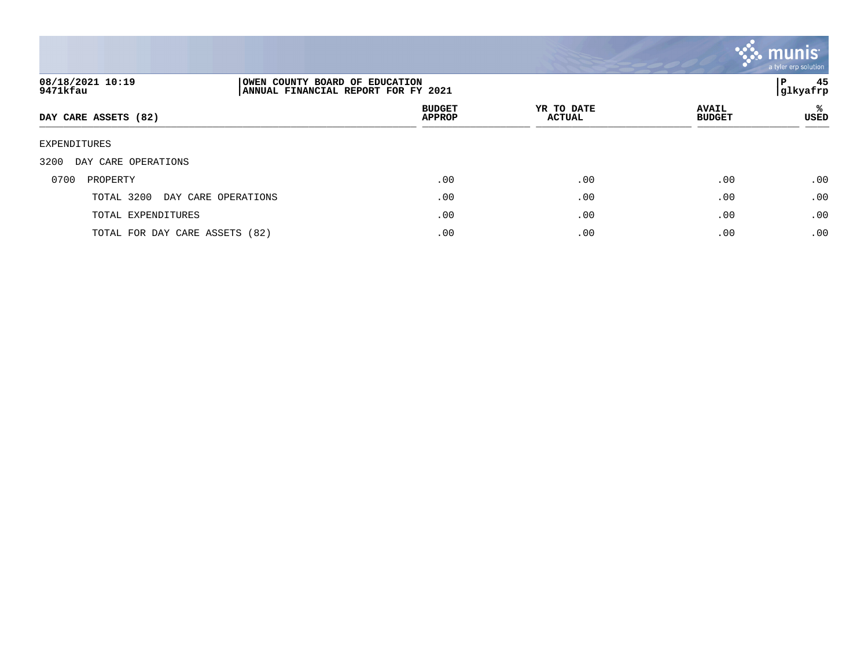

| 08/18/2021 10:19<br>9471kfau      | OWEN COUNTY BOARD OF EDUCATION<br> ANNUAL FINANCIAL REPORT FOR FY 2021 |                                |                             |                               |            |
|-----------------------------------|------------------------------------------------------------------------|--------------------------------|-----------------------------|-------------------------------|------------|
| DAY CARE ASSETS (82)              |                                                                        | <b>BUDGET</b><br><b>APPROP</b> | YR TO DATE<br><b>ACTUAL</b> | <b>AVAIL</b><br><b>BUDGET</b> | %ะ<br>USED |
| EXPENDITURES                      |                                                                        |                                |                             |                               |            |
| 3200<br>DAY CARE OPERATIONS       |                                                                        |                                |                             |                               |            |
| 0700<br>PROPERTY                  |                                                                        | .00                            | .00                         | .00                           | .00        |
| TOTAL 3200<br>DAY CARE OPERATIONS |                                                                        | .00                            | .00                         | .00                           | .00        |
| TOTAL EXPENDITURES                |                                                                        | .00                            | .00                         | .00                           | .00        |
| TOTAL FOR DAY CARE ASSETS (82)    |                                                                        | .00                            | .00                         | .00                           | .00        |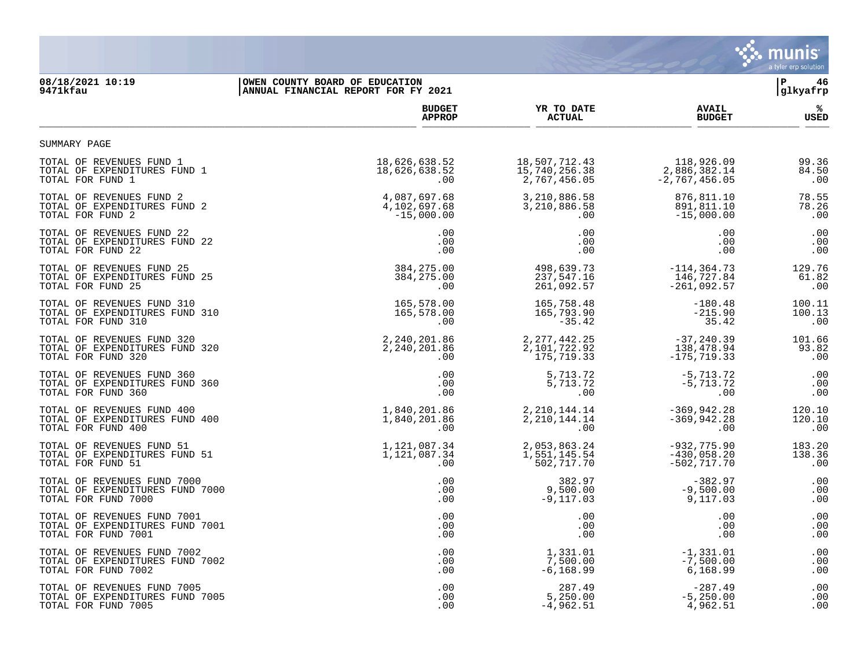

## **08/18/2021 10:19 |OWEN COUNTY BOARD OF EDUCATION |P 46 9471kfau |ANNUAL FINANCIAL REPORT FOR FY 2021 |glkyafrp**

|                                 | <b>BUDGET</b> | YR TO DATE      | <b>AVAIL</b>    | %ะ          |
|---------------------------------|---------------|-----------------|-----------------|-------------|
|                                 | <b>APPROP</b> | <b>ACTUAL</b>   | <b>BUDGET</b>   | <b>USED</b> |
| SUMMARY PAGE                    |               |                 |                 |             |
| TOTAL OF REVENUES FUND 1        | 18,626,638.52 | 18,507,712.43   | 118,926.09      | 99.36       |
| TOTAL OF EXPENDITURES FUND 1    | 18,626,638.52 | 15,740,256.38   | 2,886,382.14    | 84.50       |
| TOTAL FOR FUND 1                | .00           | 2,767,456.05    | $-2,767,456.05$ | .00         |
| TOTAL OF REVENUES FUND 2        | 4,087,697.68  | 3,210,886.58    | 876,811.10      | 78.55       |
| TOTAL OF EXPENDITURES FUND 2    | 4,102,697.68  | 3,210,886.58    | 891,811.10      | 78.26       |
| TOTAL FOR FUND 2                | $-15,000.00$  | .00             | $-15,000.00$    | .00         |
| TOTAL OF REVENUES FUND 22       | .00           | .00             | .00             | .00         |
| TOTAL OF EXPENDITURES FUND 22   | .00           | .00             | .00             | .00         |
| TOTAL FOR FUND 22               | .00           | .00             | .00             | .00         |
| TOTAL OF REVENUES FUND 25       | 384, 275.00   | 498,639.73      | $-114, 364.73$  | 129.76      |
| TOTAL OF EXPENDITURES FUND 25   | 384, 275.00   | 237,547.16      | 146,727.84      | 61.82       |
| TOTAL FOR FUND 25               | .00           | 261,092.57      | $-261,092.57$   | .00         |
| TOTAL OF REVENUES FUND 310      | 165,578.00    | 165,758.48      | $-180.48$       | 100.11      |
| TOTAL OF EXPENDITURES FUND 310  | 165,578.00    | 165,793.90      | $-215.90$       | 100.13      |
| TOTAL FOR FUND 310              | .00           | $-35.42$        | 35.42           | .00         |
| TOTAL OF REVENUES FUND 320      | 2,240,201.86  | 2, 277, 442.25  | $-37, 240.39$   | 101.66      |
| TOTAL OF EXPENDITURES FUND 320  | 2,240,201.86  | 2,101,722.92    | 138,478.94      | 93.82       |
| TOTAL FOR FUND 320              | .00           | 175,719.33      | $-175, 719.33$  | .00         |
| TOTAL OF REVENUES FUND 360      | .00           | 5,713.72        | $-5,713.72$     | .00         |
| TOTAL OF EXPENDITURES FUND 360  | .00           | 5,713.72        | $-5,713.72$     | .00         |
| TOTAL FOR FUND 360              | .00           | .00             | .00             | .00         |
| TOTAL OF REVENUES FUND 400      | 1,840,201.86  | 2, 210, 144. 14 | $-369, 942.28$  | 120.10      |
| TOTAL OF EXPENDITURES FUND 400  | 1,840,201.86  | 2, 210, 144. 14 | $-369, 942.28$  | 120.10      |
| TOTAL FOR FUND 400              | .00           | .00             | .00             | .00         |
| TOTAL OF REVENUES FUND 51       | 1,121,087.34  | 2,053,863.24    | $-932, 775.90$  | 183.20      |
| TOTAL OF EXPENDITURES FUND 51   | 1,121,087.34  | 1,551,145.54    | $-430,058.20$   | 138.36      |
| TOTAL FOR FUND 51               | .00           | 502,717.70      | $-502, 717.70$  | .00         |
| TOTAL OF REVENUES FUND 7000     | .00           | 382.97          | $-382.97$       | .00         |
| TOTAL OF EXPENDITURES FUND 7000 | .00           | 9,500.00        | $-9,500.00$     | .00         |
| TOTAL FOR FUND 7000             | .00           | $-9,117.03$     | 9,117.03        | .00         |
| TOTAL OF REVENUES FUND 7001     | .00           | .00             | .00             | .00         |
| TOTAL OF EXPENDITURES FUND 7001 | .00           | .00             | .00             | .00         |
| TOTAL FOR FUND 7001             | .00           | .00             | .00             | .00         |
| TOTAL OF REVENUES FUND 7002     | .00           | 1,331.01        | $-1, 331.01$    | .00         |
| TOTAL OF EXPENDITURES FUND 7002 | .00           | 7,500.00        | $-7,500.00$     | .00         |
| TOTAL FOR FUND 7002             | .00           | $-6, 168.99$    | 6,168.99        | .00         |
| TOTAL OF REVENUES FUND 7005     | .00           | 287.49          | $-287.49$       | .00         |
| TOTAL OF EXPENDITURES FUND 7005 | .00           | 5,250.00        | $-5, 250.00$    | .00         |
| TOTAL FOR FUND 7005             | .00           | $-4,962.51$     | 4,962.51        | .00         |